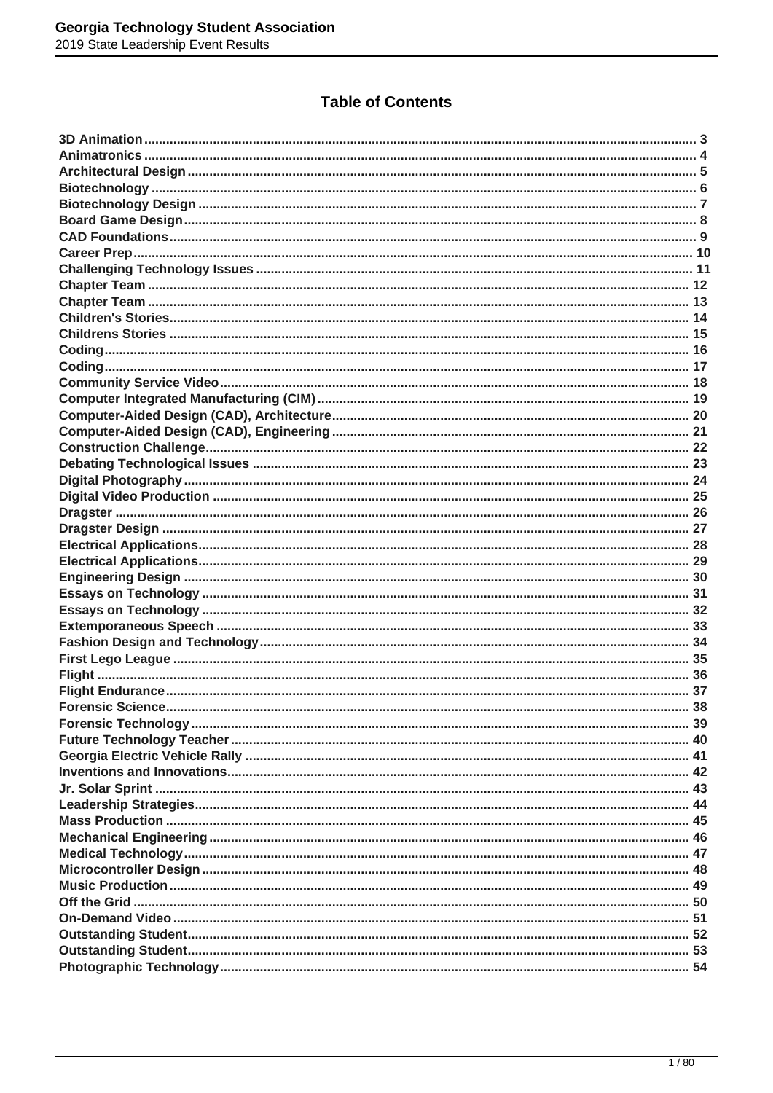### **Table of Contents**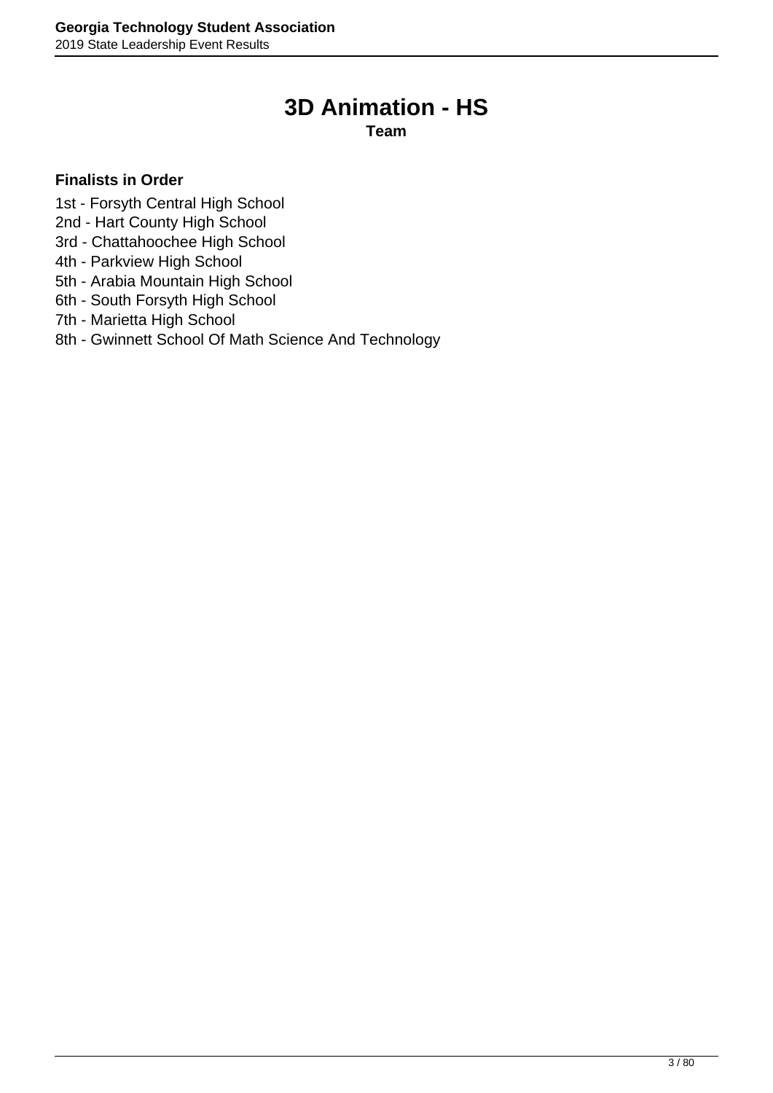## **3D Animation - HS**

**Team**

- <span id="page-2-0"></span>1st - Forsyth Central High School
- 2nd Hart County High School
- 3rd Chattahoochee High School
- 4th Parkview High School
- 5th Arabia Mountain High School
- 6th South Forsyth High School
- 7th Marietta High School
- 8th Gwinnett School Of Math Science And Technology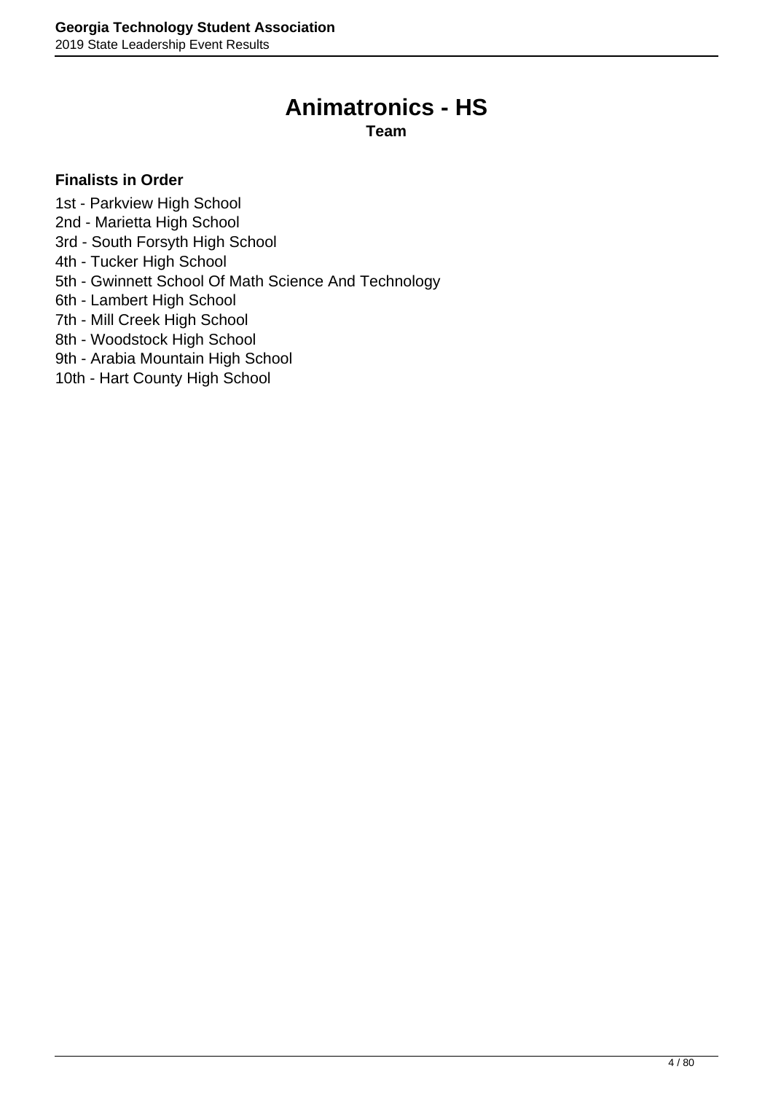### **Animatronics - HS**

**Team**

### <span id="page-3-0"></span>**Finalists in Order**

1st - Parkview High School

- 2nd Marietta High School
- 3rd South Forsyth High School
- 4th Tucker High School
- 5th Gwinnett School Of Math Science And Technology
- 6th Lambert High School
- 7th Mill Creek High School
- 8th Woodstock High School
- 9th Arabia Mountain High School

10th - Hart County High School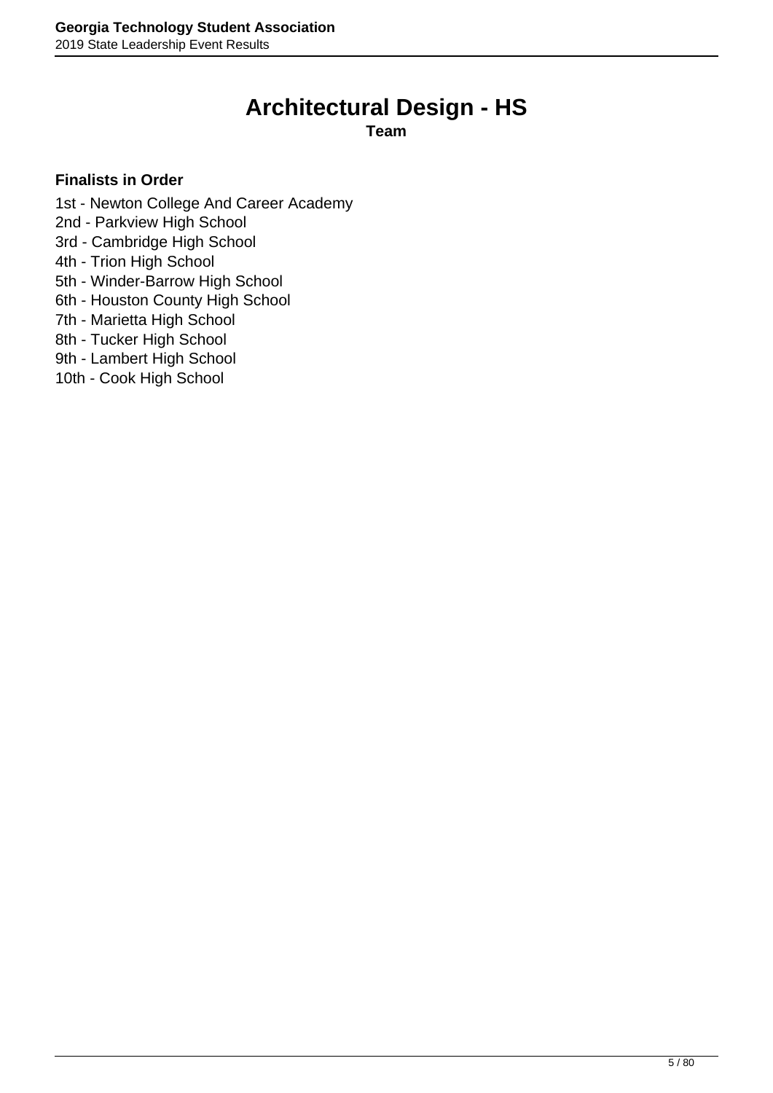# **Architectural Design - HS**

**Team**

- <span id="page-4-0"></span>1st - Newton College And Career Academy
- 2nd Parkview High School
- 3rd Cambridge High School
- 4th Trion High School
- 5th Winder-Barrow High School
- 6th Houston County High School
- 7th Marietta High School
- 8th Tucker High School
- 9th Lambert High School
- 10th Cook High School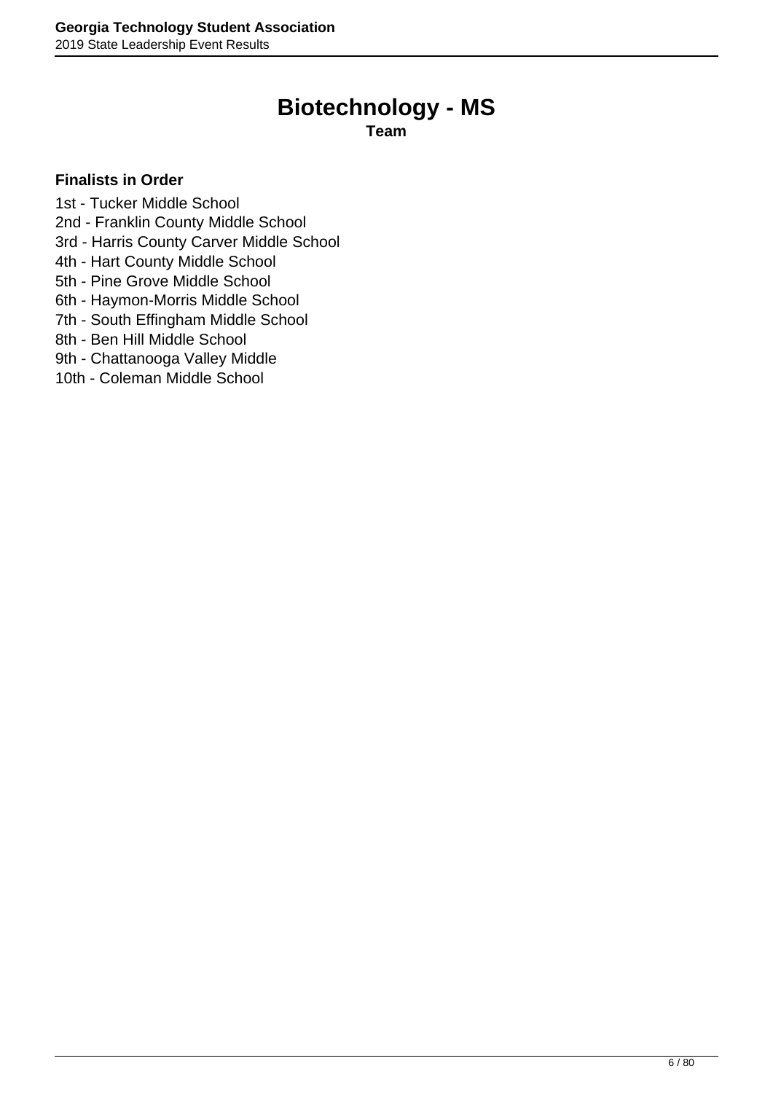# **Biotechnology - MS**

**Team**

- <span id="page-5-0"></span>1st - Tucker Middle School
- 2nd Franklin County Middle School
- 3rd Harris County Carver Middle School
- 4th Hart County Middle School
- 5th Pine Grove Middle School
- 6th Haymon-Morris Middle School
- 7th South Effingham Middle School
- 8th Ben Hill Middle School
- 9th Chattanooga Valley Middle
- 10th Coleman Middle School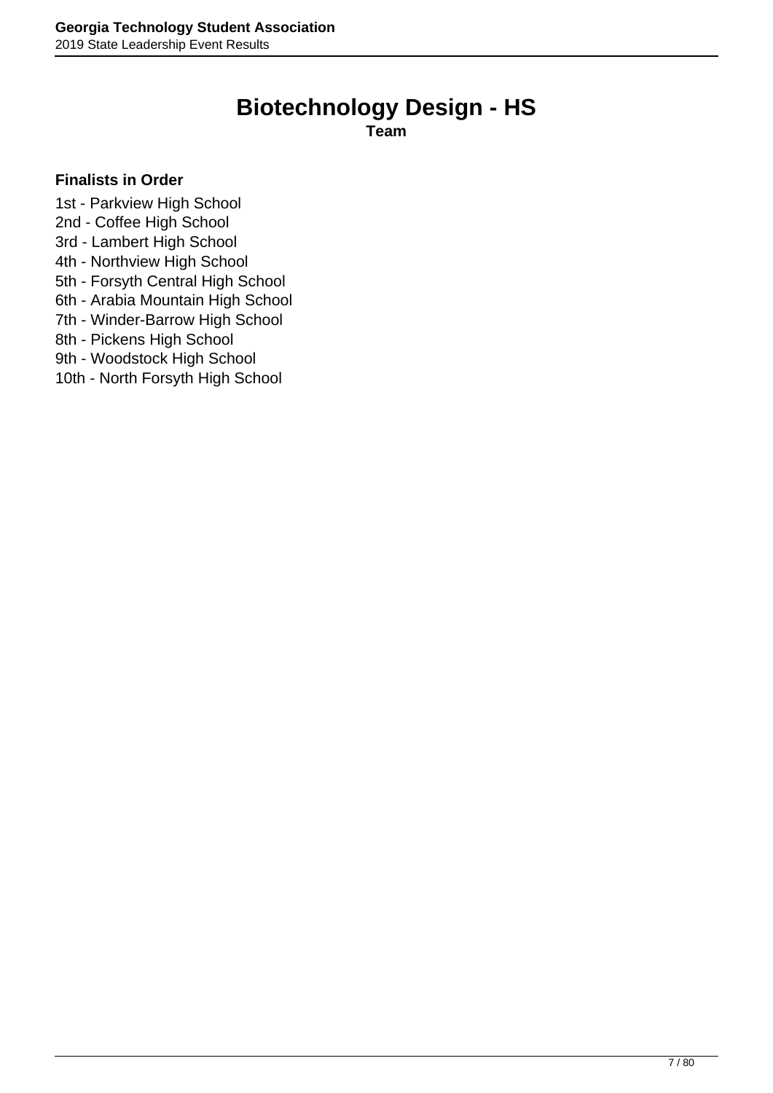# **Biotechnology Design - HS**

**Team**

### <span id="page-6-0"></span>**Finalists in Order**

1st - Parkview High School

- 2nd Coffee High School
- 3rd Lambert High School
- 4th Northview High School
- 5th Forsyth Central High School
- 6th Arabia Mountain High School
- 7th Winder-Barrow High School
- 8th Pickens High School

9th - Woodstock High School

10th - North Forsyth High School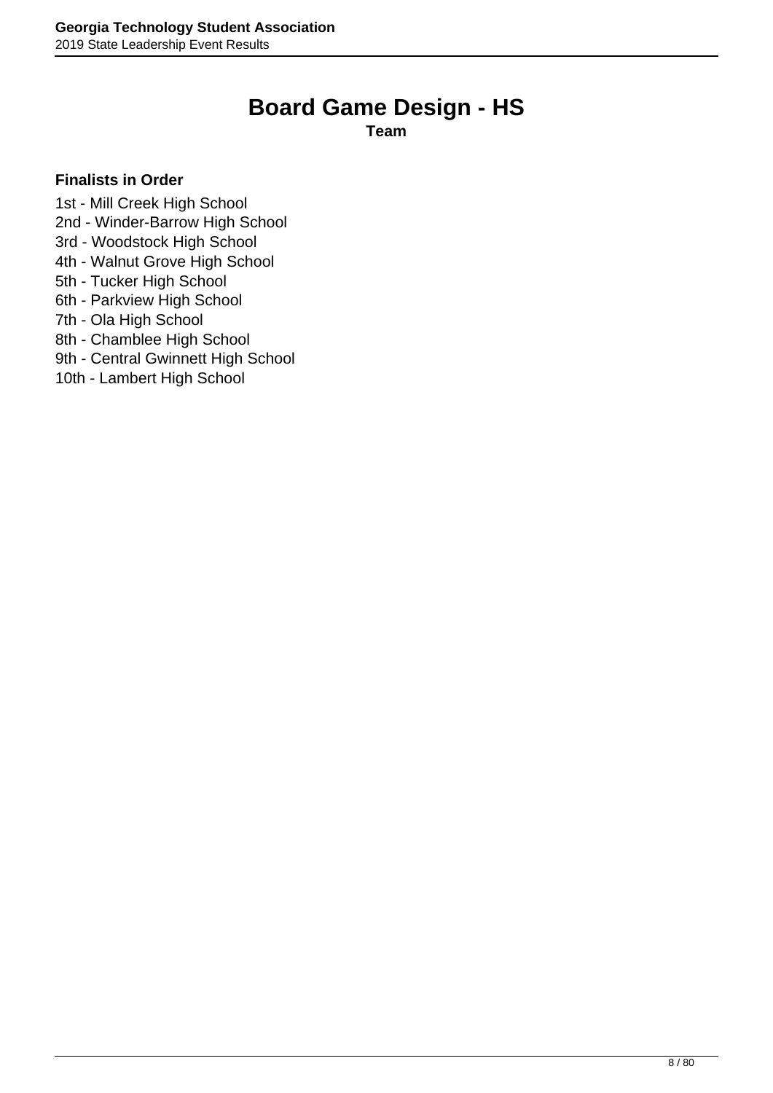## **Board Game Design - HS**

**Team**

### <span id="page-7-0"></span>**Finalists in Order**

1st - Mill Creek High School

- 2nd Winder-Barrow High School
- 3rd Woodstock High School
- 4th Walnut Grove High School
- 5th Tucker High School
- 6th Parkview High School
- 7th Ola High School
- 8th Chamblee High School
- 9th Central Gwinnett High School
- 10th Lambert High School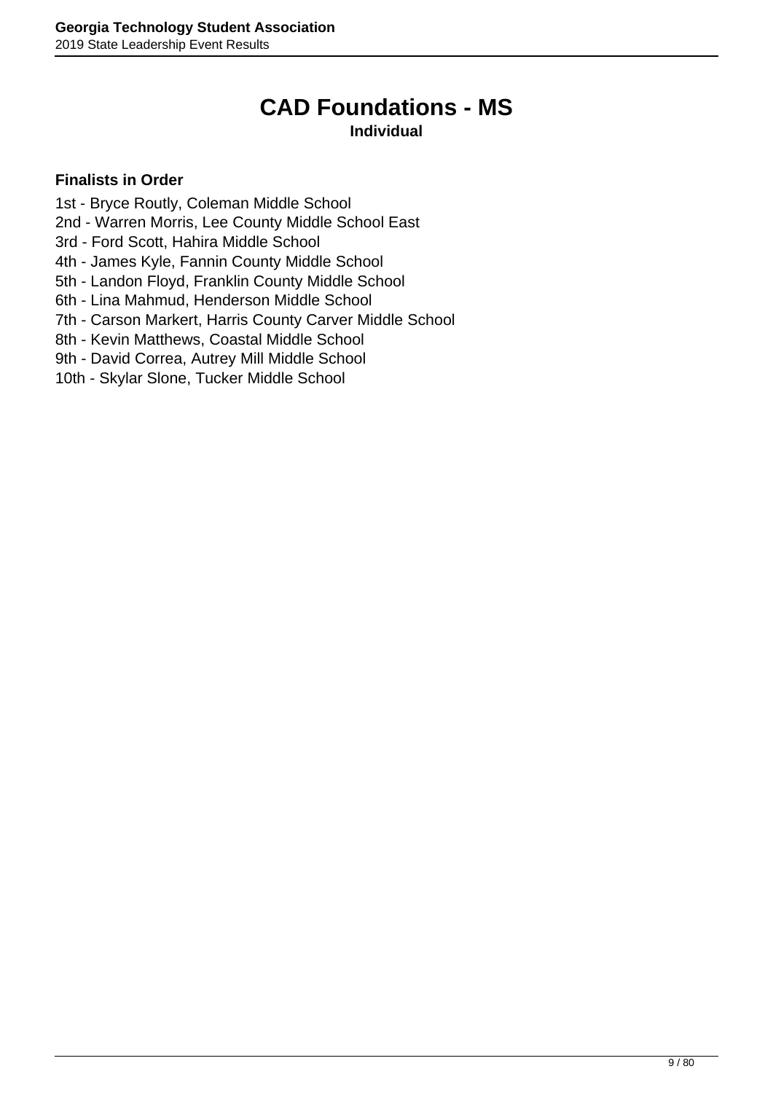# **CAD Foundations - MS**

### **Individual**

- <span id="page-8-0"></span>1st - Bryce Routly, Coleman Middle School
- 2nd Warren Morris, Lee County Middle School East
- 3rd Ford Scott, Hahira Middle School
- 4th James Kyle, Fannin County Middle School
- 5th Landon Floyd, Franklin County Middle School
- 6th Lina Mahmud, Henderson Middle School
- 7th Carson Markert, Harris County Carver Middle School
- 8th Kevin Matthews, Coastal Middle School
- 9th David Correa, Autrey Mill Middle School
- 10th Skylar Slone, Tucker Middle School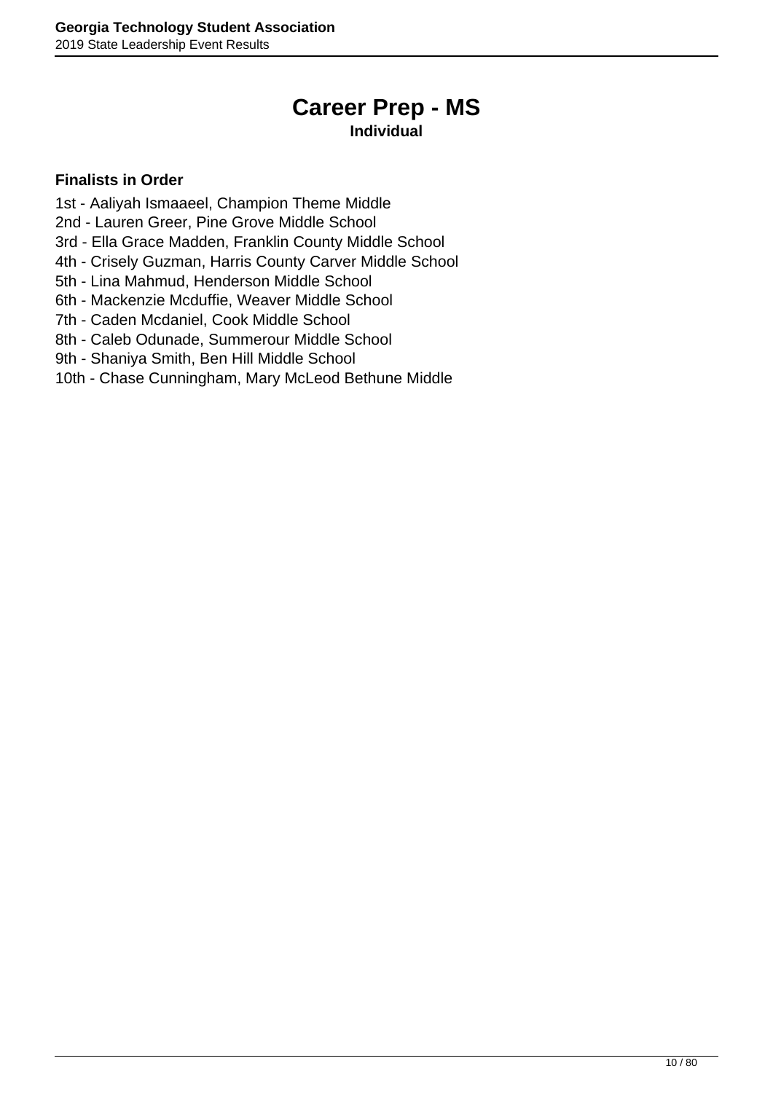# **Career Prep - MS**

### **Individual**

- <span id="page-9-0"></span>1st - Aaliyah Ismaaeel, Champion Theme Middle
- 2nd Lauren Greer, Pine Grove Middle School
- 3rd Ella Grace Madden, Franklin County Middle School
- 4th Crisely Guzman, Harris County Carver Middle School
- 5th Lina Mahmud, Henderson Middle School
- 6th Mackenzie Mcduffie, Weaver Middle School
- 7th Caden Mcdaniel, Cook Middle School
- 8th Caleb Odunade, Summerour Middle School
- 9th Shaniya Smith, Ben Hill Middle School
- 10th Chase Cunningham, Mary McLeod Bethune Middle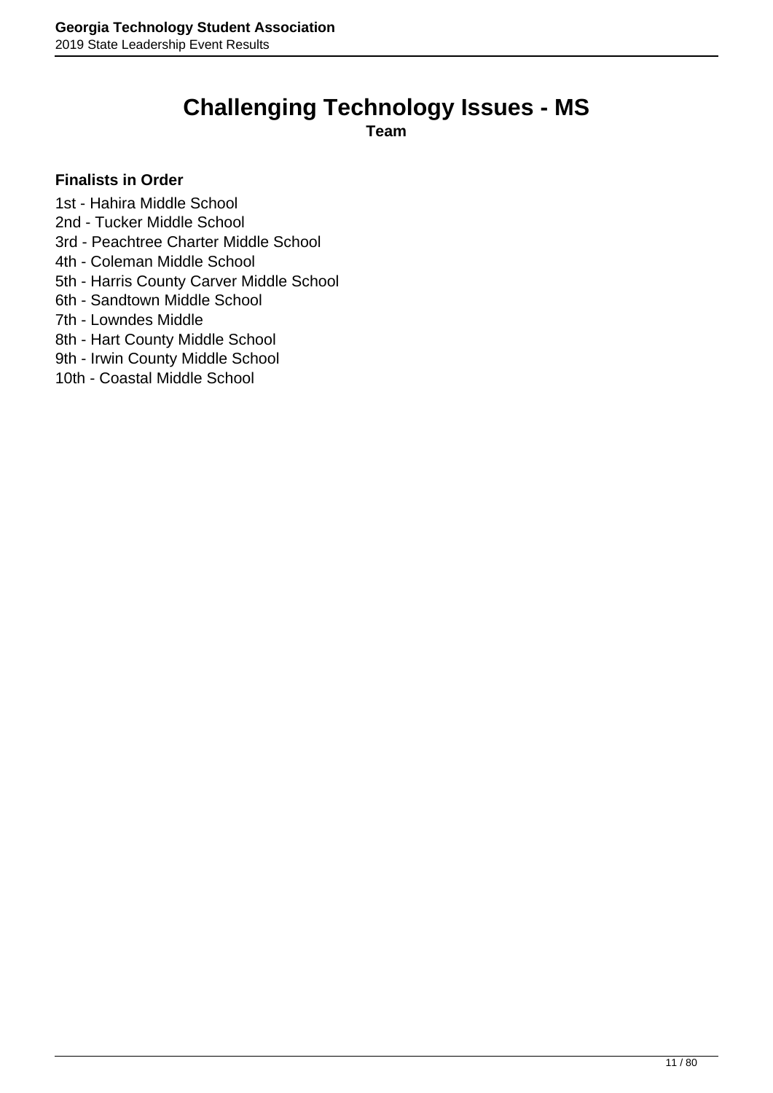# **Challenging Technology Issues - MS**

**Team**

### <span id="page-10-0"></span>**Finalists in Order**

1st - Hahira Middle School

- 2nd Tucker Middle School
- 3rd Peachtree Charter Middle School
- 4th Coleman Middle School
- 5th Harris County Carver Middle School
- 6th Sandtown Middle School
- 7th Lowndes Middle
- 8th Hart County Middle School
- 9th Irwin County Middle School
- 10th Coastal Middle School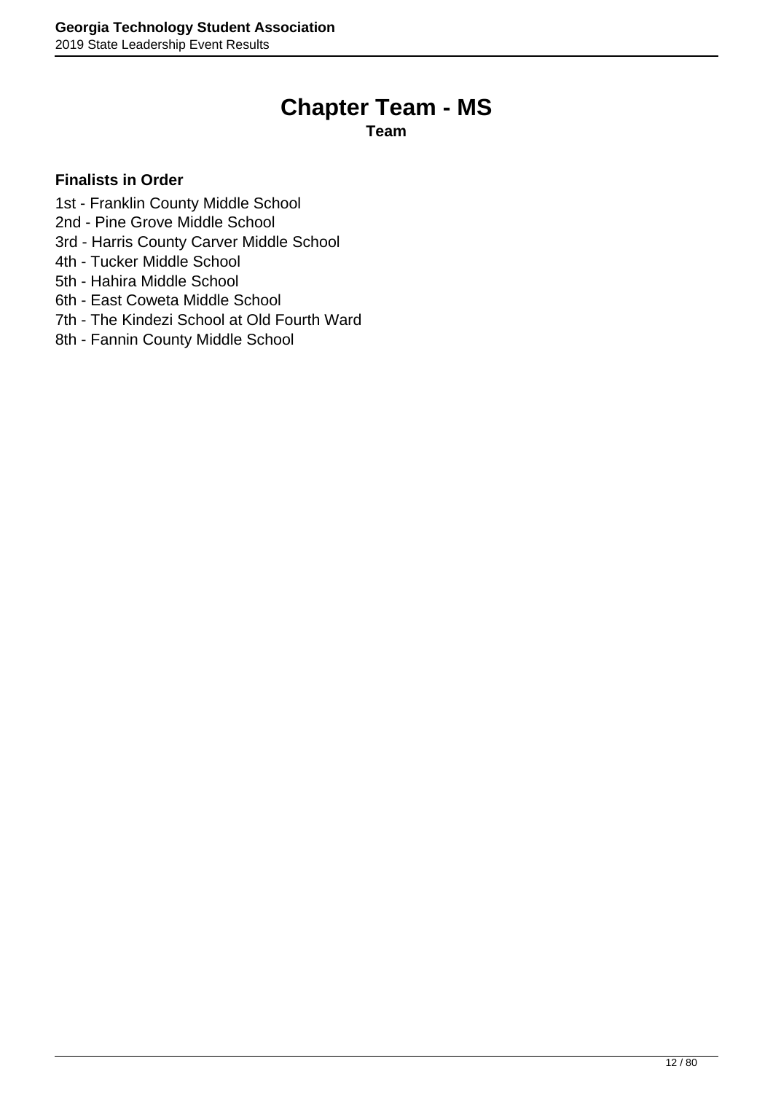# **Chapter Team - MS**

**Team**

- <span id="page-11-0"></span>1st - Franklin County Middle School
- 2nd Pine Grove Middle School
- 3rd Harris County Carver Middle School
- 4th Tucker Middle School
- 5th Hahira Middle School
- 6th East Coweta Middle School
- 7th The Kindezi School at Old Fourth Ward
- 8th Fannin County Middle School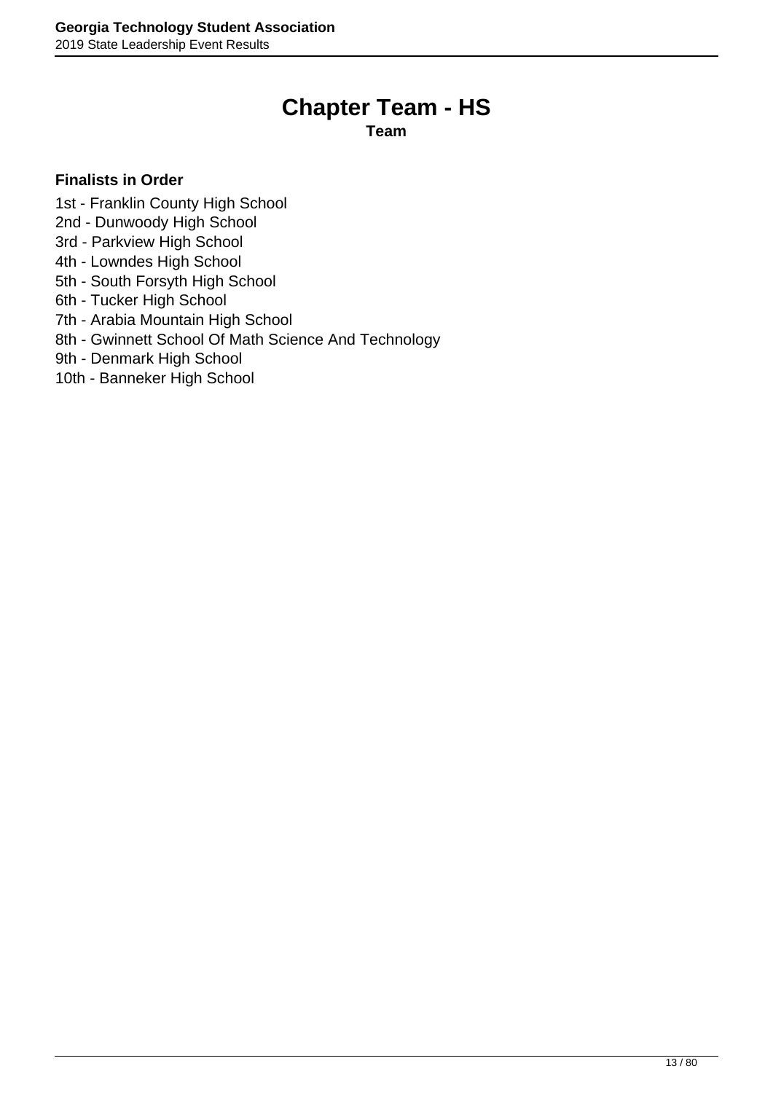## **Chapter Team - HS**

**Team**

- <span id="page-12-0"></span>1st - Franklin County High School
- 2nd Dunwoody High School
- 3rd Parkview High School
- 4th Lowndes High School
- 5th South Forsyth High School
- 6th Tucker High School
- 7th Arabia Mountain High School
- 8th Gwinnett School Of Math Science And Technology
- 9th Denmark High School
- 10th Banneker High School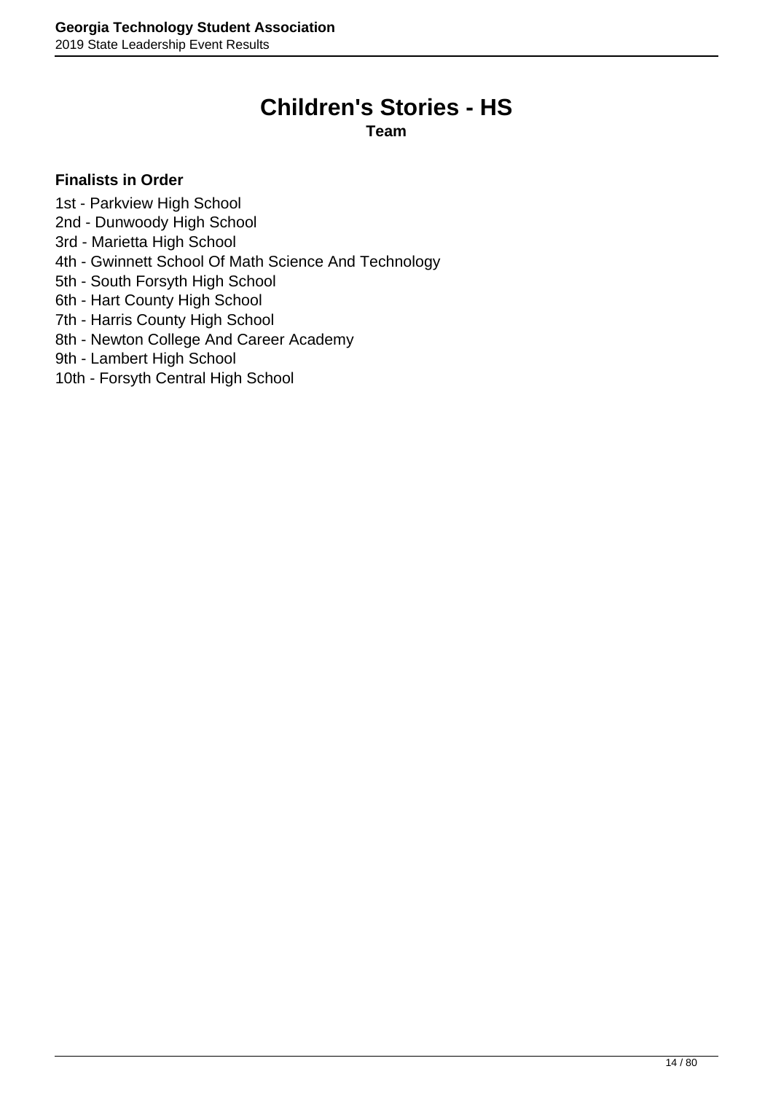# **Children's Stories - HS**

**Team**

- <span id="page-13-0"></span>1st - Parkview High School
- 2nd Dunwoody High School
- 3rd Marietta High School
- 4th Gwinnett School Of Math Science And Technology
- 5th South Forsyth High School
- 6th Hart County High School
- 7th Harris County High School
- 8th Newton College And Career Academy
- 9th Lambert High School
- 10th Forsyth Central High School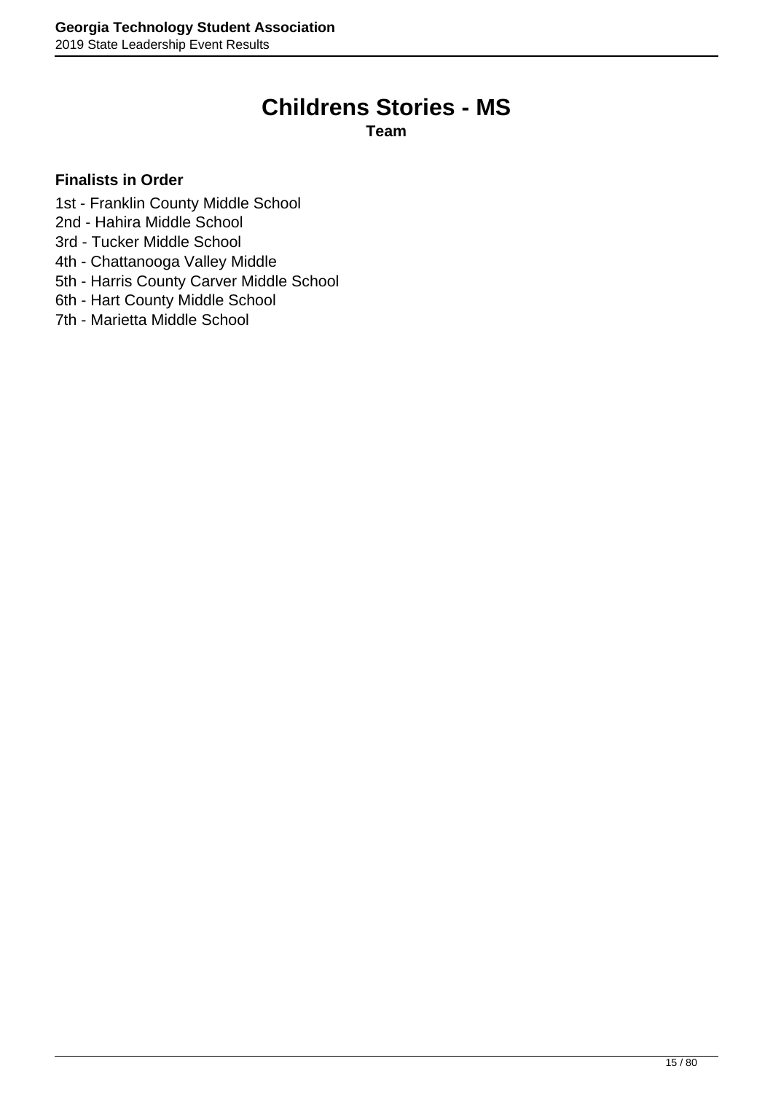# **Childrens Stories - MS**

**Team**

- <span id="page-14-0"></span>1st - Franklin County Middle School
- 2nd Hahira Middle School
- 3rd Tucker Middle School
- 4th Chattanooga Valley Middle
- 5th Harris County Carver Middle School
- 6th Hart County Middle School
- 7th Marietta Middle School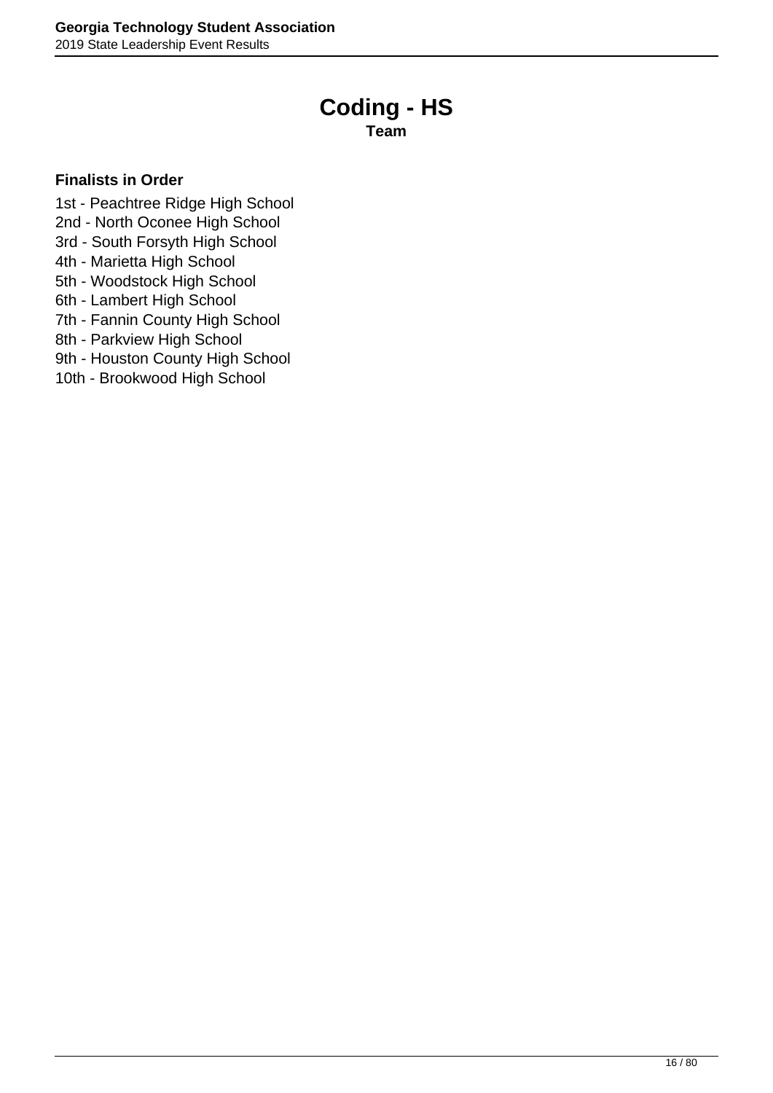# **Coding - HS**

**Team**

- <span id="page-15-0"></span>1st - Peachtree Ridge High School
- 2nd North Oconee High School
- 3rd South Forsyth High School
- 4th Marietta High School
- 5th Woodstock High School
- 6th Lambert High School
- 7th Fannin County High School
- 8th Parkview High School
- 9th Houston County High School
- 10th Brookwood High School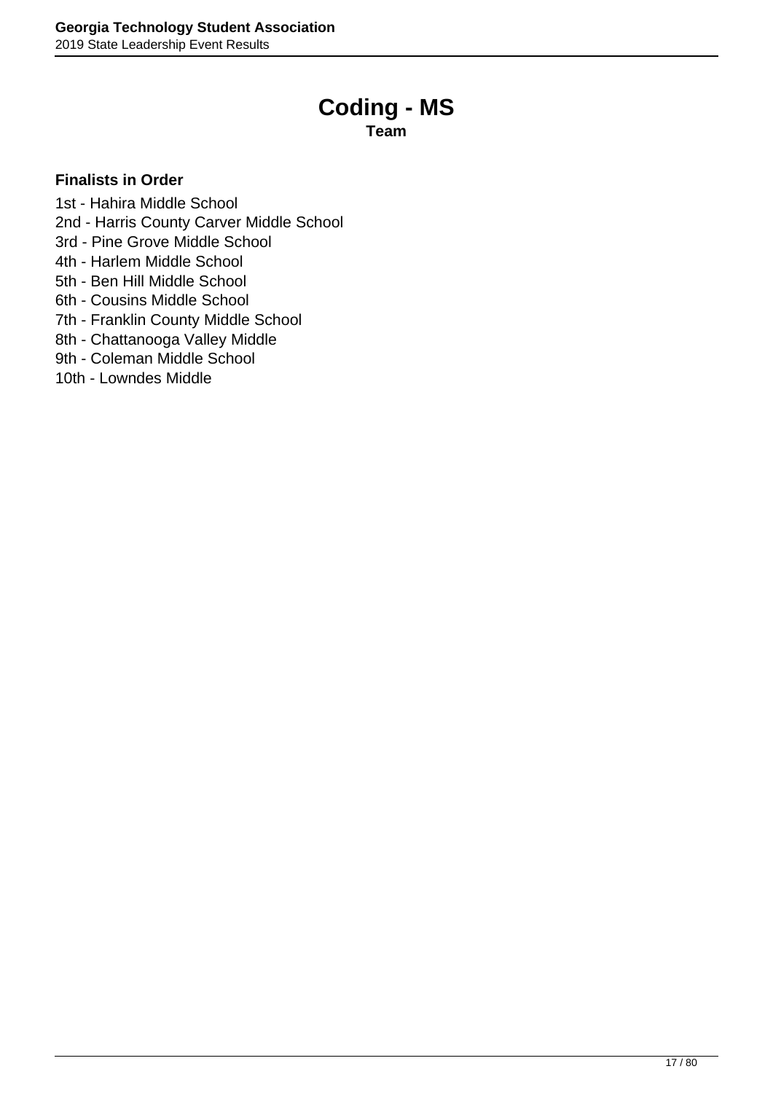# **Coding - MS**

**Team**

- <span id="page-16-0"></span>1st - Hahira Middle School
- 2nd Harris County Carver Middle School
- 3rd Pine Grove Middle School
- 4th Harlem Middle School
- 5th Ben Hill Middle School
- 6th Cousins Middle School
- 7th Franklin County Middle School
- 8th Chattanooga Valley Middle
- 9th Coleman Middle School
- 10th Lowndes Middle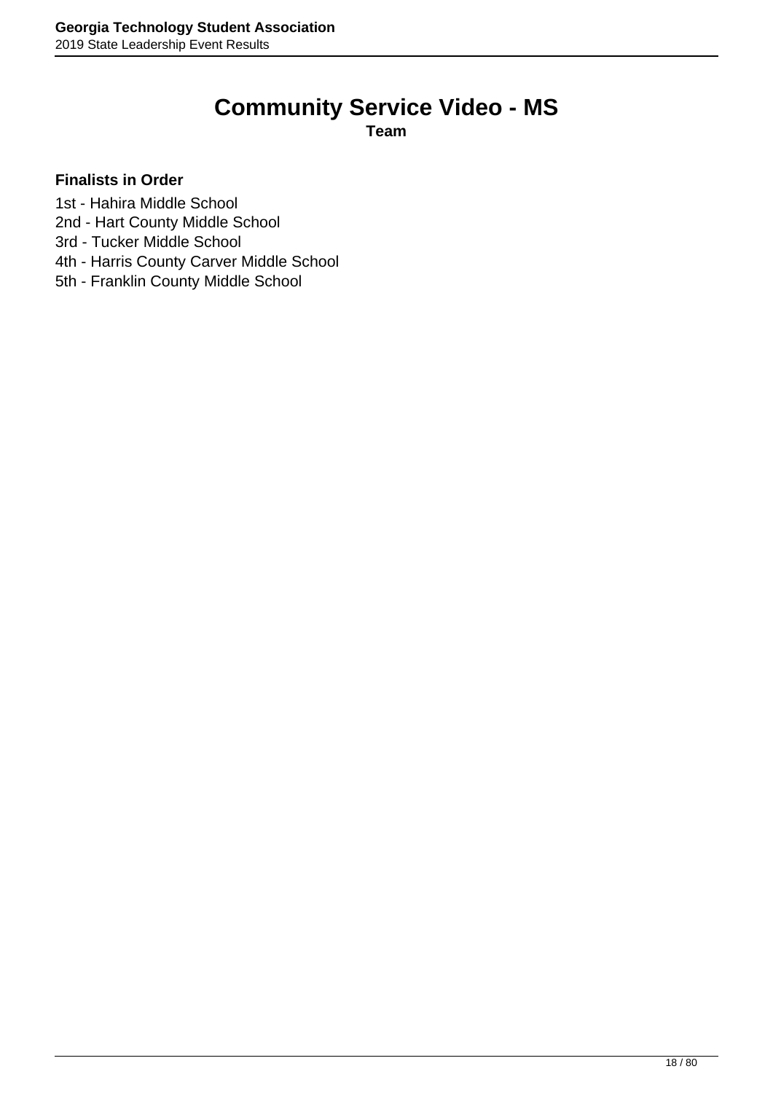# **Community Service Video - MS**

**Team**

- <span id="page-17-0"></span>1st - Hahira Middle School
- 2nd Hart County Middle School
- 3rd Tucker Middle School
- 4th Harris County Carver Middle School
- 5th Franklin County Middle School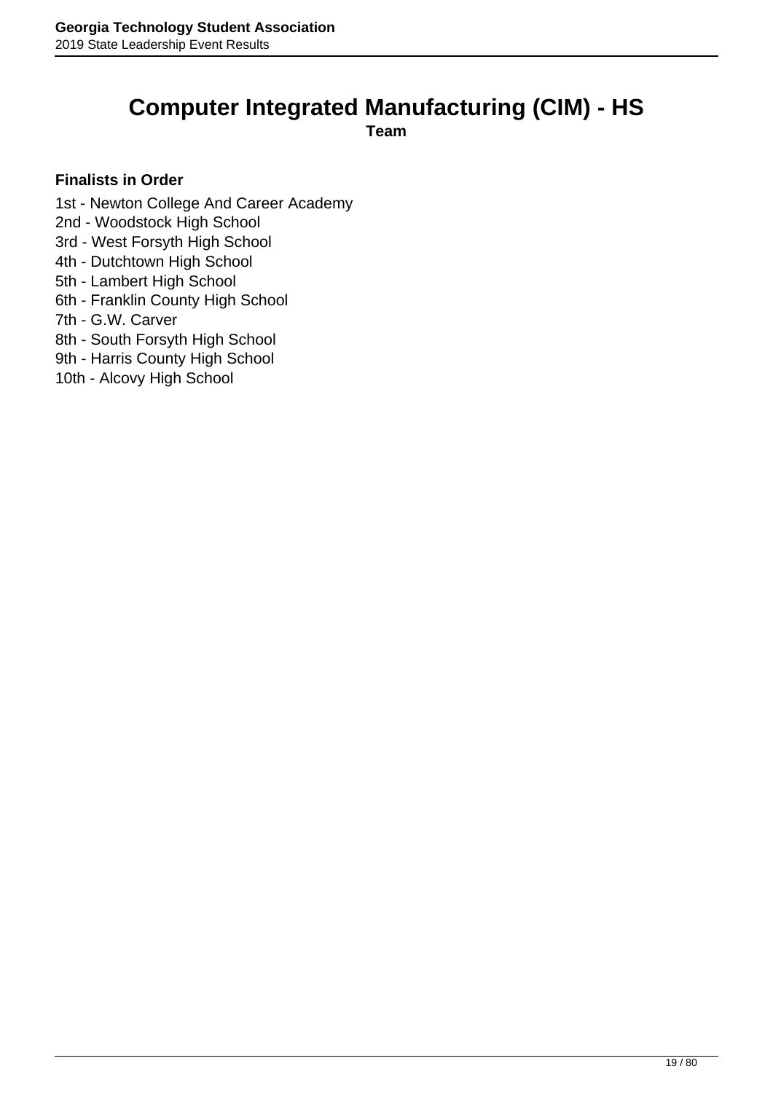### <span id="page-18-0"></span>**Computer Integrated Manufacturing (CIM) - HS**

**Team**

- 1st Newton College And Career Academy
- 2nd Woodstock High School
- 3rd West Forsyth High School
- 4th Dutchtown High School
- 5th Lambert High School
- 6th Franklin County High School
- 7th G.W. Carver
- 8th South Forsyth High School
- 9th Harris County High School
- 10th Alcovy High School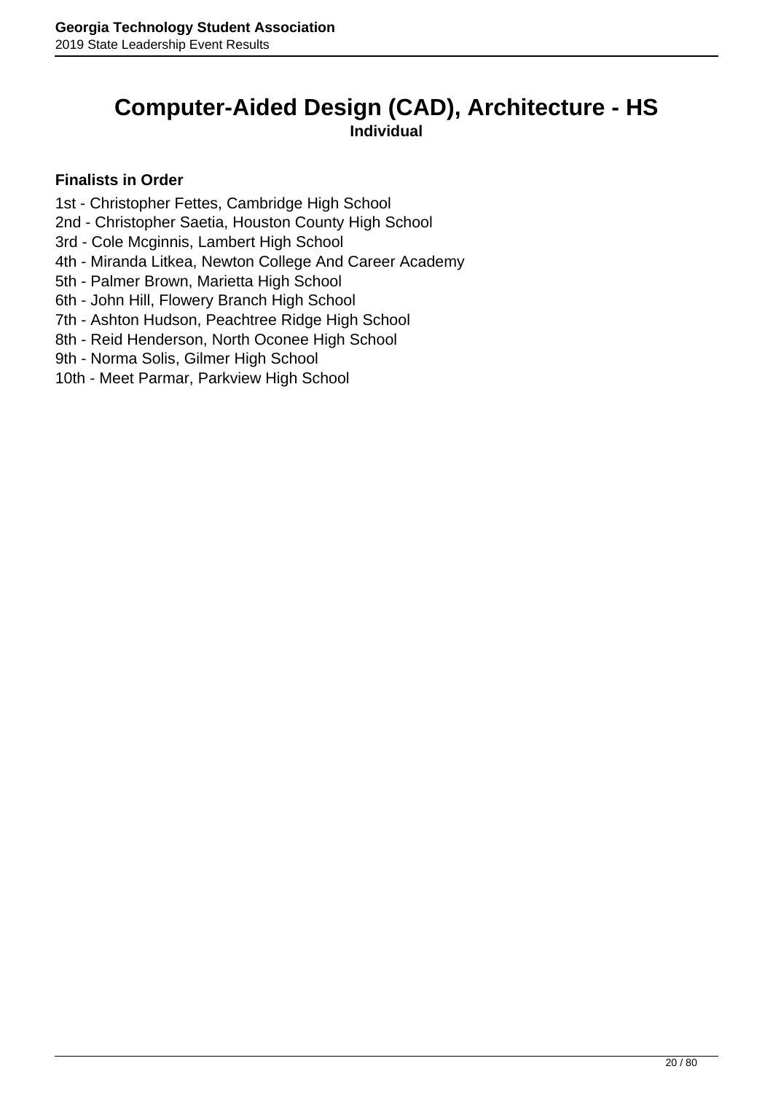### <span id="page-19-0"></span>**Computer-Aided Design (CAD), Architecture - HS Individual**

- 1st Christopher Fettes, Cambridge High School
- 2nd Christopher Saetia, Houston County High School
- 3rd Cole Mcginnis, Lambert High School
- 4th Miranda Litkea, Newton College And Career Academy
- 5th Palmer Brown, Marietta High School
- 6th John Hill, Flowery Branch High School
- 7th Ashton Hudson, Peachtree Ridge High School
- 8th Reid Henderson, North Oconee High School
- 9th Norma Solis, Gilmer High School
- 10th Meet Parmar, Parkview High School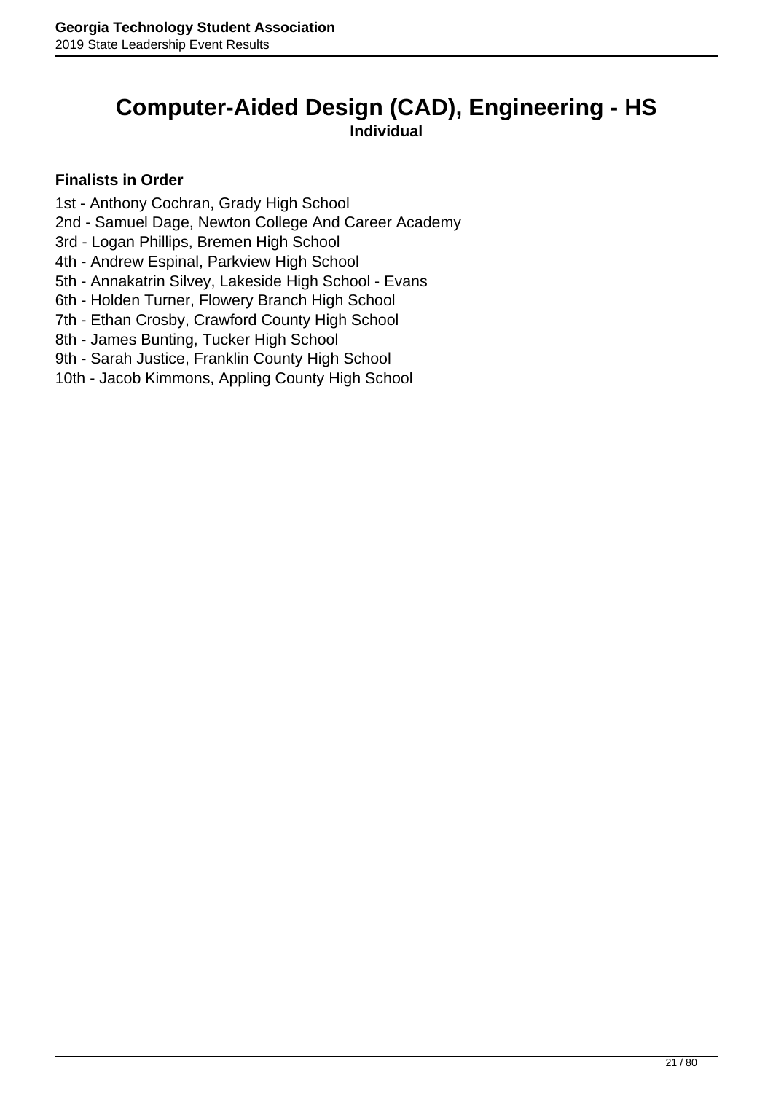### <span id="page-20-0"></span>**Computer-Aided Design (CAD), Engineering - HS Individual**

- 1st Anthony Cochran, Grady High School
- 2nd Samuel Dage, Newton College And Career Academy
- 3rd Logan Phillips, Bremen High School
- 4th Andrew Espinal, Parkview High School
- 5th Annakatrin Silvey, Lakeside High School Evans
- 6th Holden Turner, Flowery Branch High School
- 7th Ethan Crosby, Crawford County High School
- 8th James Bunting, Tucker High School
- 9th Sarah Justice, Franklin County High School
- 10th Jacob Kimmons, Appling County High School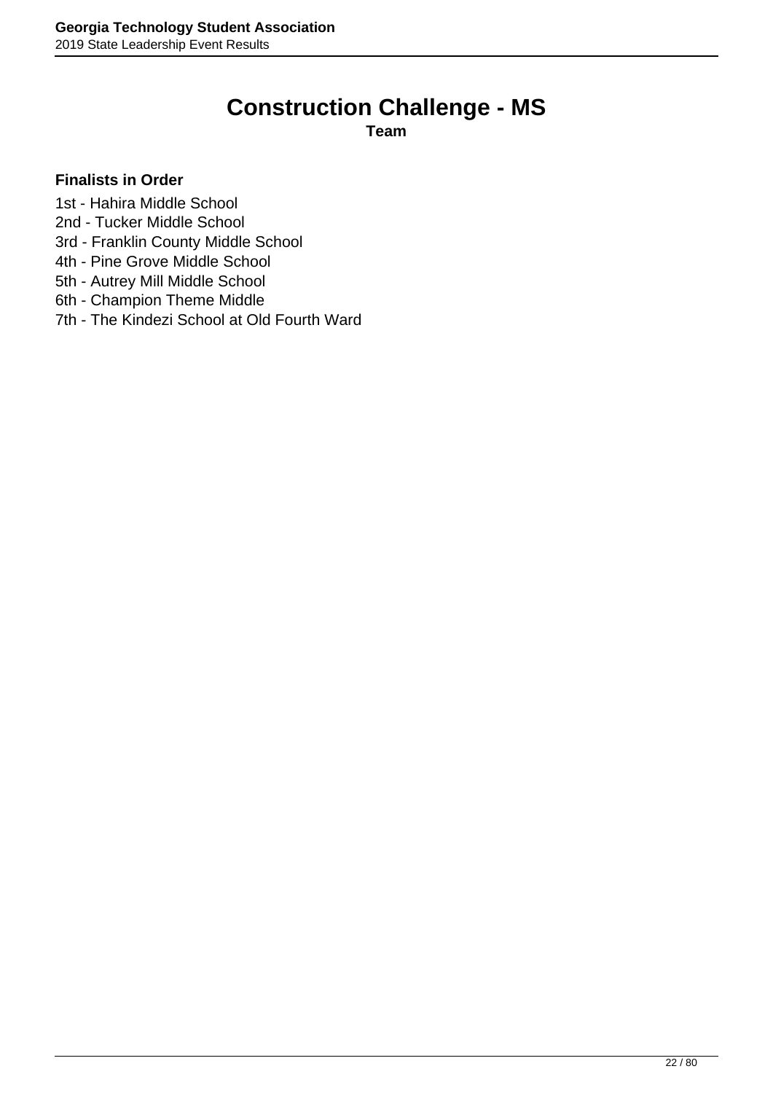# **Construction Challenge - MS**

**Team**

### <span id="page-21-0"></span>**Finalists in Order**

1st - Hahira Middle School

- 2nd Tucker Middle School
- 3rd Franklin County Middle School
- 4th Pine Grove Middle School
- 5th Autrey Mill Middle School
- 6th Champion Theme Middle
- 7th The Kindezi School at Old Fourth Ward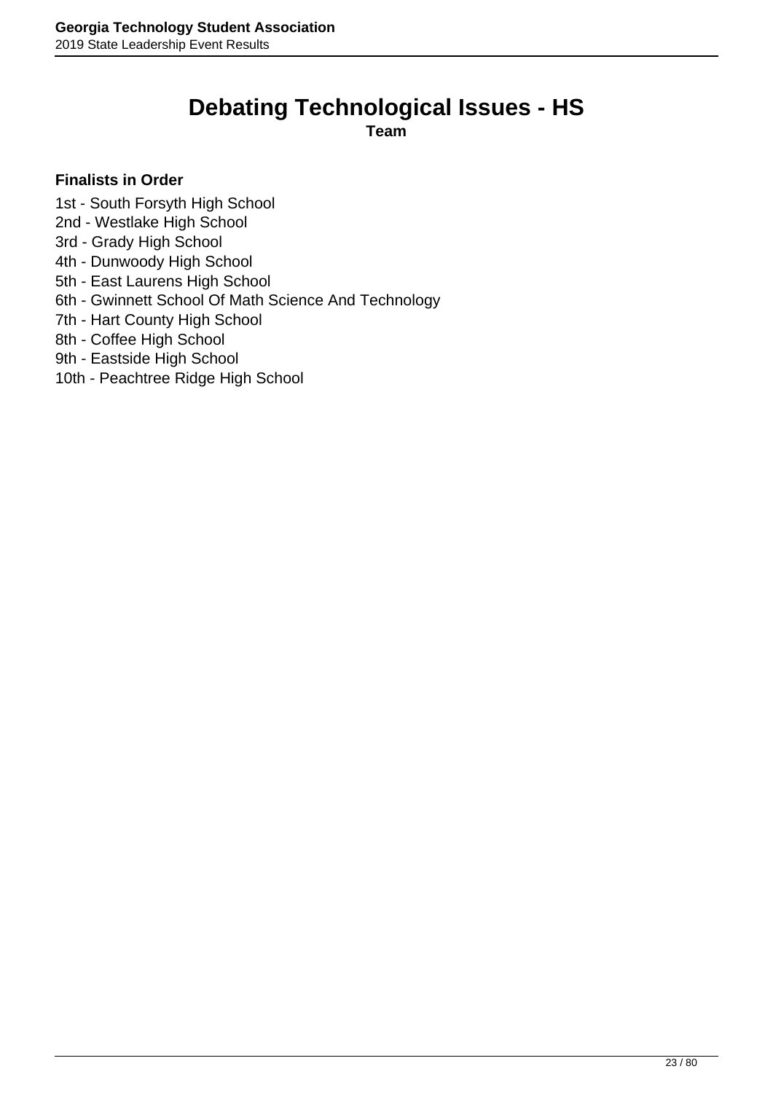# **Debating Technological Issues - HS**

**Team**

- <span id="page-22-0"></span>1st - South Forsyth High School
- 2nd Westlake High School
- 3rd Grady High School
- 4th Dunwoody High School
- 5th East Laurens High School
- 6th Gwinnett School Of Math Science And Technology
- 7th Hart County High School
- 8th Coffee High School
- 9th Eastside High School
- 10th Peachtree Ridge High School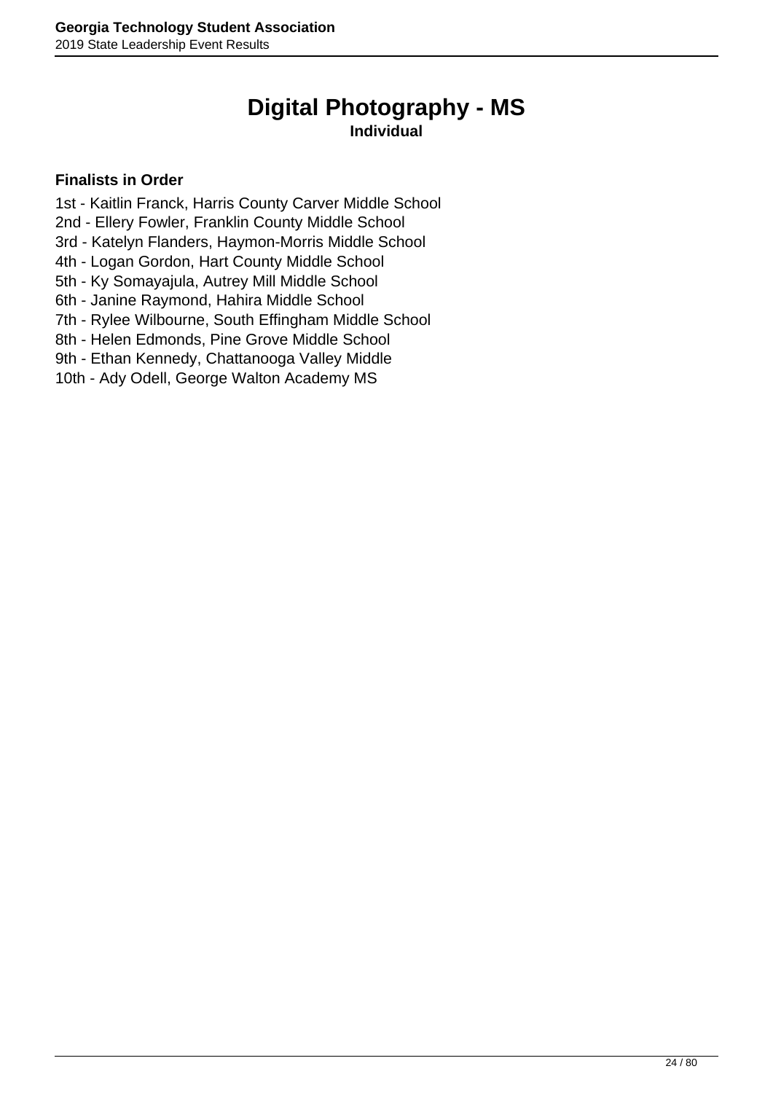# **Digital Photography - MS**

### **Individual**

- <span id="page-23-0"></span>1st - Kaitlin Franck, Harris County Carver Middle School
- 2nd Ellery Fowler, Franklin County Middle School
- 3rd Katelyn Flanders, Haymon-Morris Middle School
- 4th Logan Gordon, Hart County Middle School
- 5th Ky Somayajula, Autrey Mill Middle School
- 6th Janine Raymond, Hahira Middle School
- 7th Rylee Wilbourne, South Effingham Middle School
- 8th Helen Edmonds, Pine Grove Middle School
- 9th Ethan Kennedy, Chattanooga Valley Middle
- 10th Ady Odell, George Walton Academy MS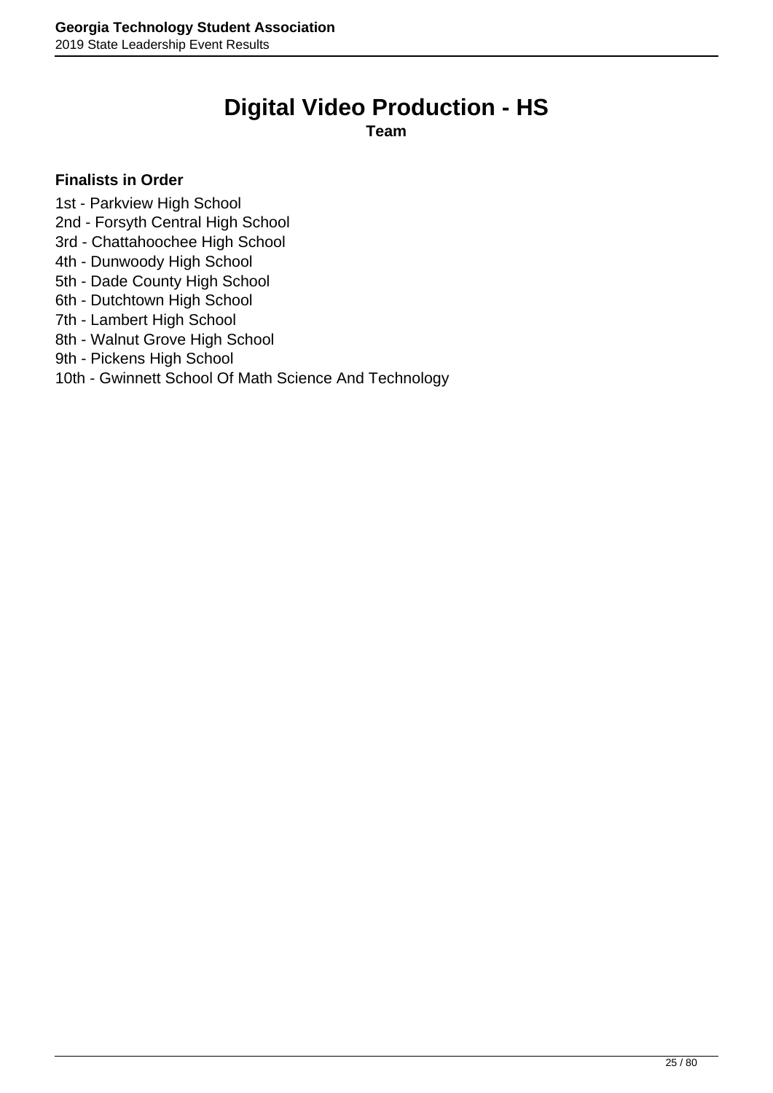# **Digital Video Production - HS**

**Team**

### <span id="page-24-0"></span>**Finalists in Order**

- 1st Parkview High School
- 2nd Forsyth Central High School
- 3rd Chattahoochee High School
- 4th Dunwoody High School
- 5th Dade County High School
- 6th Dutchtown High School
- 7th Lambert High School
- 8th Walnut Grove High School
- 9th Pickens High School

### 10th - Gwinnett School Of Math Science And Technology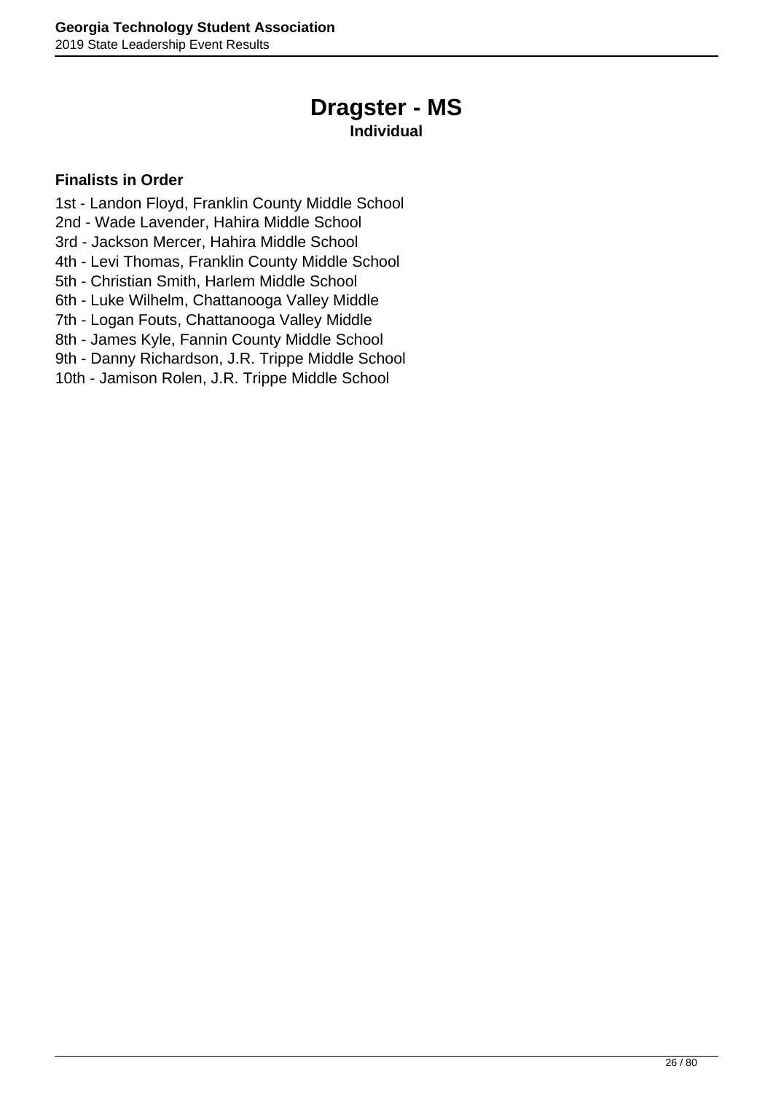# **Dragster - MS**

### **Individual**

- <span id="page-25-0"></span>1st - Landon Floyd, Franklin County Middle School
- 2nd Wade Lavender, Hahira Middle School
- 3rd Jackson Mercer, Hahira Middle School
- 4th Levi Thomas, Franklin County Middle School
- 5th Christian Smith, Harlem Middle School
- 6th Luke Wilhelm, Chattanooga Valley Middle
- 7th Logan Fouts, Chattanooga Valley Middle
- 8th James Kyle, Fannin County Middle School
- 9th Danny Richardson, J.R. Trippe Middle School
- 10th Jamison Rolen, J.R. Trippe Middle School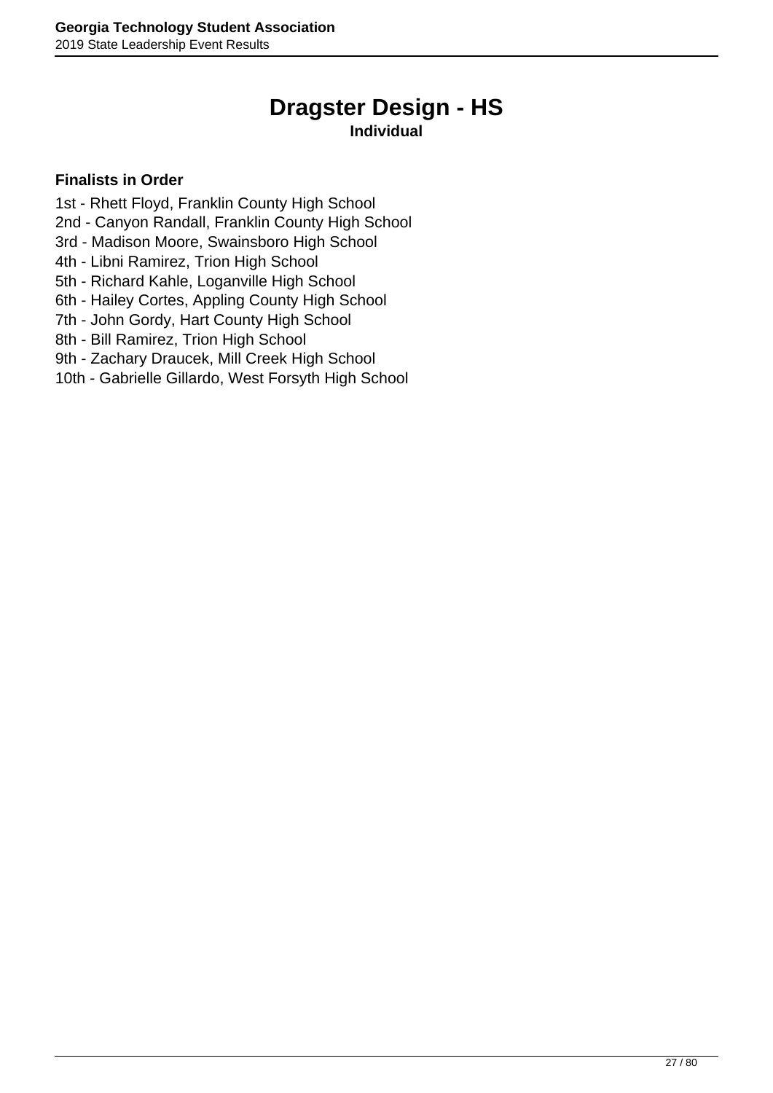# **Dragster Design - HS**

### **Individual**

- <span id="page-26-0"></span>1st - Rhett Floyd, Franklin County High School
- 2nd Canyon Randall, Franklin County High School
- 3rd Madison Moore, Swainsboro High School
- 4th Libni Ramirez, Trion High School
- 5th Richard Kahle, Loganville High School
- 6th Hailey Cortes, Appling County High School
- 7th John Gordy, Hart County High School
- 8th Bill Ramirez, Trion High School
- 9th Zachary Draucek, Mill Creek High School
- 10th Gabrielle Gillardo, West Forsyth High School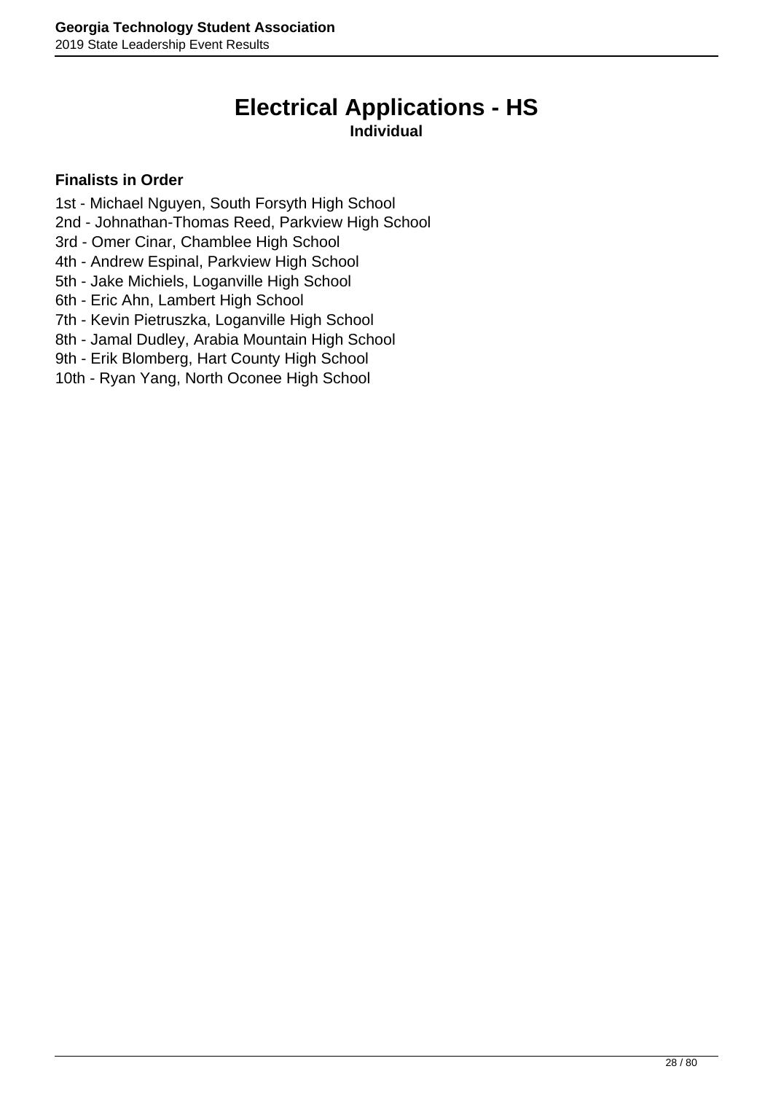# **Electrical Applications - HS**

### **Individual**

- <span id="page-27-0"></span>1st - Michael Nguyen, South Forsyth High School
- 2nd Johnathan-Thomas Reed, Parkview High School
- 3rd Omer Cinar, Chamblee High School
- 4th Andrew Espinal, Parkview High School
- 5th Jake Michiels, Loganville High School
- 6th Eric Ahn, Lambert High School
- 7th Kevin Pietruszka, Loganville High School
- 8th Jamal Dudley, Arabia Mountain High School
- 9th Erik Blomberg, Hart County High School
- 10th Ryan Yang, North Oconee High School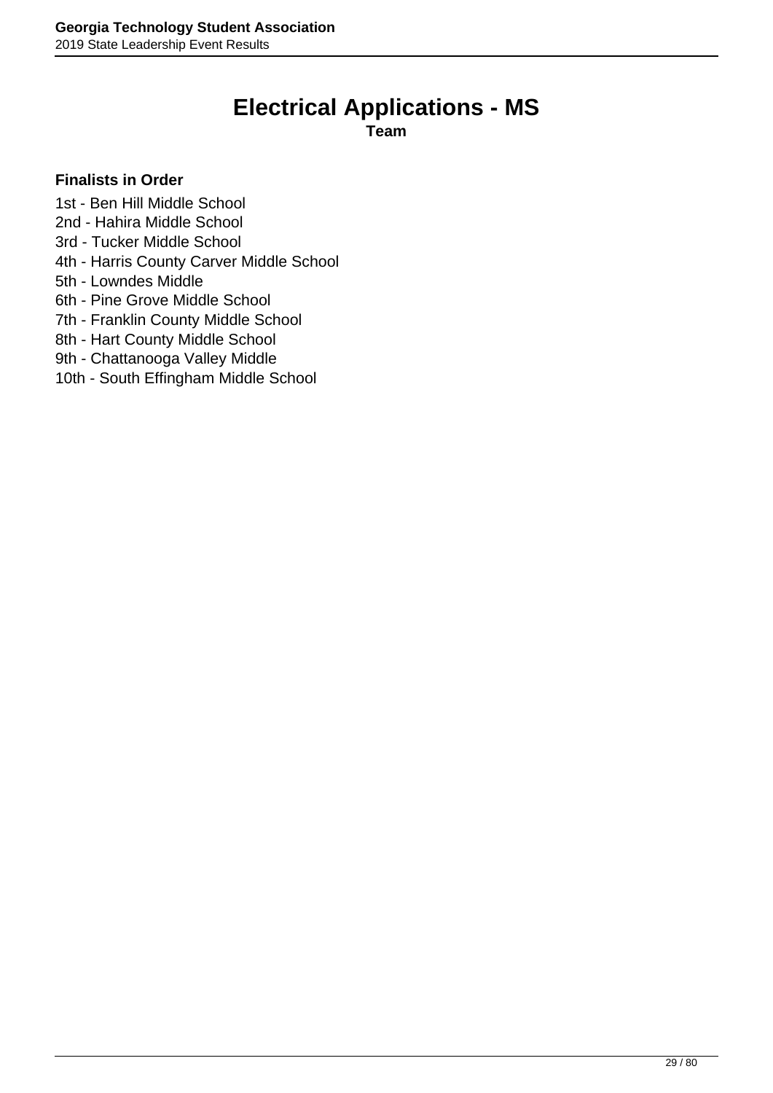# **Electrical Applications - MS**

**Team**

- <span id="page-28-0"></span>1st - Ben Hill Middle School
- 2nd Hahira Middle School
- 3rd Tucker Middle School
- 4th Harris County Carver Middle School
- 5th Lowndes Middle
- 6th Pine Grove Middle School
- 7th Franklin County Middle School
- 8th Hart County Middle School
- 9th Chattanooga Valley Middle
- 10th South Effingham Middle School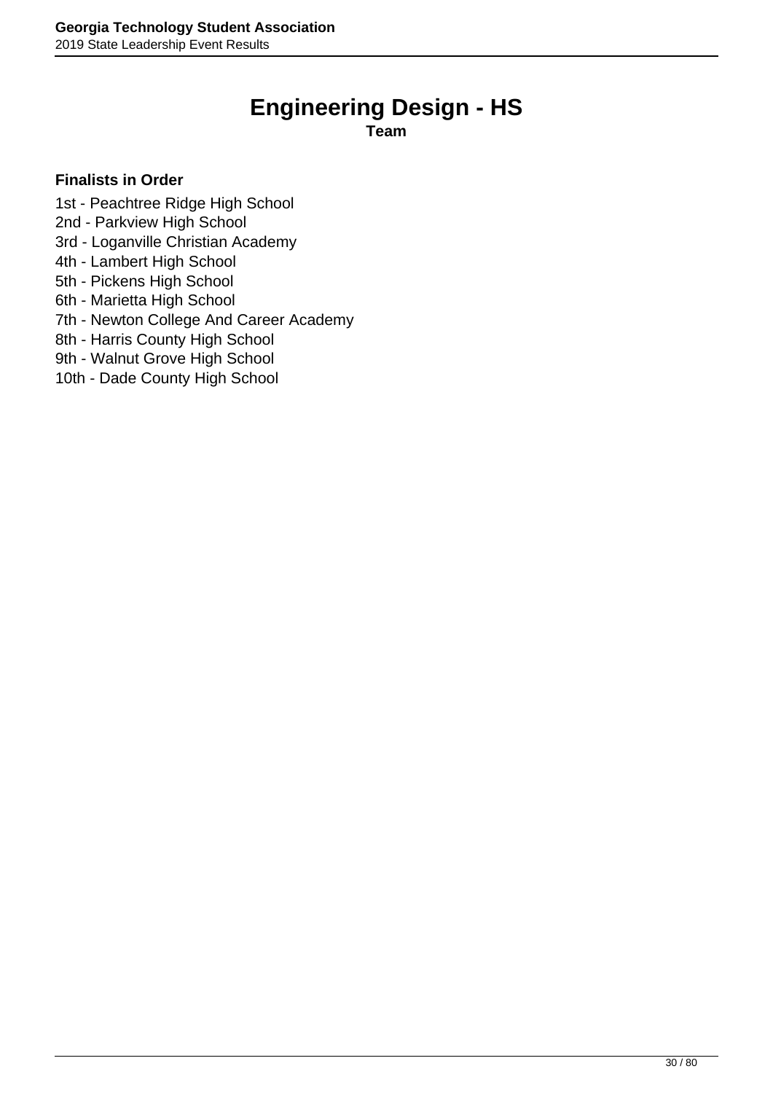# **Engineering Design - HS**

**Team**

- <span id="page-29-0"></span>1st - Peachtree Ridge High School
- 2nd Parkview High School
- 3rd Loganville Christian Academy
- 4th Lambert High School
- 5th Pickens High School
- 6th Marietta High School
- 7th Newton College And Career Academy
- 8th Harris County High School
- 9th Walnut Grove High School
- 10th Dade County High School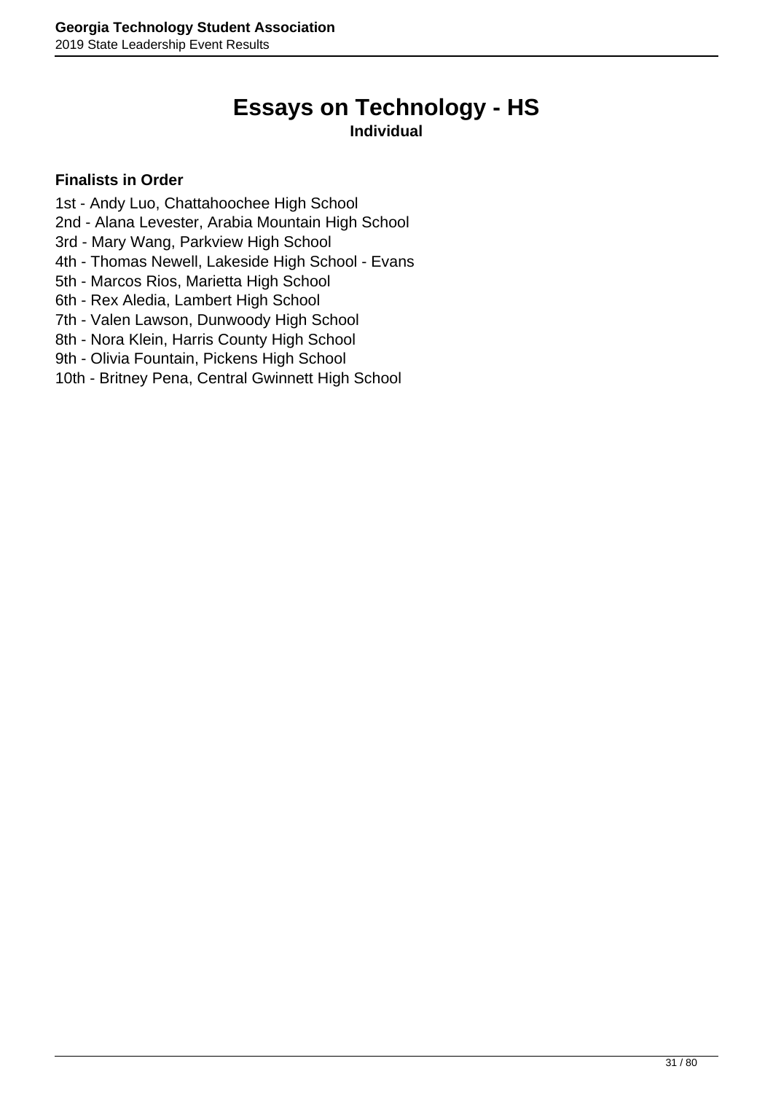# **Essays on Technology - HS**

### **Individual**

- <span id="page-30-0"></span>1st - Andy Luo, Chattahoochee High School
- 2nd Alana Levester, Arabia Mountain High School
- 3rd Mary Wang, Parkview High School
- 4th Thomas Newell, Lakeside High School Evans
- 5th Marcos Rios, Marietta High School
- 6th Rex Aledia, Lambert High School
- 7th Valen Lawson, Dunwoody High School
- 8th Nora Klein, Harris County High School
- 9th Olivia Fountain, Pickens High School
- 10th Britney Pena, Central Gwinnett High School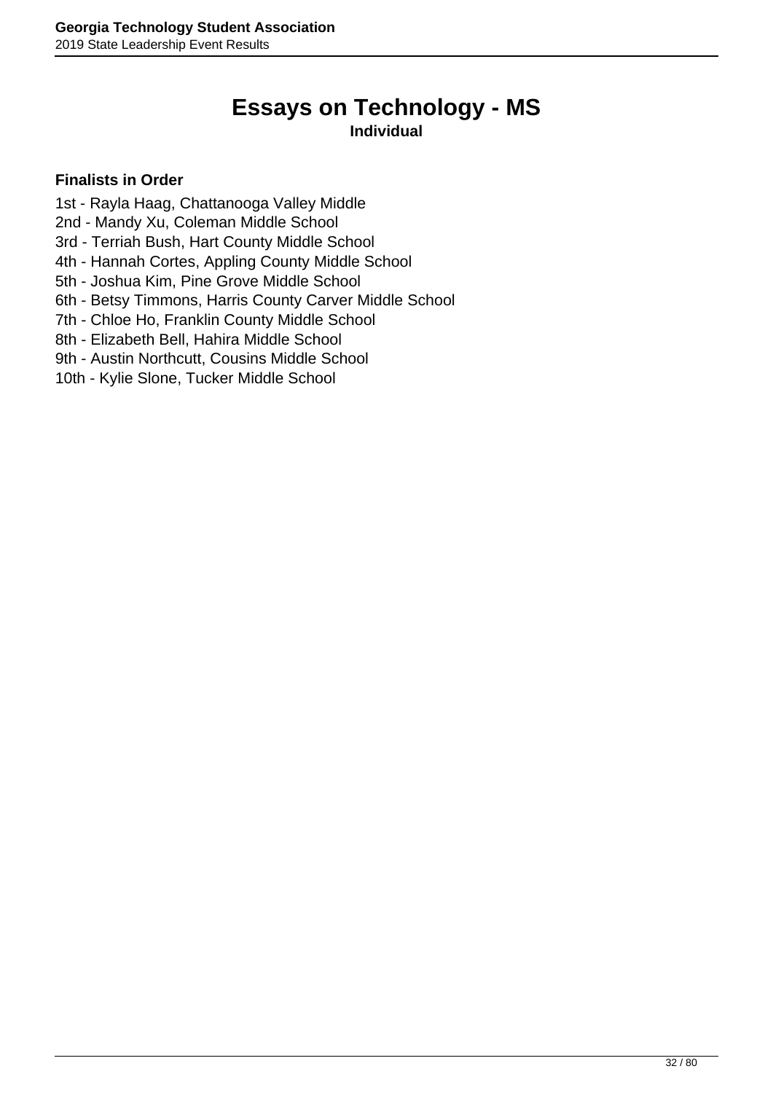# **Essays on Technology - MS**

### **Individual**

- <span id="page-31-0"></span>1st - Rayla Haag, Chattanooga Valley Middle
- 2nd Mandy Xu, Coleman Middle School
- 3rd Terriah Bush, Hart County Middle School
- 4th Hannah Cortes, Appling County Middle School
- 5th Joshua Kim, Pine Grove Middle School
- 6th Betsy Timmons, Harris County Carver Middle School
- 7th Chloe Ho, Franklin County Middle School
- 8th Elizabeth Bell, Hahira Middle School
- 9th Austin Northcutt, Cousins Middle School
- 10th Kylie Slone, Tucker Middle School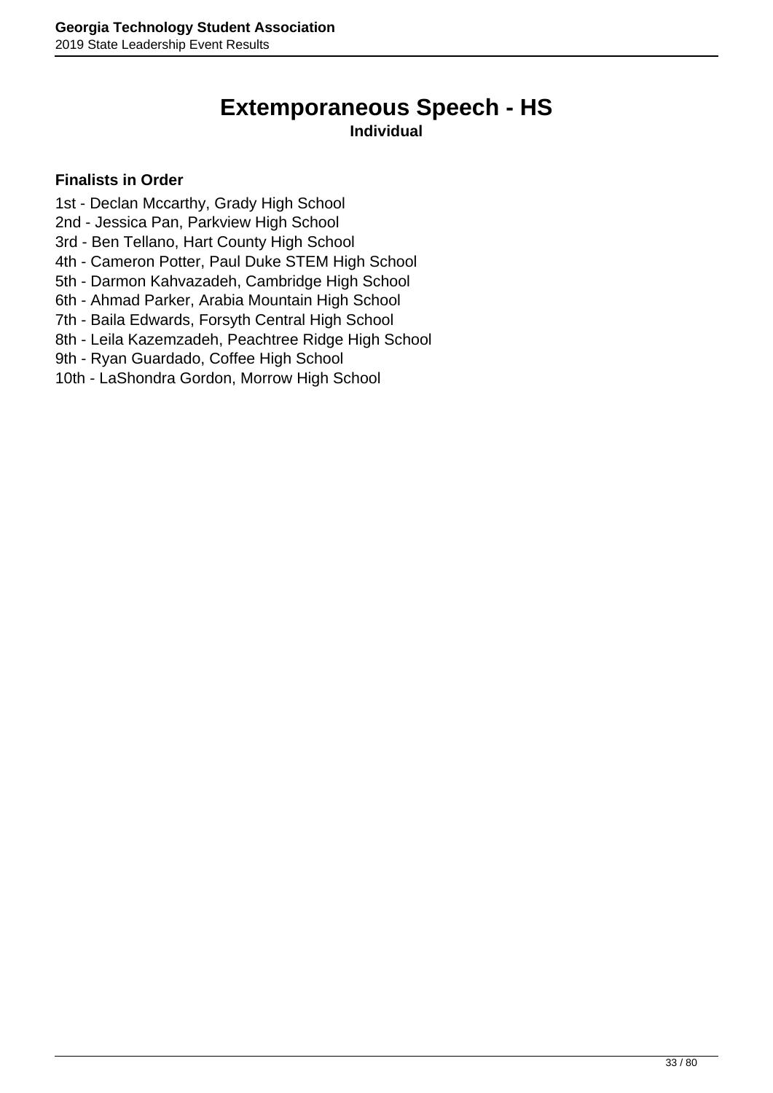# **Extemporaneous Speech - HS**

### **Individual**

- <span id="page-32-0"></span>1st - Declan Mccarthy, Grady High School
- 2nd Jessica Pan, Parkview High School
- 3rd Ben Tellano, Hart County High School
- 4th Cameron Potter, Paul Duke STEM High School
- 5th Darmon Kahvazadeh, Cambridge High School
- 6th Ahmad Parker, Arabia Mountain High School
- 7th Baila Edwards, Forsyth Central High School
- 8th Leila Kazemzadeh, Peachtree Ridge High School
- 9th Ryan Guardado, Coffee High School
- 10th LaShondra Gordon, Morrow High School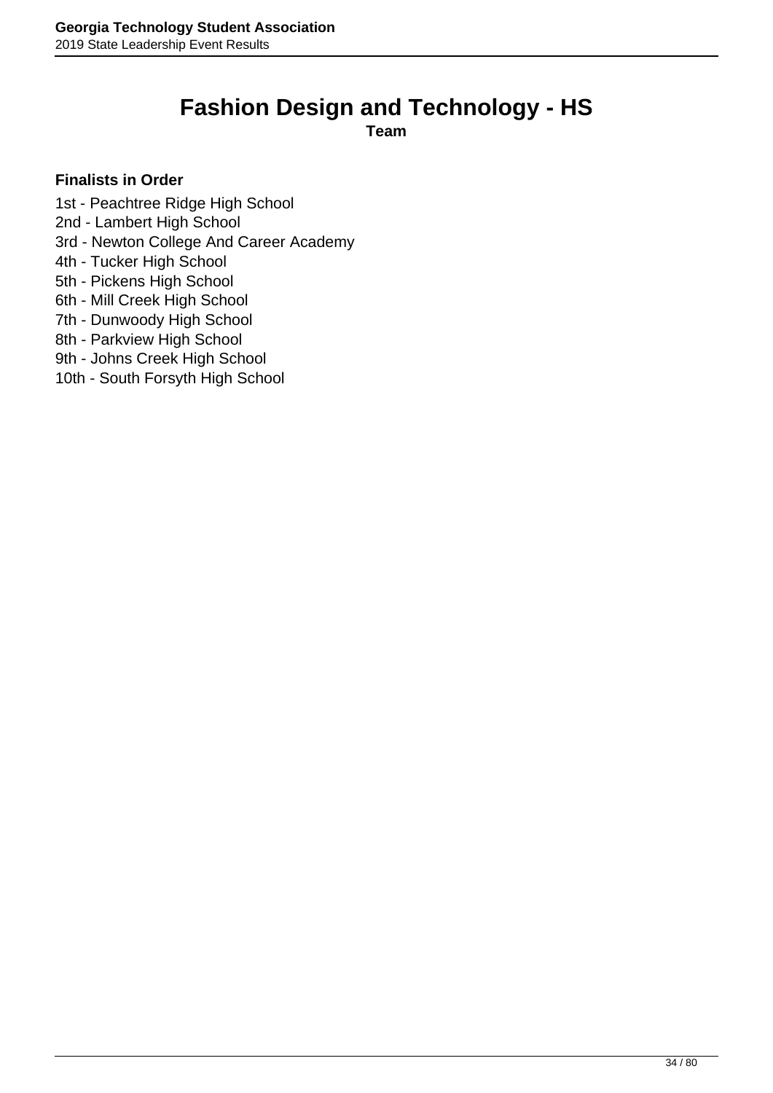## **Fashion Design and Technology - HS**

**Team**

- <span id="page-33-0"></span>1st - Peachtree Ridge High School
- 2nd Lambert High School
- 3rd Newton College And Career Academy
- 4th Tucker High School
- 5th Pickens High School
- 6th Mill Creek High School
- 7th Dunwoody High School
- 8th Parkview High School
- 9th Johns Creek High School
- 10th South Forsyth High School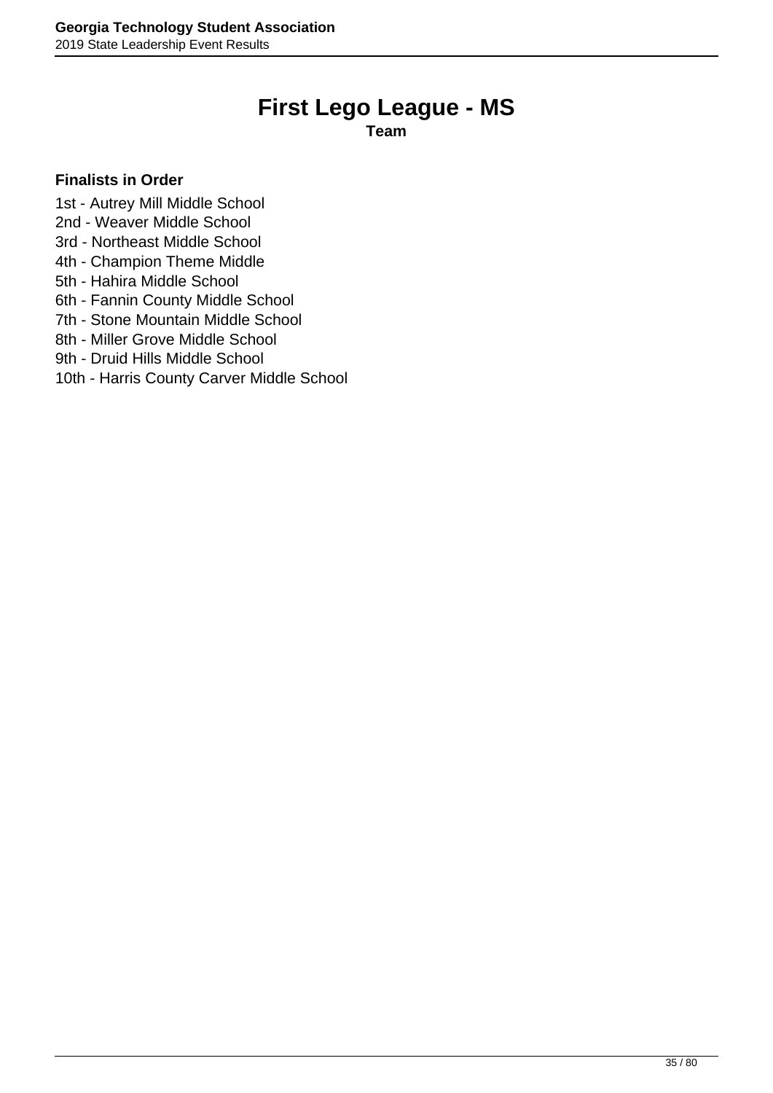# **First Lego League - MS**

**Team**

- <span id="page-34-0"></span>1st - Autrey Mill Middle School
- 2nd Weaver Middle School
- 3rd Northeast Middle School
- 4th Champion Theme Middle
- 5th Hahira Middle School
- 6th Fannin County Middle School
- 7th Stone Mountain Middle School
- 8th Miller Grove Middle School
- 9th Druid Hills Middle School
- 10th Harris County Carver Middle School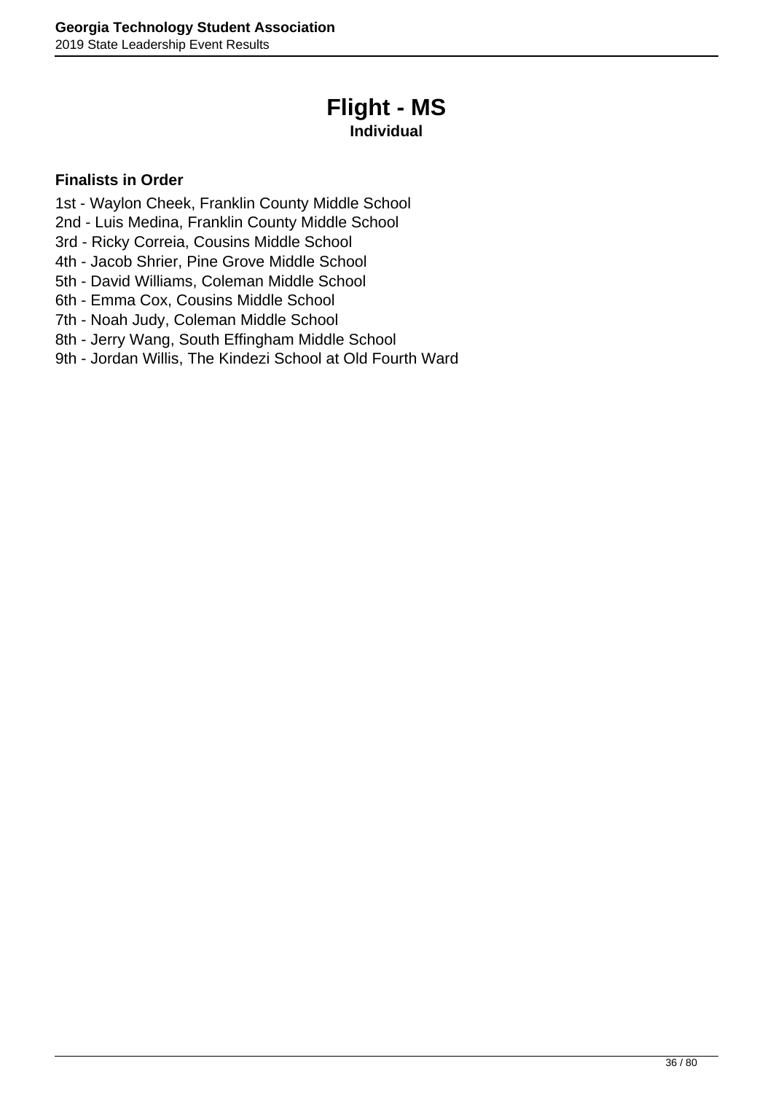# **Flight - MS**

### **Individual**

- <span id="page-35-0"></span>1st - Waylon Cheek, Franklin County Middle School
- 2nd Luis Medina, Franklin County Middle School
- 3rd Ricky Correia, Cousins Middle School
- 4th Jacob Shrier, Pine Grove Middle School
- 5th David Williams, Coleman Middle School
- 6th Emma Cox, Cousins Middle School
- 7th Noah Judy, Coleman Middle School
- 8th Jerry Wang, South Effingham Middle School
- 9th Jordan Willis, The Kindezi School at Old Fourth Ward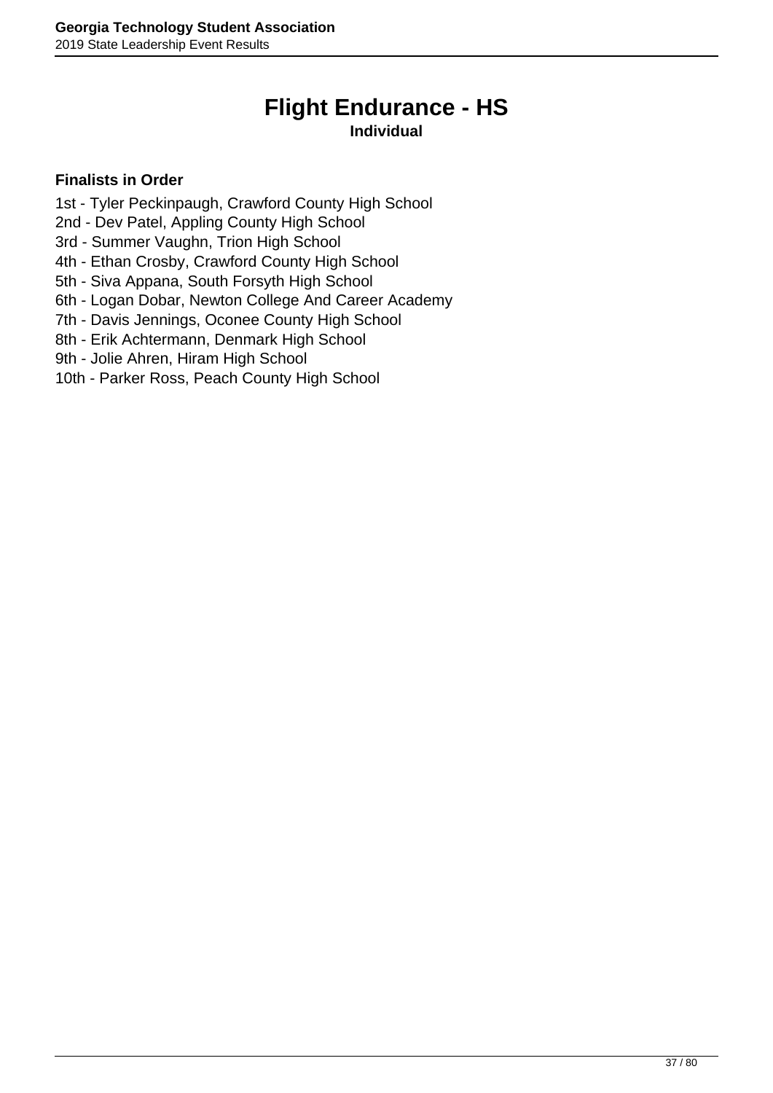# **Flight Endurance - HS**

### **Individual**

- 1st Tyler Peckinpaugh, Crawford County High School
- 2nd Dev Patel, Appling County High School
- 3rd Summer Vaughn, Trion High School
- 4th Ethan Crosby, Crawford County High School
- 5th Siva Appana, South Forsyth High School
- 6th Logan Dobar, Newton College And Career Academy
- 7th Davis Jennings, Oconee County High School
- 8th Erik Achtermann, Denmark High School
- 9th Jolie Ahren, Hiram High School
- 10th Parker Ross, Peach County High School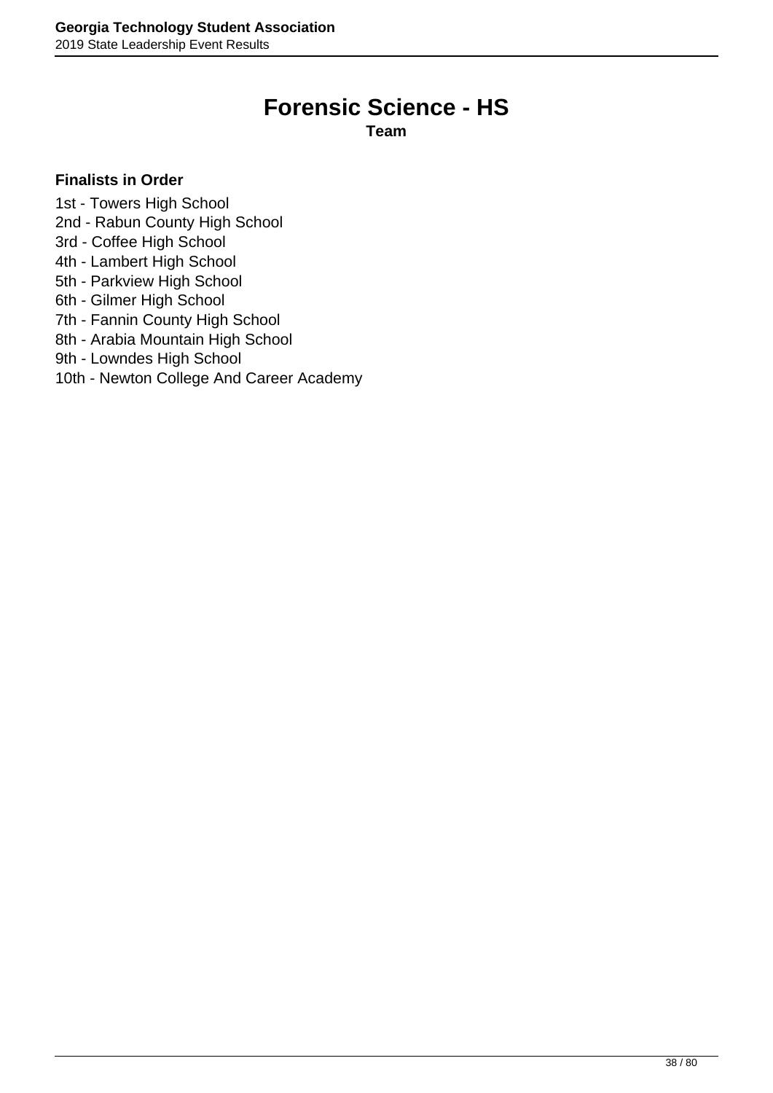# **Forensic Science - HS**

**Team**

- 1st Towers High School
- 2nd Rabun County High School
- 3rd Coffee High School
- 4th Lambert High School
- 5th Parkview High School
- 6th Gilmer High School
- 7th Fannin County High School
- 8th Arabia Mountain High School
- 9th Lowndes High School
- 10th Newton College And Career Academy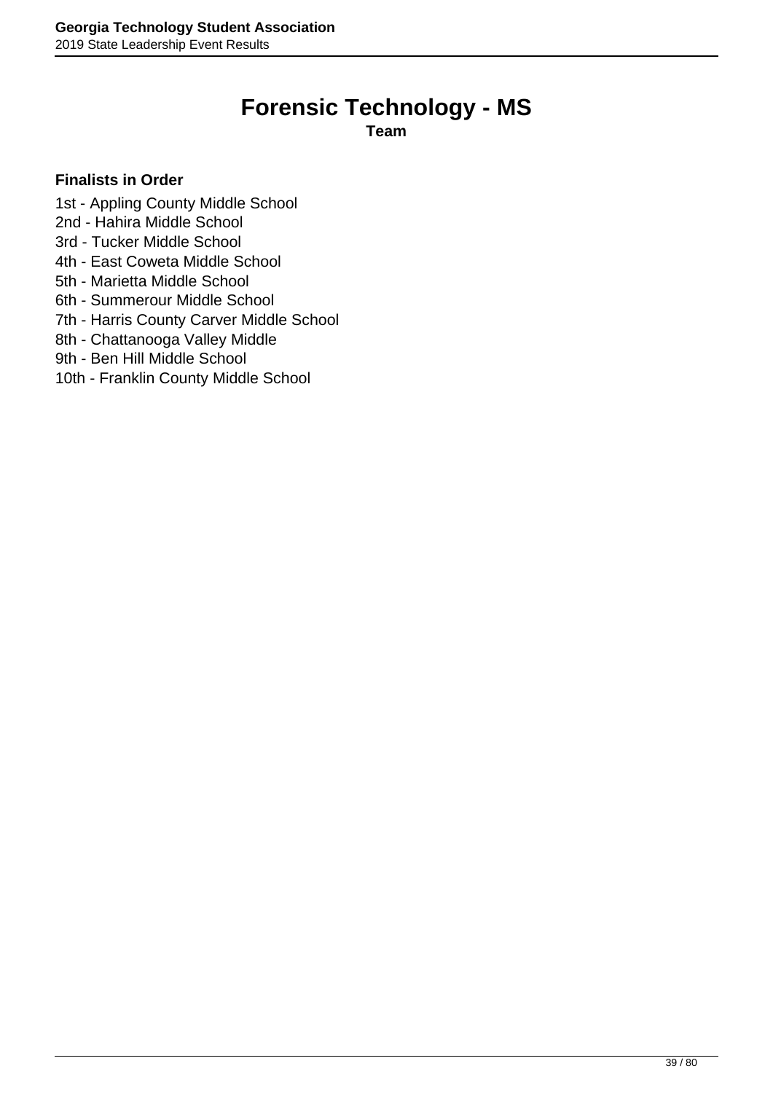# **Forensic Technology - MS**

**Team**

- 1st Appling County Middle School
- 2nd Hahira Middle School
- 3rd Tucker Middle School
- 4th East Coweta Middle School
- 5th Marietta Middle School
- 6th Summerour Middle School
- 7th Harris County Carver Middle School
- 8th Chattanooga Valley Middle
- 9th Ben Hill Middle School
- 10th Franklin County Middle School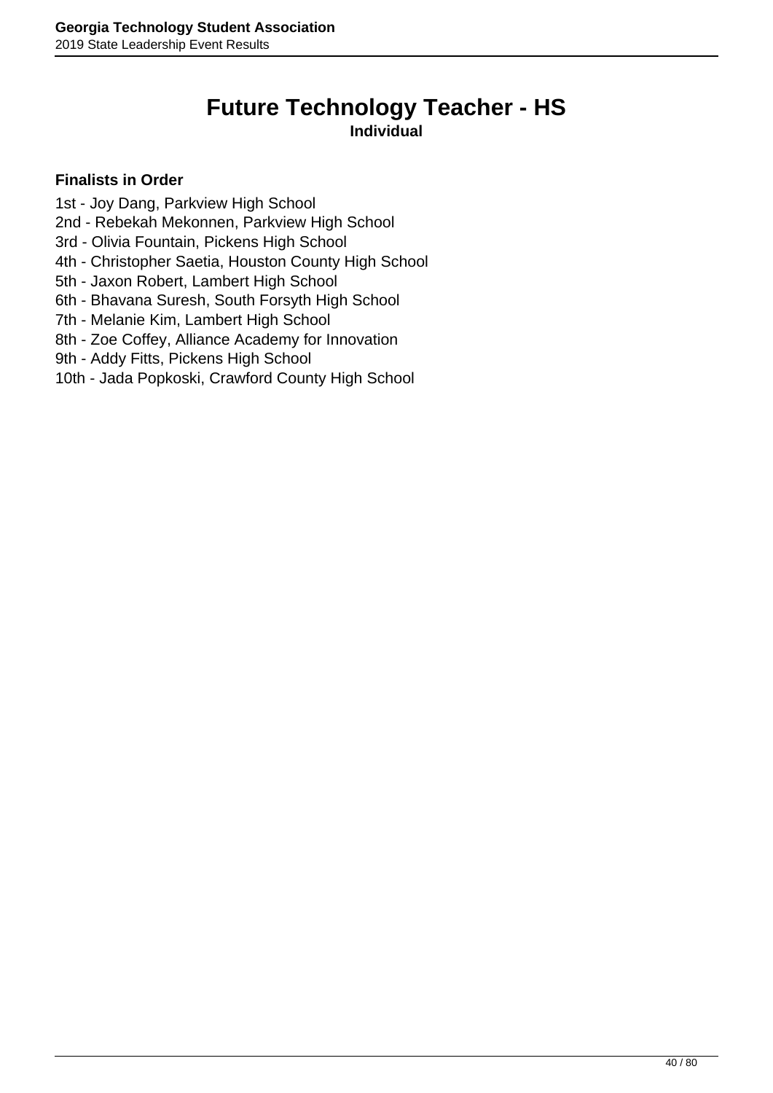# **Future Technology Teacher - HS**

**Individual**

- 1st Joy Dang, Parkview High School
- 2nd Rebekah Mekonnen, Parkview High School
- 3rd Olivia Fountain, Pickens High School
- 4th Christopher Saetia, Houston County High School
- 5th Jaxon Robert, Lambert High School
- 6th Bhavana Suresh, South Forsyth High School
- 7th Melanie Kim, Lambert High School
- 8th Zoe Coffey, Alliance Academy for Innovation
- 9th Addy Fitts, Pickens High School
- 10th Jada Popkoski, Crawford County High School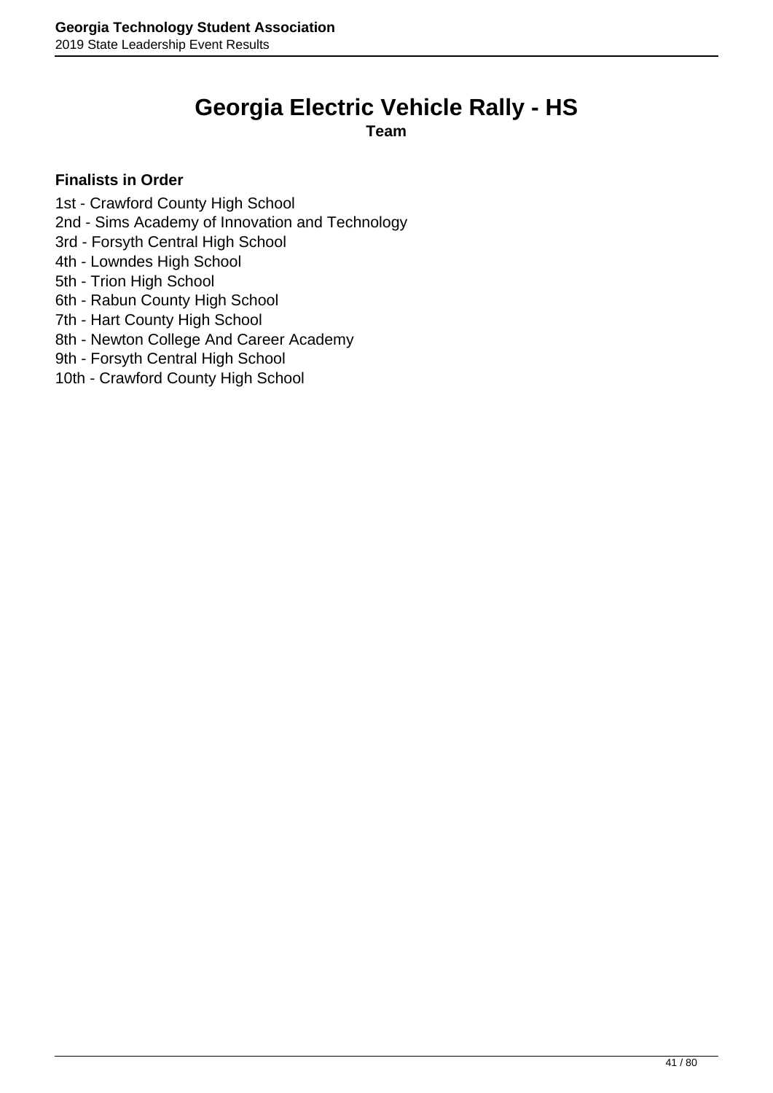# **Georgia Electric Vehicle Rally - HS**

**Team**

- 1st Crawford County High School
- 2nd Sims Academy of Innovation and Technology
- 3rd Forsyth Central High School
- 4th Lowndes High School
- 5th Trion High School
- 6th Rabun County High School
- 7th Hart County High School
- 8th Newton College And Career Academy
- 9th Forsyth Central High School
- 10th Crawford County High School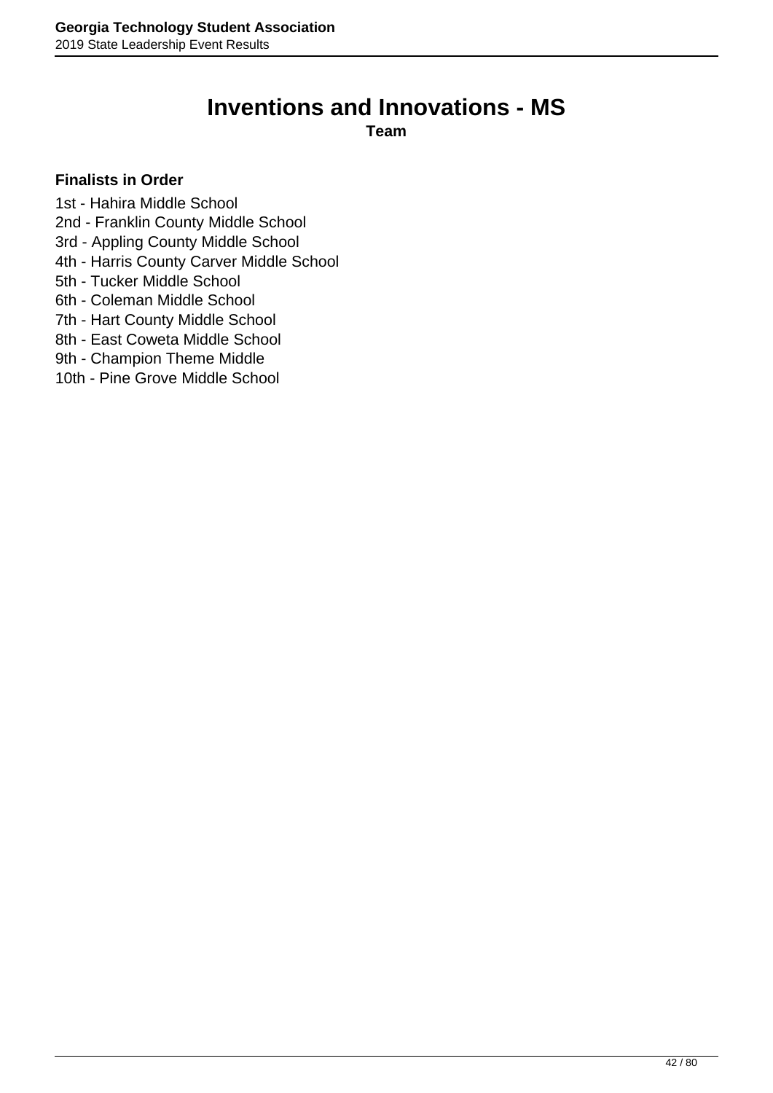# **Inventions and Innovations - MS**

**Team**

- 1st Hahira Middle School
- 2nd Franklin County Middle School
- 3rd Appling County Middle School
- 4th Harris County Carver Middle School
- 5th Tucker Middle School
- 6th Coleman Middle School
- 7th Hart County Middle School
- 8th East Coweta Middle School
- 9th Champion Theme Middle
- 10th Pine Grove Middle School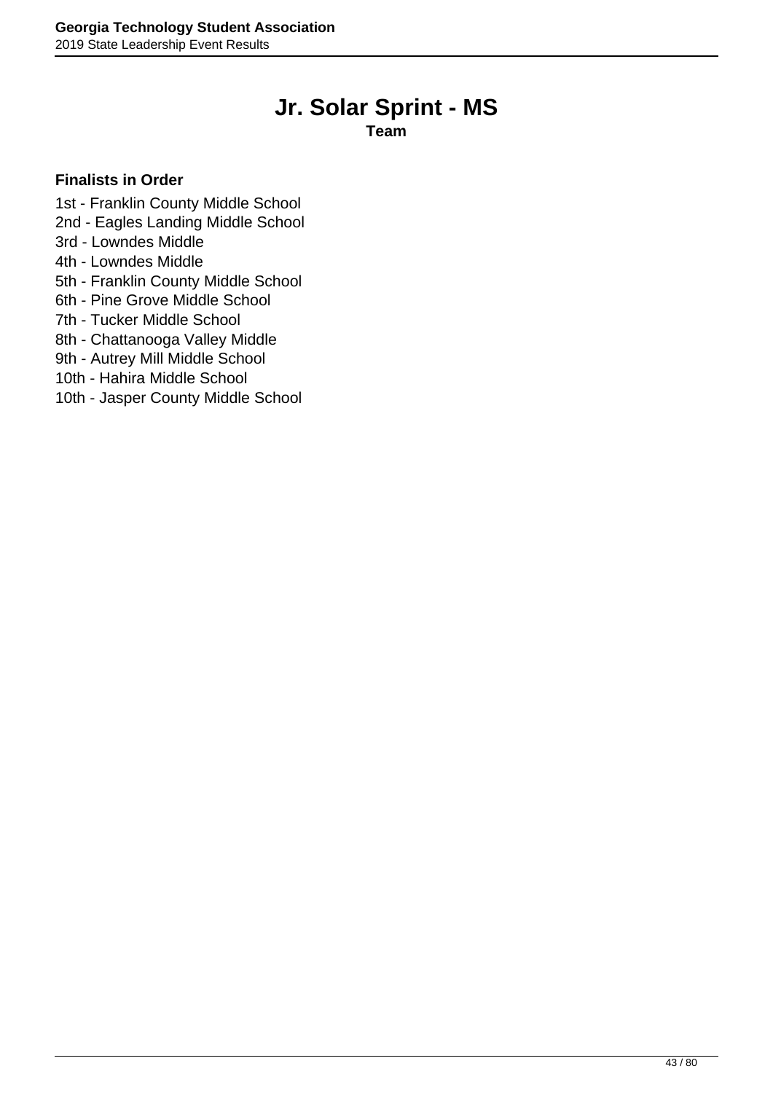# **Jr. Solar Sprint - MS**

**Team**

- 1st Franklin County Middle School
- 2nd Eagles Landing Middle School
- 3rd Lowndes Middle
- 4th Lowndes Middle
- 5th Franklin County Middle School
- 6th Pine Grove Middle School
- 7th Tucker Middle School
- 8th Chattanooga Valley Middle
- 9th Autrey Mill Middle School
- 10th Hahira Middle School
- 10th Jasper County Middle School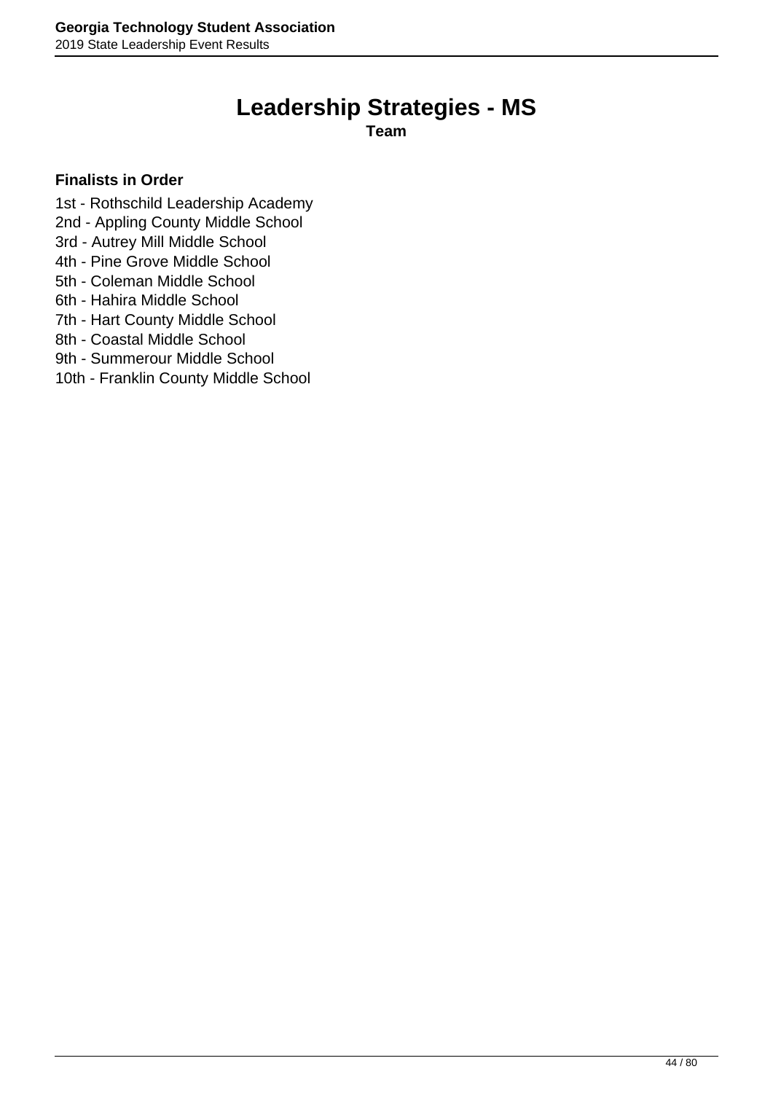# **Leadership Strategies - MS**

**Team**

- 1st Rothschild Leadership Academy
- 2nd Appling County Middle School
- 3rd Autrey Mill Middle School
- 4th Pine Grove Middle School
- 5th Coleman Middle School
- 6th Hahira Middle School
- 7th Hart County Middle School
- 8th Coastal Middle School
- 9th Summerour Middle School
- 10th Franklin County Middle School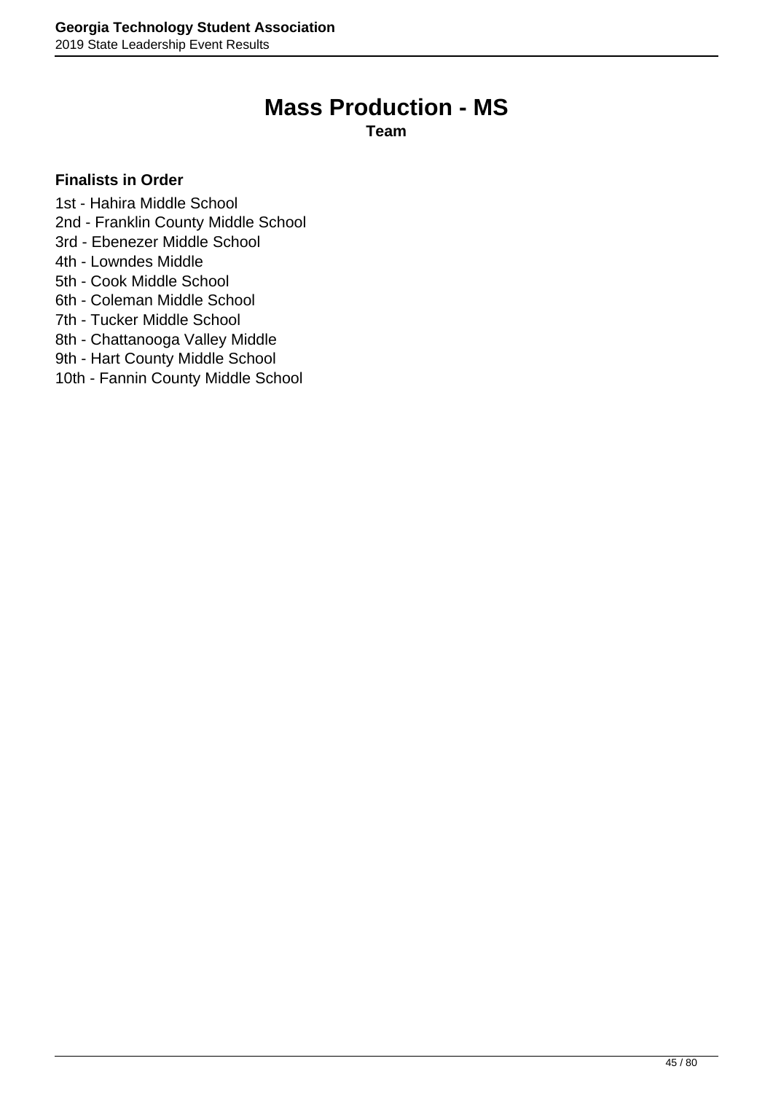# **Mass Production - MS**

**Team**

- 1st Hahira Middle School
- 2nd Franklin County Middle School
- 3rd Ebenezer Middle School
- 4th Lowndes Middle
- 5th Cook Middle School
- 6th Coleman Middle School
- 7th Tucker Middle School
- 8th Chattanooga Valley Middle
- 9th Hart County Middle School
- 10th Fannin County Middle School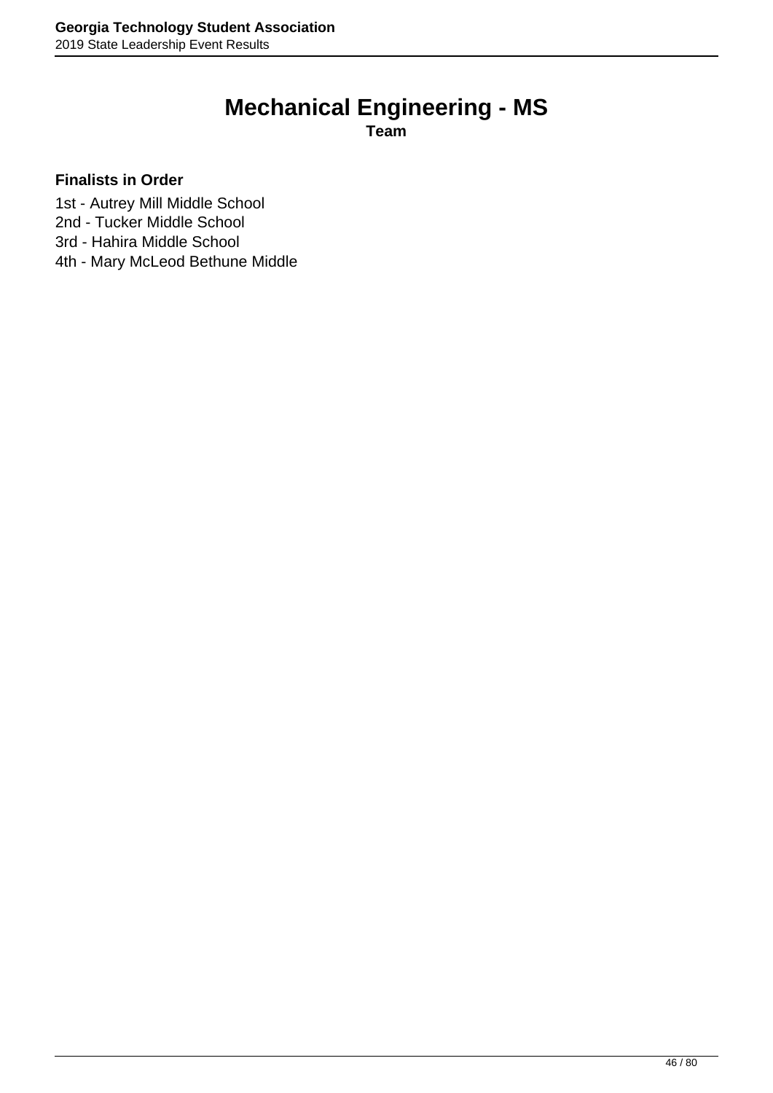# **Mechanical Engineering - MS**

**Team**

- 1st Autrey Mill Middle School
- 2nd Tucker Middle School
- 3rd Hahira Middle School
- 4th Mary McLeod Bethune Middle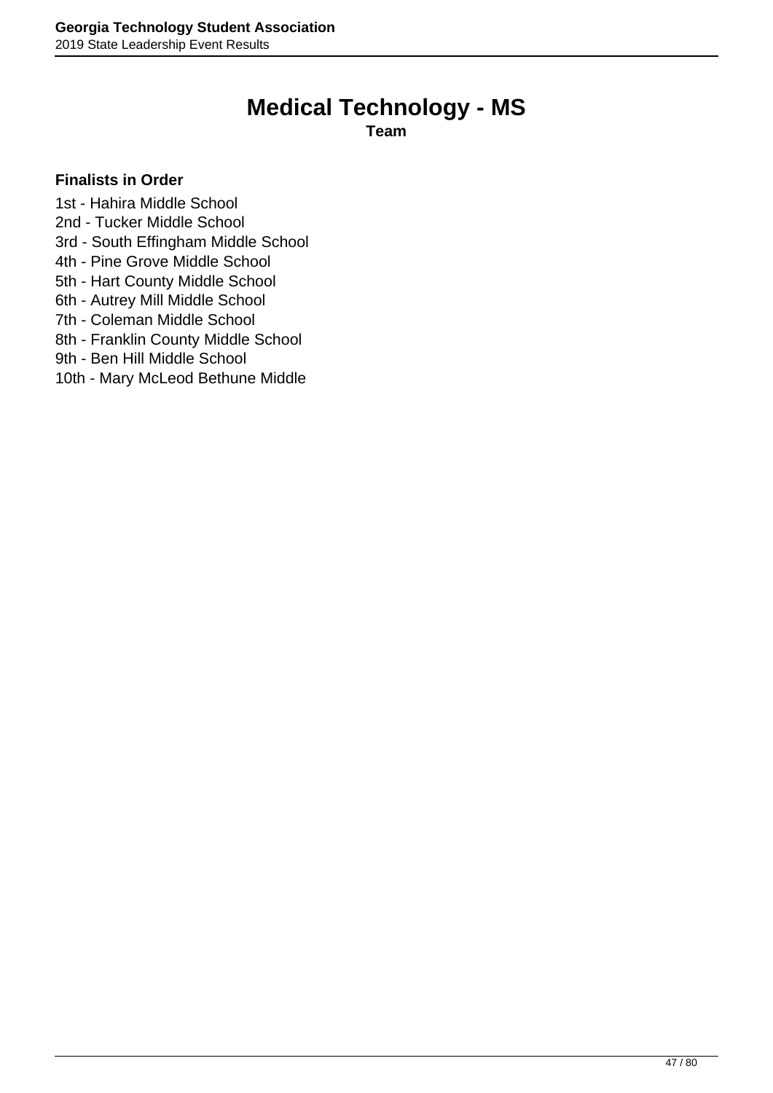# **Medical Technology - MS**

**Team**

### **Finalists in Order**

1st - Hahira Middle School

- 2nd Tucker Middle School
- 3rd South Effingham Middle School
- 4th Pine Grove Middle School
- 5th Hart County Middle School
- 6th Autrey Mill Middle School
- 7th Coleman Middle School
- 8th Franklin County Middle School
- 9th Ben Hill Middle School
- 10th Mary McLeod Bethune Middle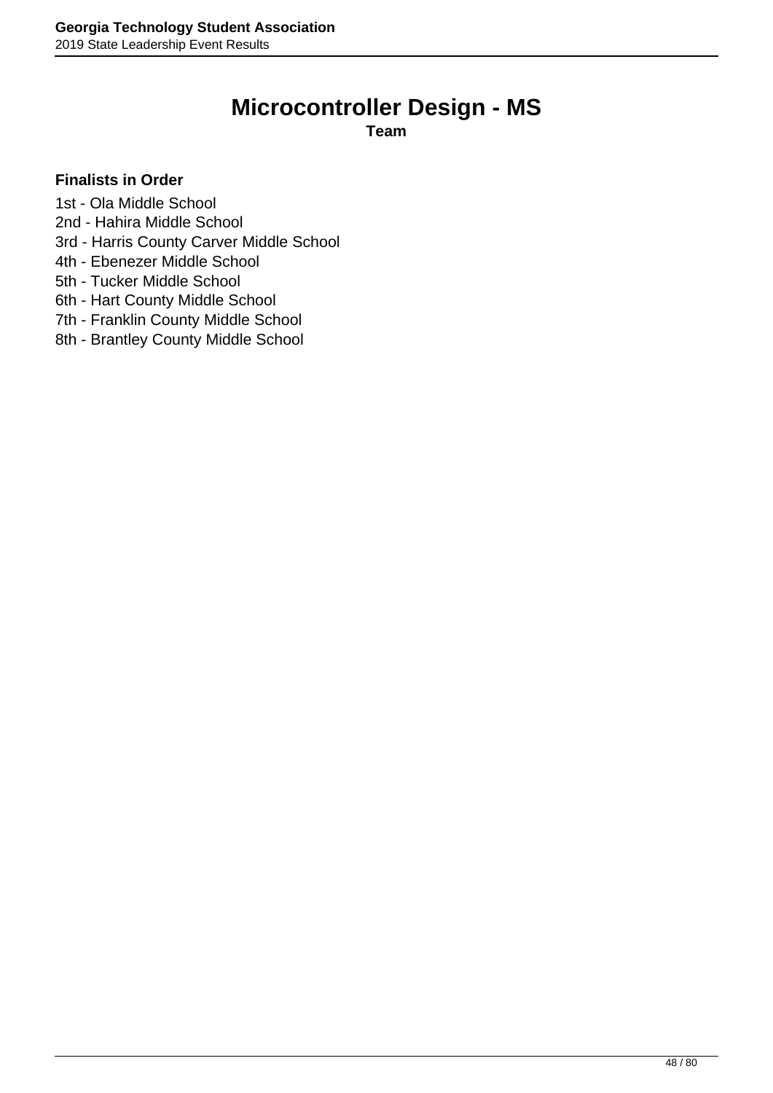# **Microcontroller Design - MS**

**Team**

- 1st Ola Middle School
- 2nd Hahira Middle School
- 3rd Harris County Carver Middle School
- 4th Ebenezer Middle School
- 5th Tucker Middle School
- 6th Hart County Middle School
- 7th Franklin County Middle School
- 8th Brantley County Middle School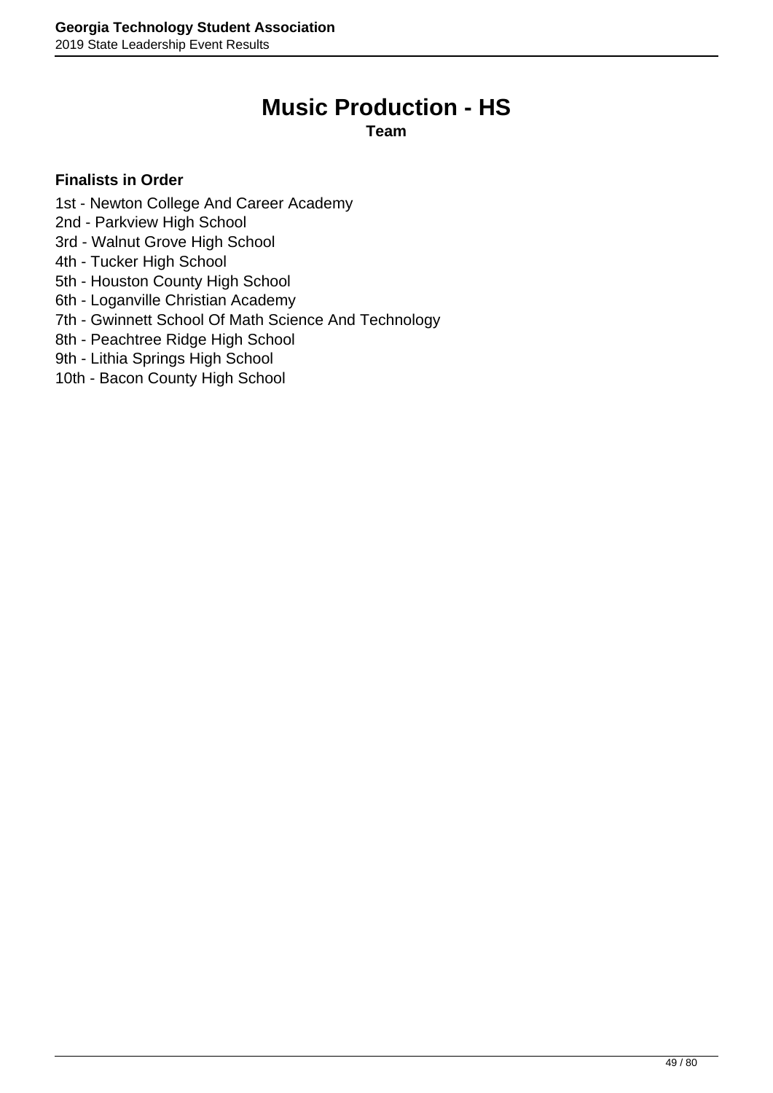# **Music Production - HS**

**Team**

- 1st Newton College And Career Academy
- 2nd Parkview High School
- 3rd Walnut Grove High School
- 4th Tucker High School
- 5th Houston County High School
- 6th Loganville Christian Academy
- 7th Gwinnett School Of Math Science And Technology
- 8th Peachtree Ridge High School
- 9th Lithia Springs High School
- 10th Bacon County High School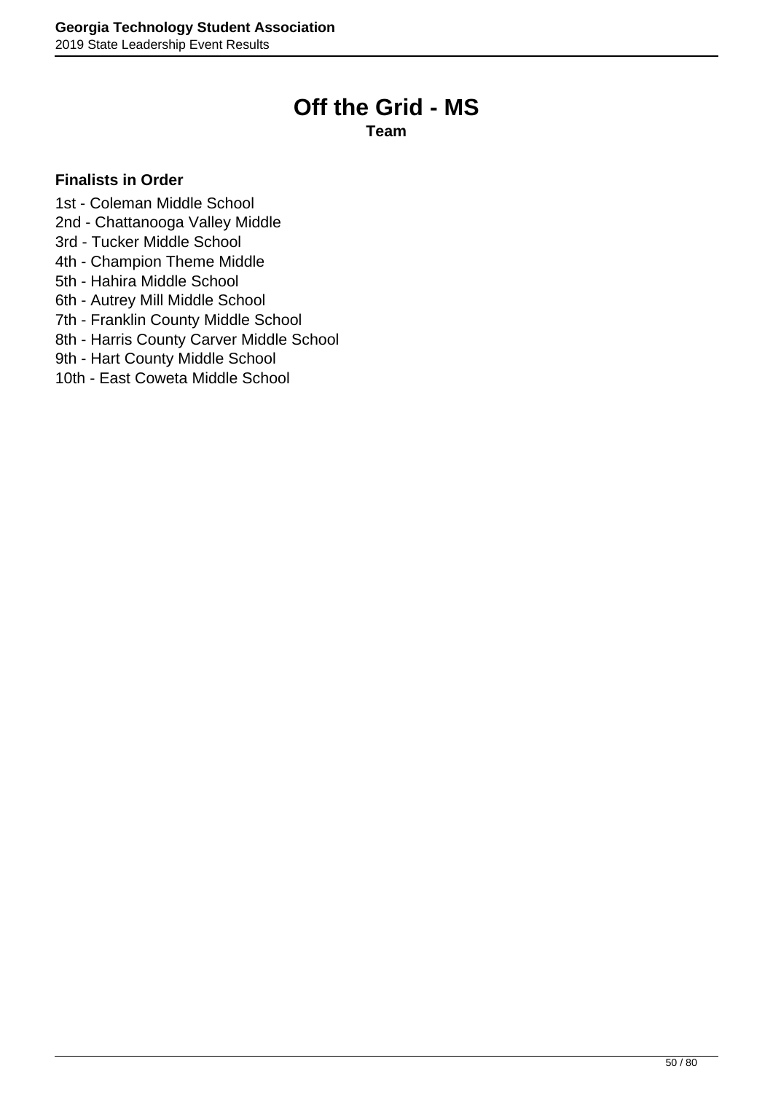# **Off the Grid - MS**

**Team**

- 1st Coleman Middle School
- 2nd Chattanooga Valley Middle
- 3rd Tucker Middle School
- 4th Champion Theme Middle
- 5th Hahira Middle School
- 6th Autrey Mill Middle School
- 7th Franklin County Middle School
- 8th Harris County Carver Middle School
- 9th Hart County Middle School
- 10th East Coweta Middle School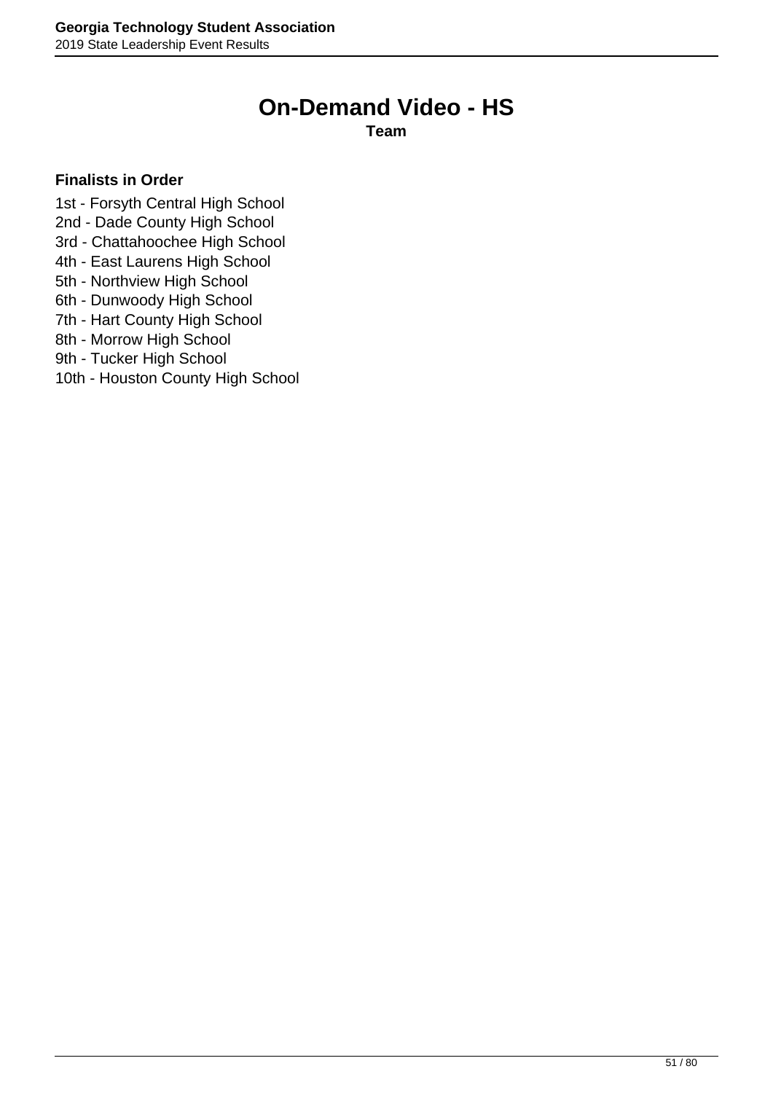# **On-Demand Video - HS**

**Team**

- 1st Forsyth Central High School
- 2nd Dade County High School
- 3rd Chattahoochee High School
- 4th East Laurens High School
- 5th Northview High School
- 6th Dunwoody High School
- 7th Hart County High School
- 8th Morrow High School
- 9th Tucker High School
- 10th Houston County High School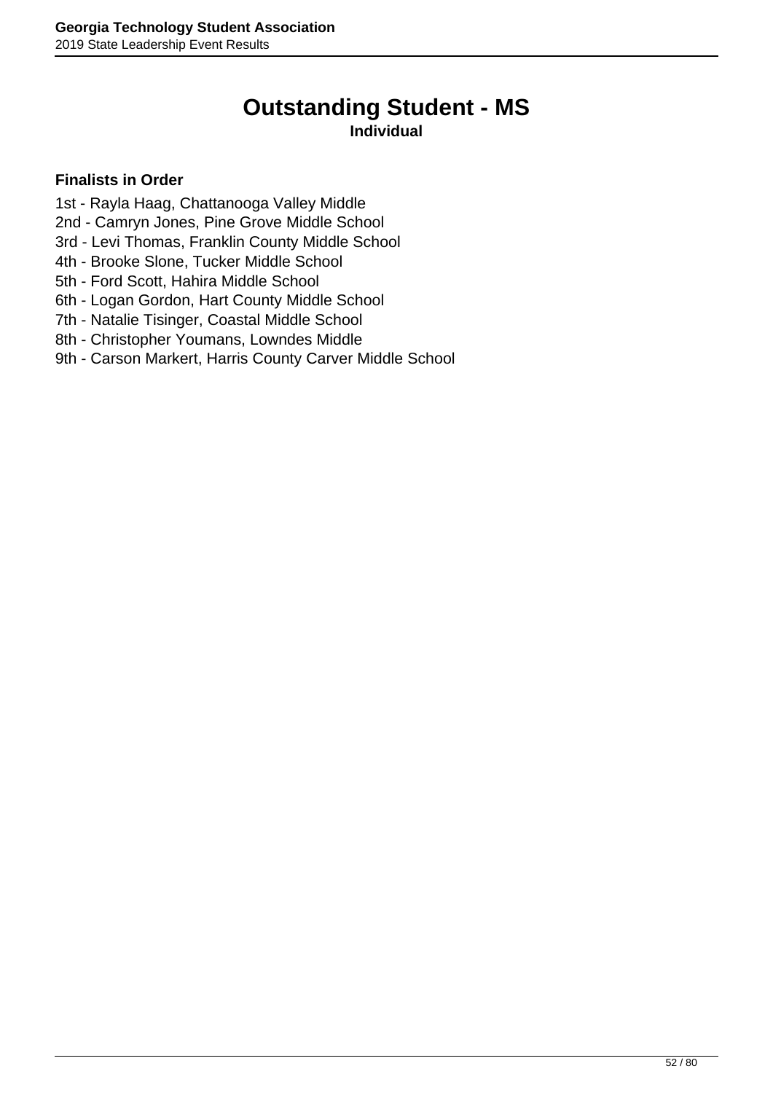# **Outstanding Student - MS**

### **Individual**

- 1st Rayla Haag, Chattanooga Valley Middle
- 2nd Camryn Jones, Pine Grove Middle School
- 3rd Levi Thomas, Franklin County Middle School
- 4th Brooke Slone, Tucker Middle School
- 5th Ford Scott, Hahira Middle School
- 6th Logan Gordon, Hart County Middle School
- 7th Natalie Tisinger, Coastal Middle School
- 8th Christopher Youmans, Lowndes Middle
- 9th Carson Markert, Harris County Carver Middle School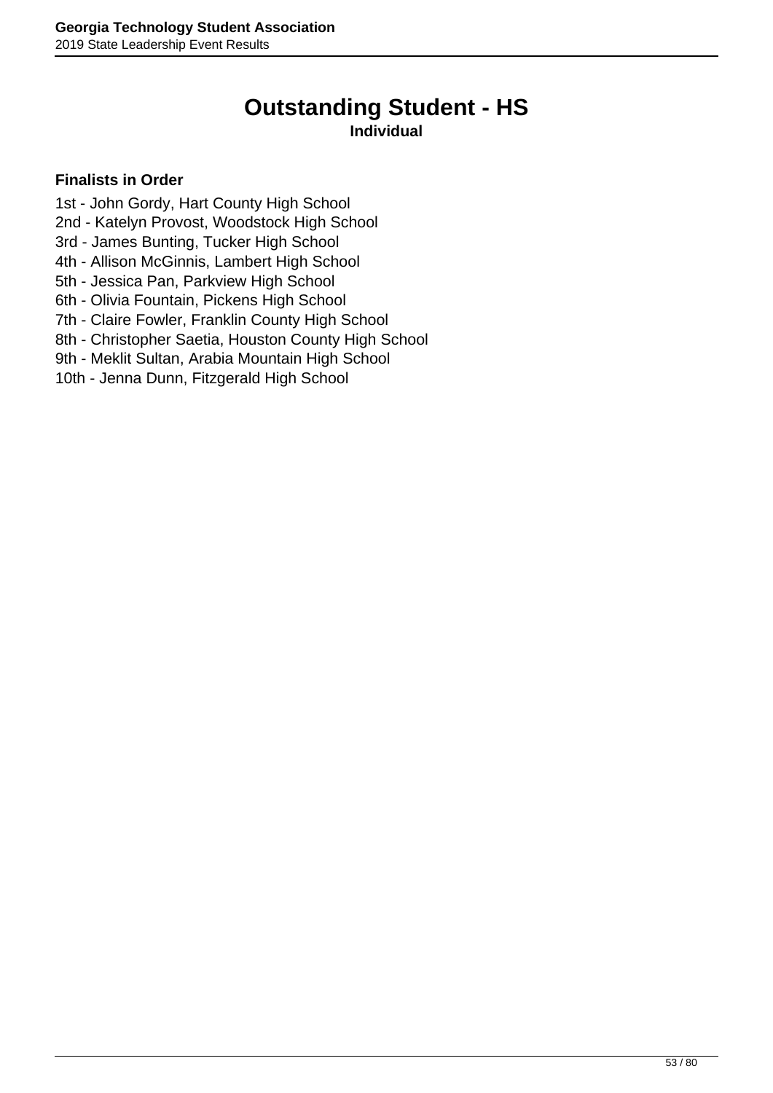# **Outstanding Student - HS**

### **Individual**

- 1st John Gordy, Hart County High School
- 2nd Katelyn Provost, Woodstock High School
- 3rd James Bunting, Tucker High School
- 4th Allison McGinnis, Lambert High School
- 5th Jessica Pan, Parkview High School
- 6th Olivia Fountain, Pickens High School
- 7th Claire Fowler, Franklin County High School
- 8th Christopher Saetia, Houston County High School
- 9th Meklit Sultan, Arabia Mountain High School
- 10th Jenna Dunn, Fitzgerald High School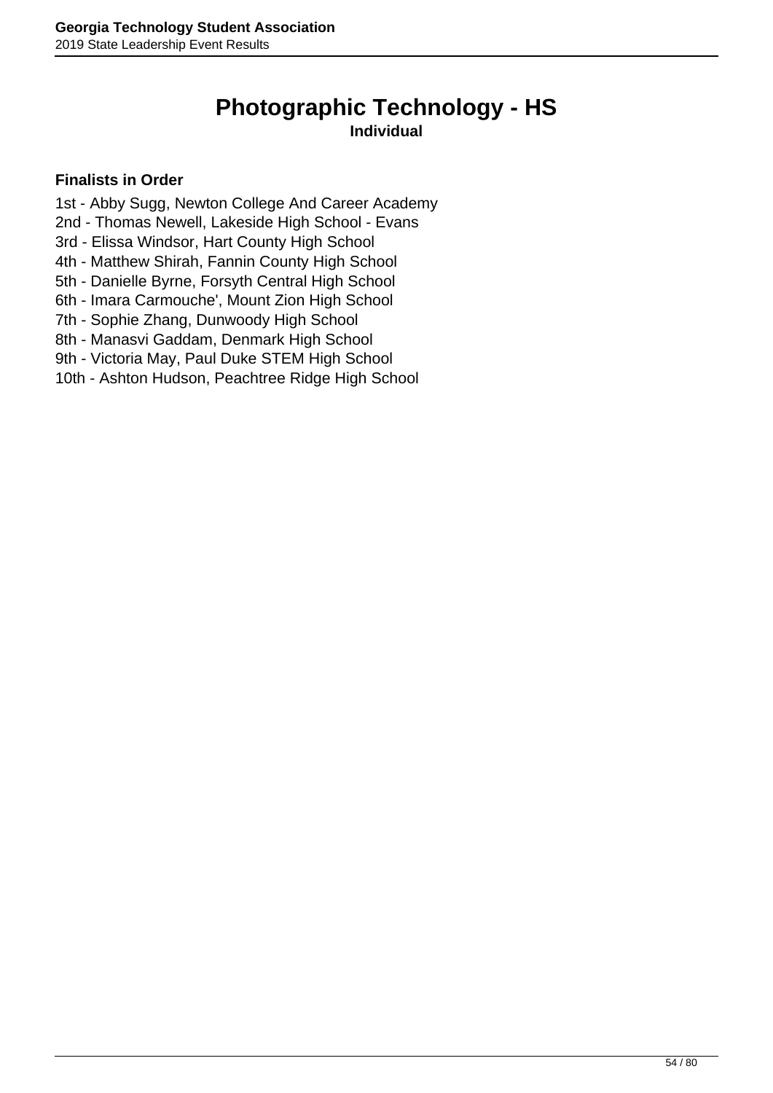# **Photographic Technology - HS**

## **Individual**

- 1st Abby Sugg, Newton College And Career Academy
- 2nd Thomas Newell, Lakeside High School Evans
- 3rd Elissa Windsor, Hart County High School
- 4th Matthew Shirah, Fannin County High School
- 5th Danielle Byrne, Forsyth Central High School
- 6th Imara Carmouche', Mount Zion High School
- 7th Sophie Zhang, Dunwoody High School
- 8th Manasvi Gaddam, Denmark High School
- 9th Victoria May, Paul Duke STEM High School
- 10th Ashton Hudson, Peachtree Ridge High School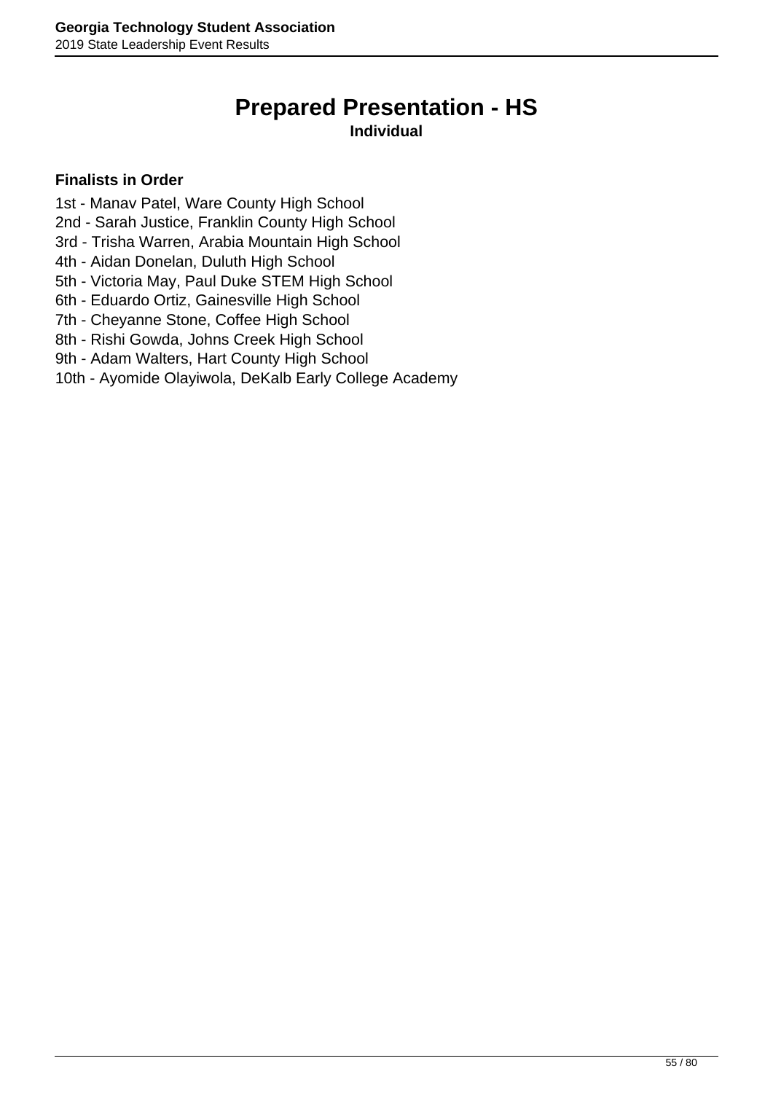# **Prepared Presentation - HS**

### **Individual**

- 1st Manav Patel, Ware County High School
- 2nd Sarah Justice, Franklin County High School
- 3rd Trisha Warren, Arabia Mountain High School
- 4th Aidan Donelan, Duluth High School
- 5th Victoria May, Paul Duke STEM High School
- 6th Eduardo Ortiz, Gainesville High School
- 7th Cheyanne Stone, Coffee High School
- 8th Rishi Gowda, Johns Creek High School
- 9th Adam Walters, Hart County High School
- 10th Ayomide Olayiwola, DeKalb Early College Academy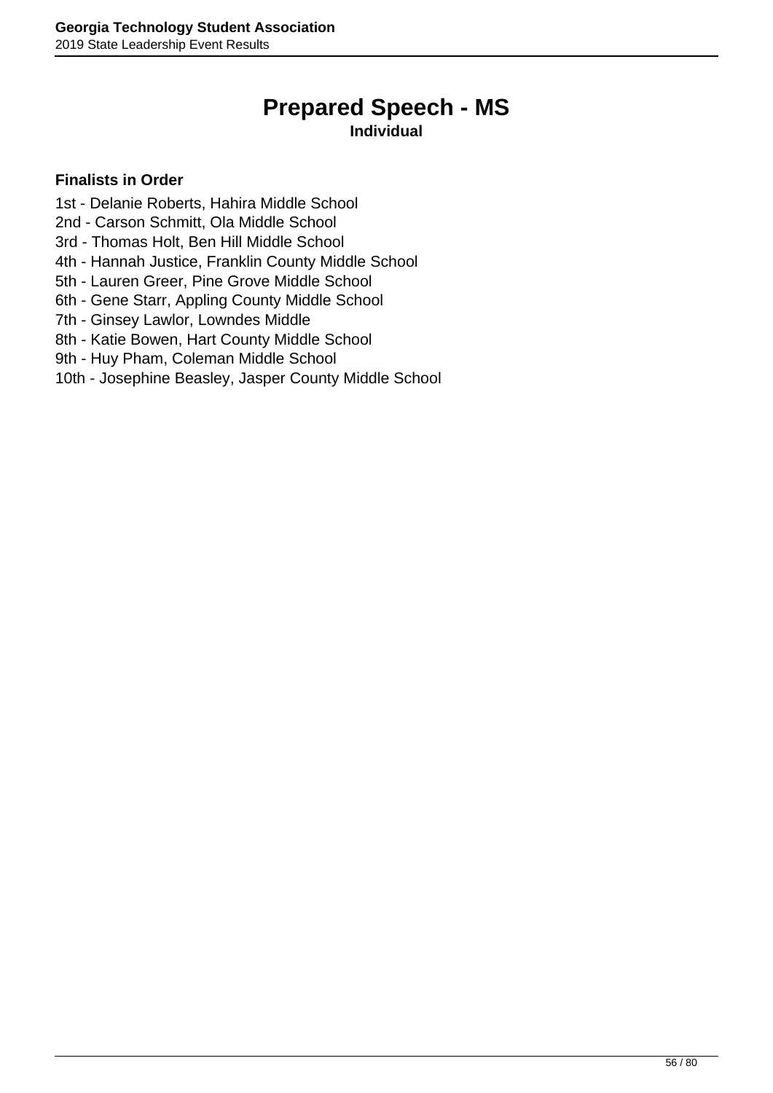# **Prepared Speech - MS**

### **Individual**

- 1st Delanie Roberts, Hahira Middle School
- 2nd Carson Schmitt, Ola Middle School
- 3rd Thomas Holt, Ben Hill Middle School
- 4th Hannah Justice, Franklin County Middle School
- 5th Lauren Greer, Pine Grove Middle School
- 6th Gene Starr, Appling County Middle School
- 7th Ginsey Lawlor, Lowndes Middle
- 8th Katie Bowen, Hart County Middle School
- 9th Huy Pham, Coleman Middle School
- 10th Josephine Beasley, Jasper County Middle School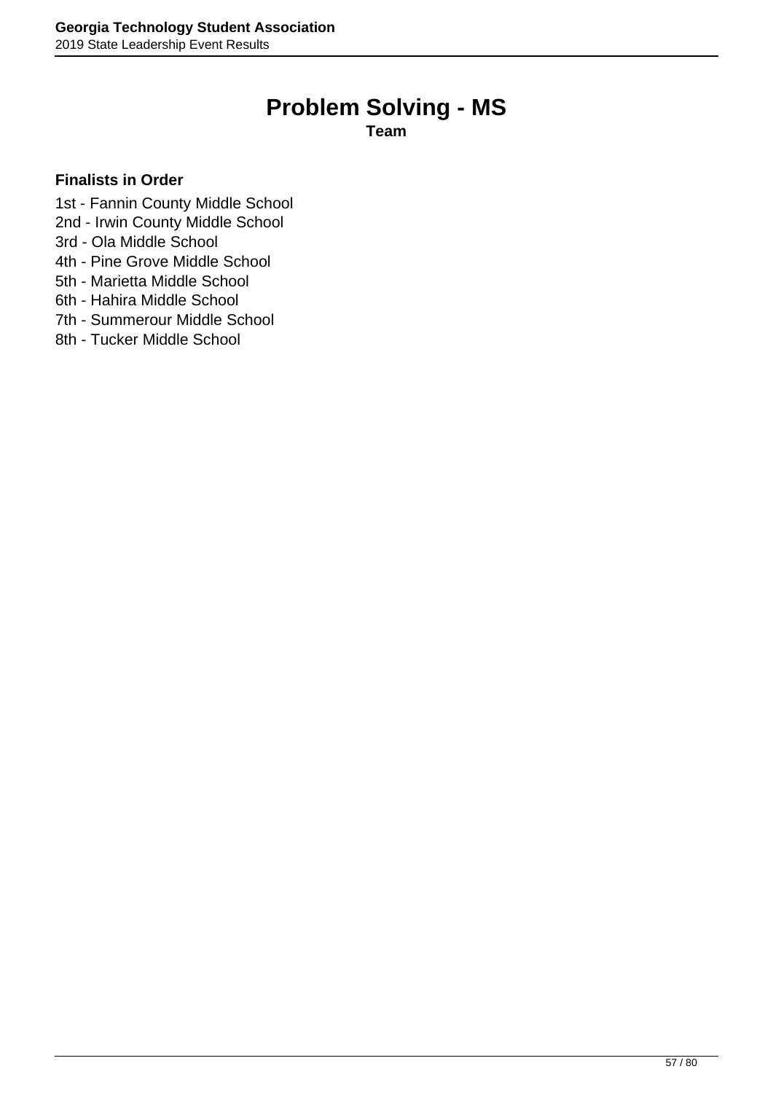# **Problem Solving - MS**

**Team**

- 1st Fannin County Middle School
- 2nd Irwin County Middle School
- 3rd Ola Middle School
- 4th Pine Grove Middle School
- 5th Marietta Middle School
- 6th Hahira Middle School
- 7th Summerour Middle School
- 8th Tucker Middle School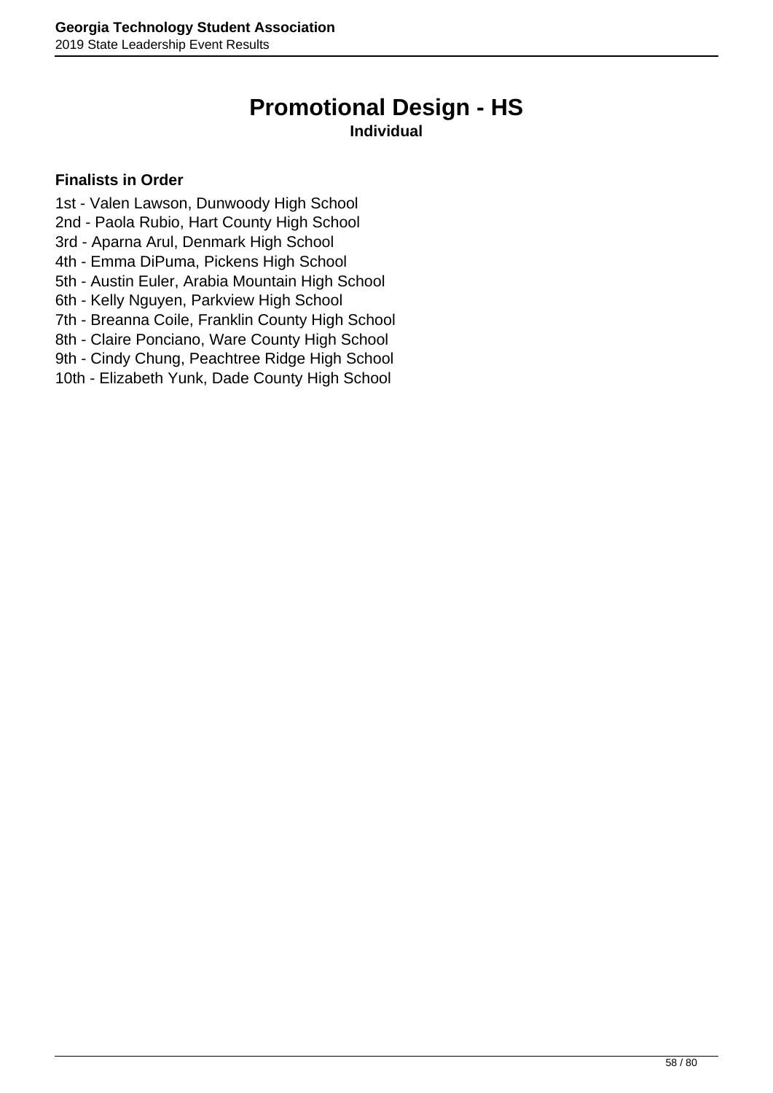# **Promotional Design - HS**

### **Individual**

- 1st Valen Lawson, Dunwoody High School
- 2nd Paola Rubio, Hart County High School
- 3rd Aparna Arul, Denmark High School
- 4th Emma DiPuma, Pickens High School
- 5th Austin Euler, Arabia Mountain High School
- 6th Kelly Nguyen, Parkview High School
- 7th Breanna Coile, Franklin County High School
- 8th Claire Ponciano, Ware County High School
- 9th Cindy Chung, Peachtree Ridge High School
- 10th Elizabeth Yunk, Dade County High School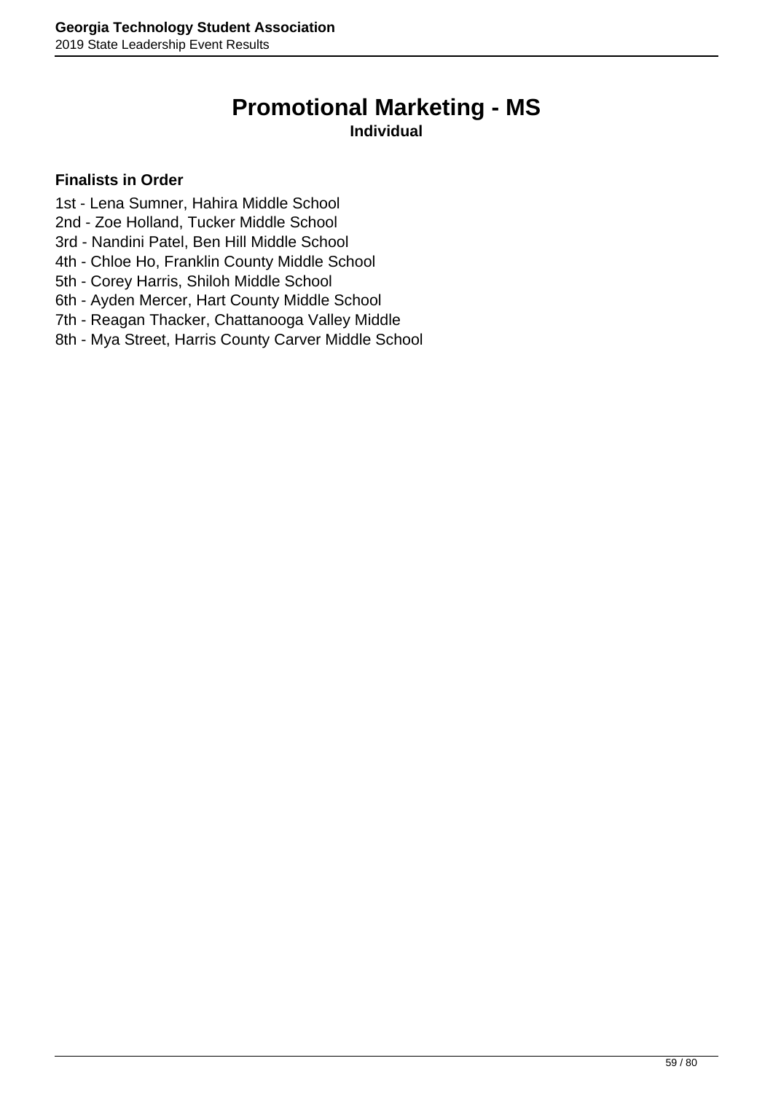# **Promotional Marketing - MS**

**Individual**

- 1st Lena Sumner, Hahira Middle School
- 2nd Zoe Holland, Tucker Middle School
- 3rd Nandini Patel, Ben Hill Middle School
- 4th Chloe Ho, Franklin County Middle School
- 5th Corey Harris, Shiloh Middle School
- 6th Ayden Mercer, Hart County Middle School
- 7th Reagan Thacker, Chattanooga Valley Middle
- 8th Mya Street, Harris County Carver Middle School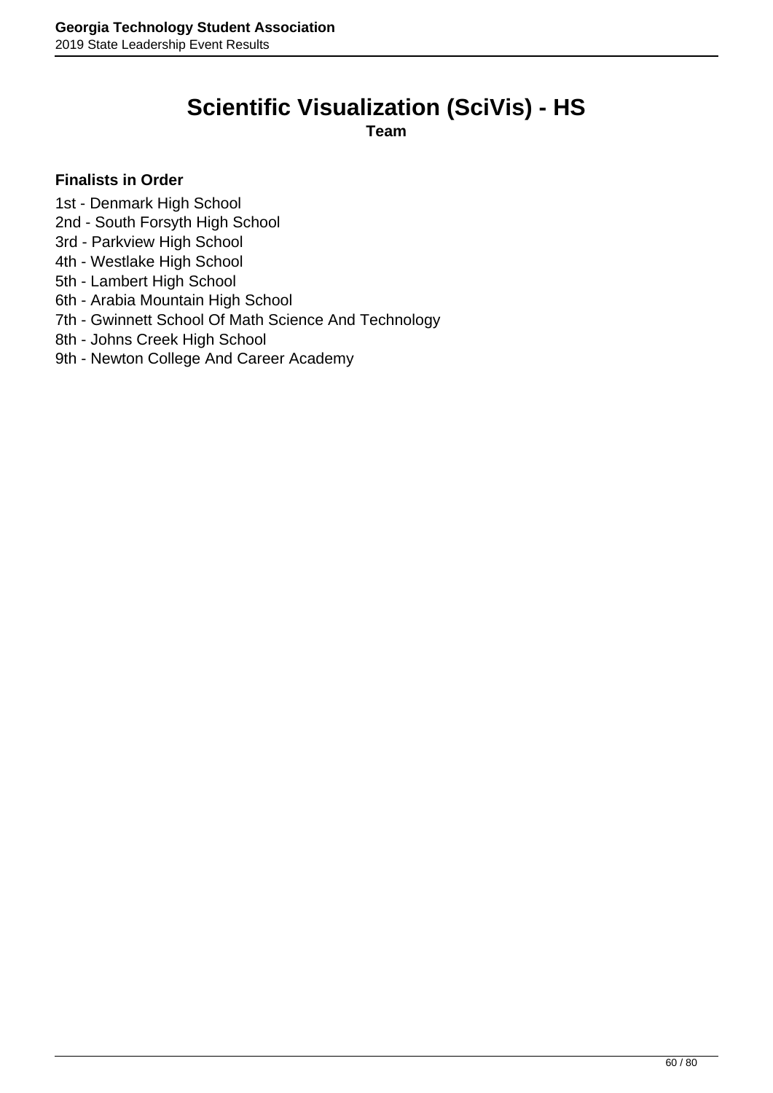# **Scientific Visualization (SciVis) - HS**

**Team**

- 1st Denmark High School
- 2nd South Forsyth High School
- 3rd Parkview High School
- 4th Westlake High School
- 5th Lambert High School
- 6th Arabia Mountain High School
- 7th Gwinnett School Of Math Science And Technology
- 8th Johns Creek High School
- 9th Newton College And Career Academy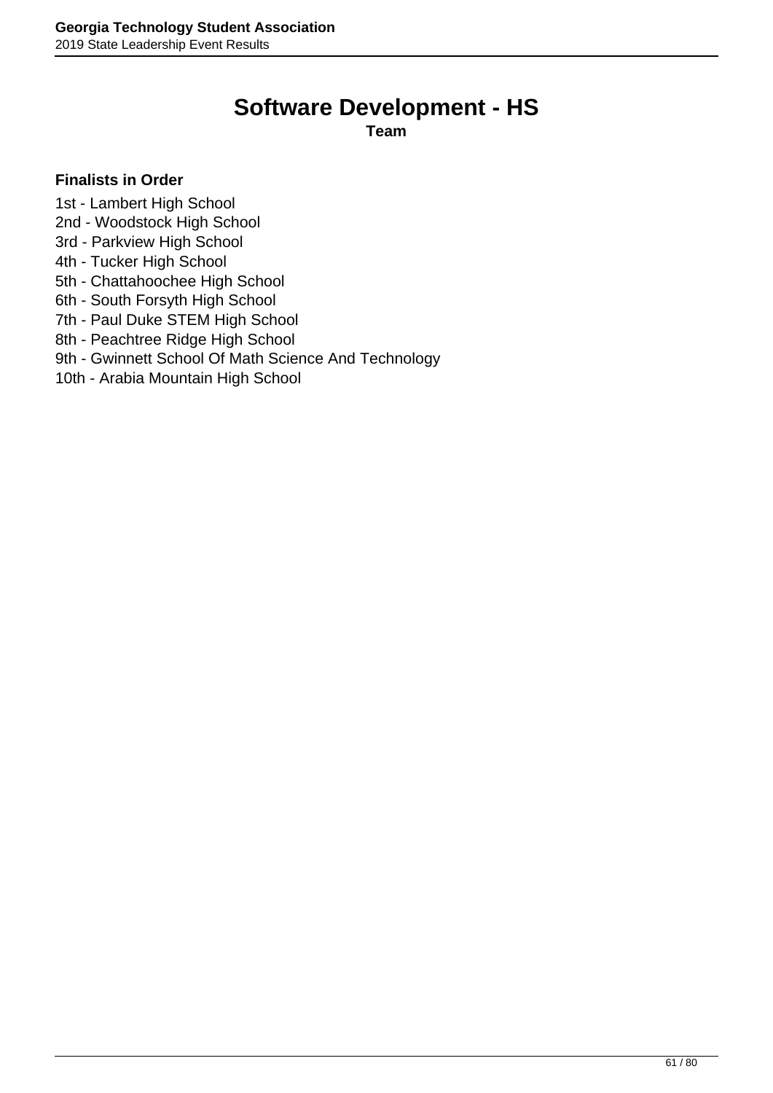# **Software Development - HS**

**Team**

- 1st Lambert High School
- 2nd Woodstock High School
- 3rd Parkview High School
- 4th Tucker High School
- 5th Chattahoochee High School
- 6th South Forsyth High School
- 7th Paul Duke STEM High School
- 8th Peachtree Ridge High School
- 9th Gwinnett School Of Math Science And Technology
- 10th Arabia Mountain High School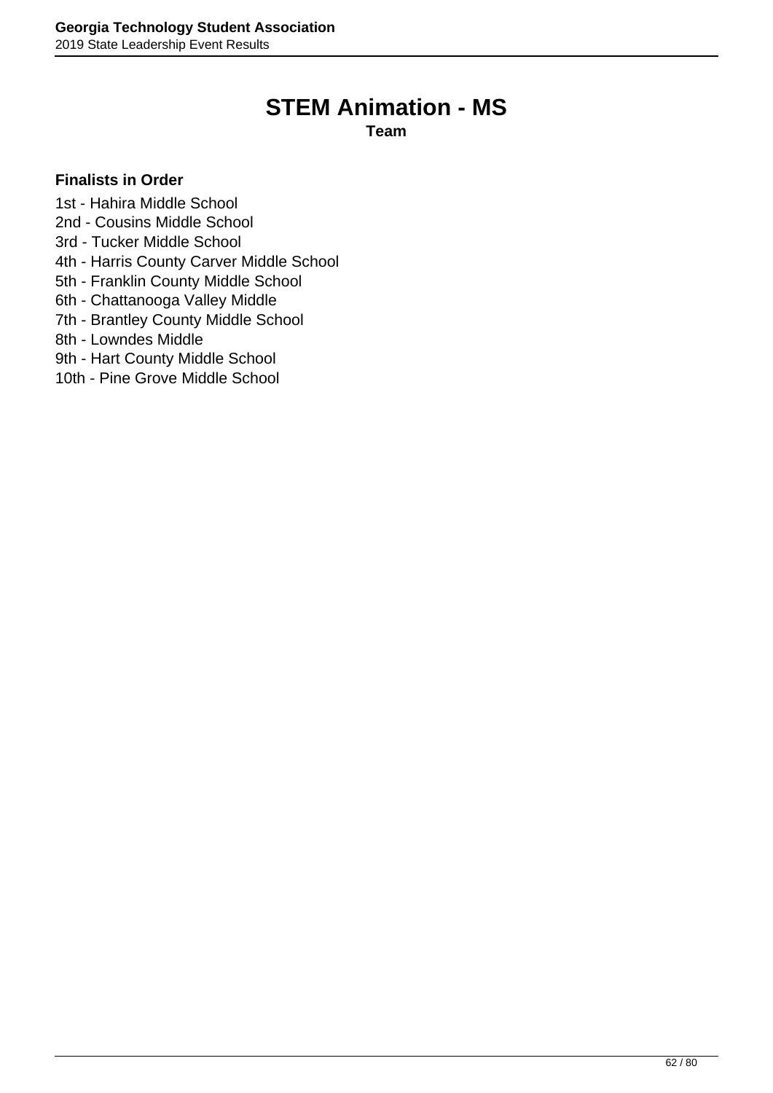# **STEM Animation - MS**

**Team**

- 1st Hahira Middle School
- 2nd Cousins Middle School
- 3rd Tucker Middle School
- 4th Harris County Carver Middle School
- 5th Franklin County Middle School
- 6th Chattanooga Valley Middle
- 7th Brantley County Middle School
- 8th Lowndes Middle
- 9th Hart County Middle School
- 10th Pine Grove Middle School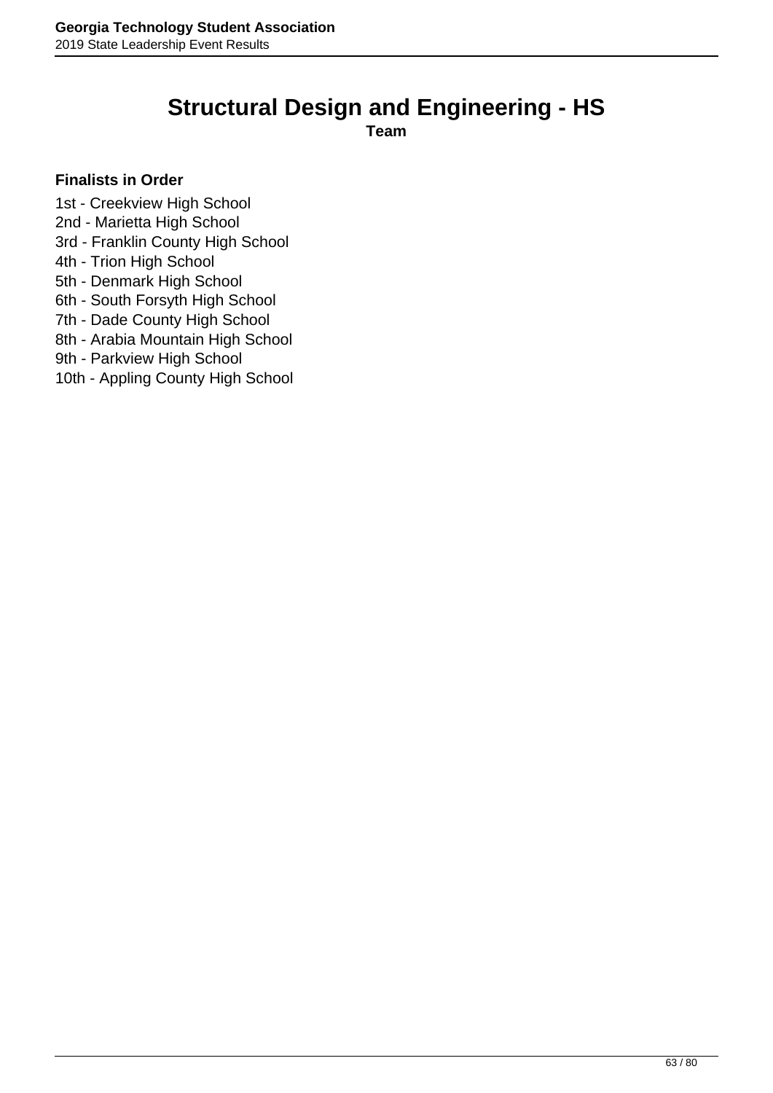# **Structural Design and Engineering - HS**

**Team**

- 1st Creekview High School
- 2nd Marietta High School
- 3rd Franklin County High School
- 4th Trion High School
- 5th Denmark High School
- 6th South Forsyth High School
- 7th Dade County High School
- 8th Arabia Mountain High School
- 9th Parkview High School
- 10th Appling County High School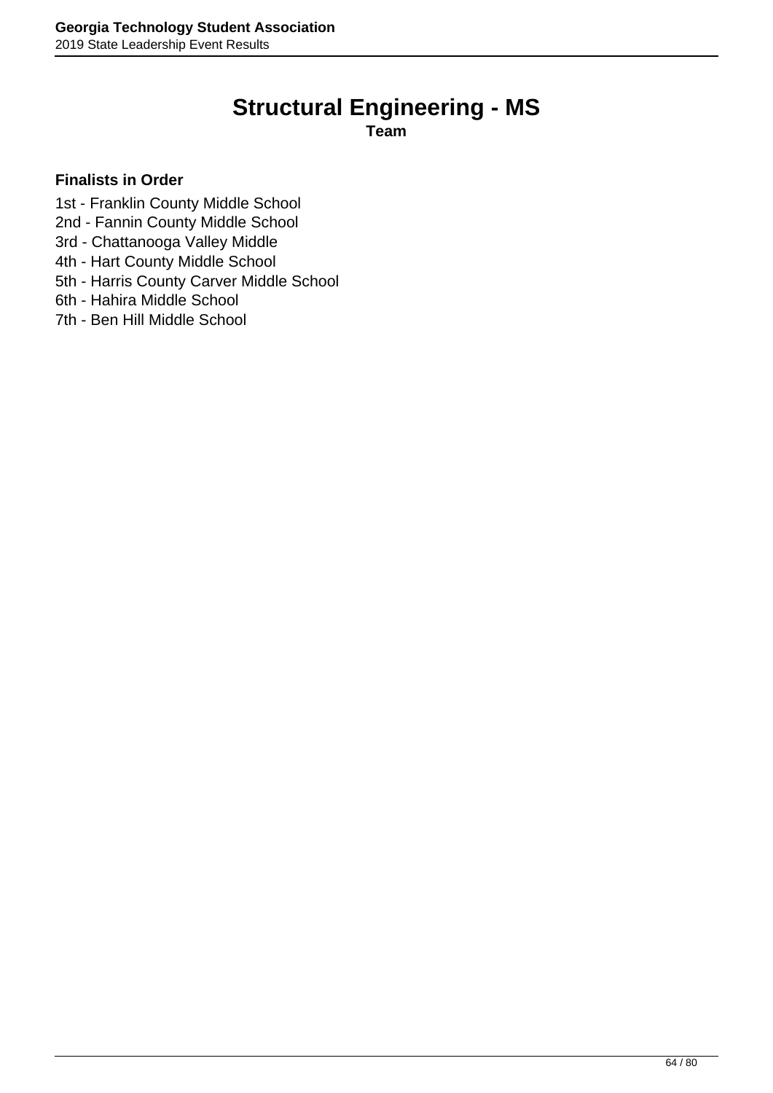# **Structural Engineering - MS**

**Team**

- 1st Franklin County Middle School
- 2nd Fannin County Middle School
- 3rd Chattanooga Valley Middle
- 4th Hart County Middle School
- 5th Harris County Carver Middle School
- 6th Hahira Middle School
- 7th Ben Hill Middle School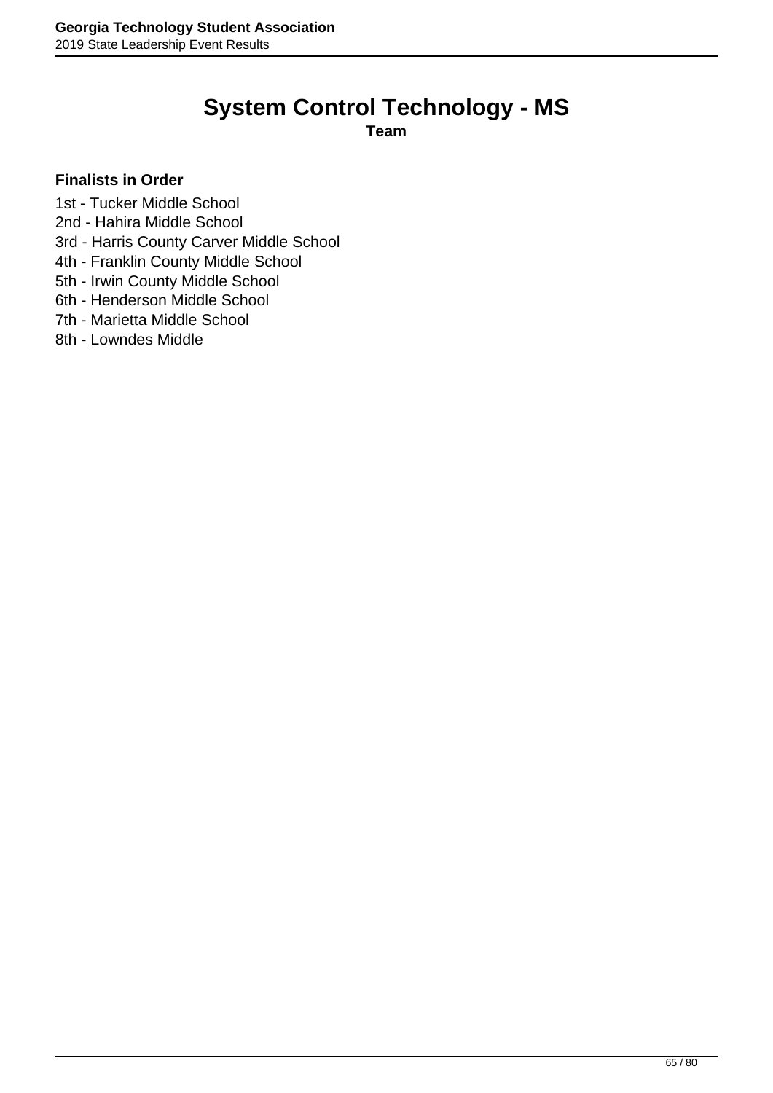# **System Control Technology - MS**

**Team**

- 1st Tucker Middle School
- 2nd Hahira Middle School
- 3rd Harris County Carver Middle School
- 4th Franklin County Middle School
- 5th Irwin County Middle School
- 6th Henderson Middle School
- 7th Marietta Middle School
- 8th Lowndes Middle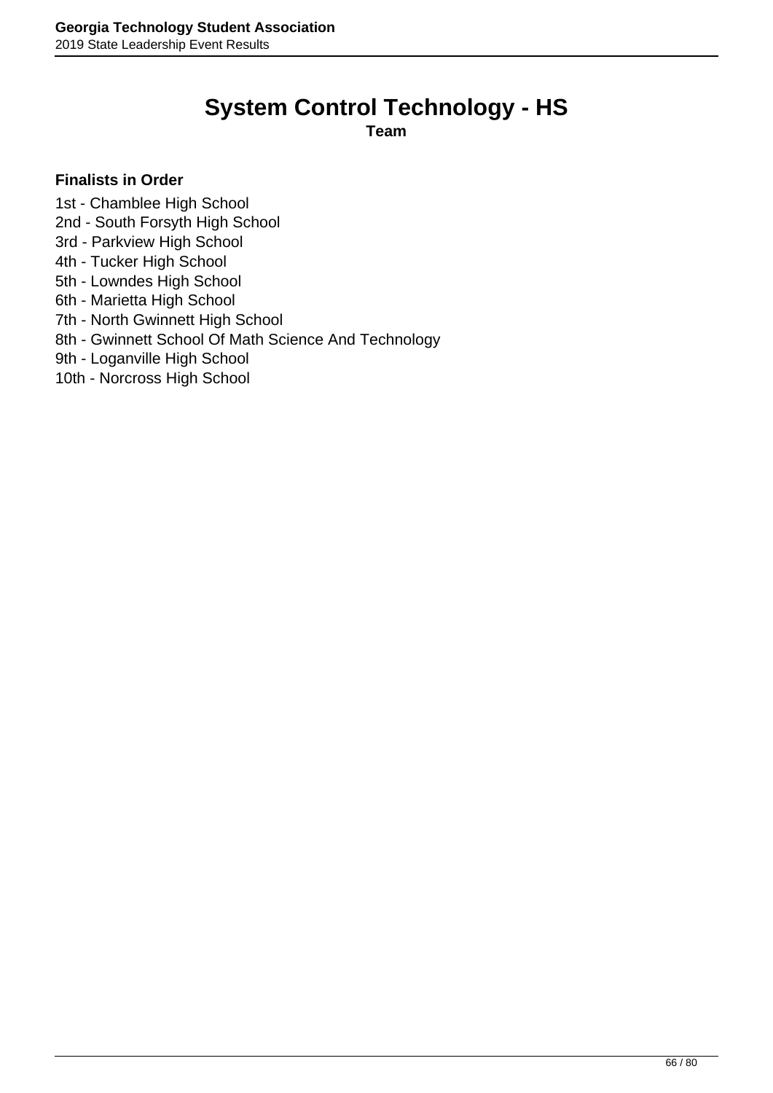# **System Control Technology - HS**

**Team**

- 1st Chamblee High School
- 2nd South Forsyth High School
- 3rd Parkview High School
- 4th Tucker High School
- 5th Lowndes High School
- 6th Marietta High School
- 7th North Gwinnett High School
- 8th Gwinnett School Of Math Science And Technology
- 9th Loganville High School
- 10th Norcross High School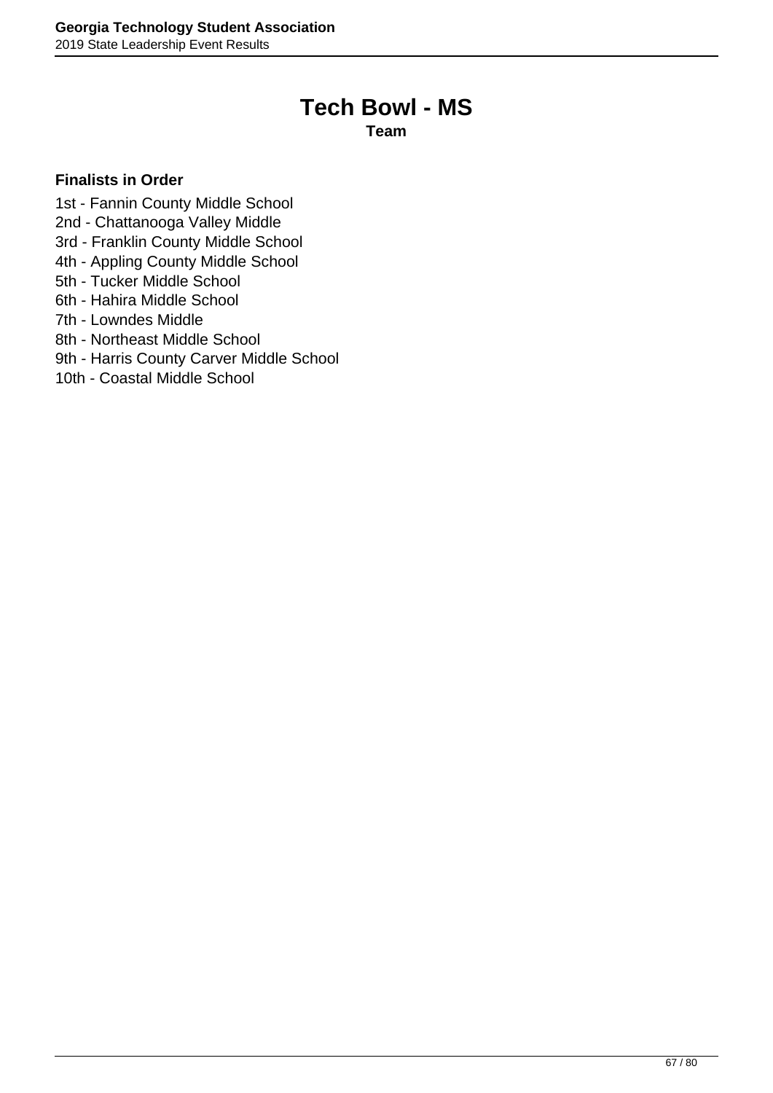## **Tech Bowl - MS**

**Team**

- 1st Fannin County Middle School
- 2nd Chattanooga Valley Middle
- 3rd Franklin County Middle School
- 4th Appling County Middle School
- 5th Tucker Middle School
- 6th Hahira Middle School
- 7th Lowndes Middle
- 8th Northeast Middle School
- 9th Harris County Carver Middle School
- 10th Coastal Middle School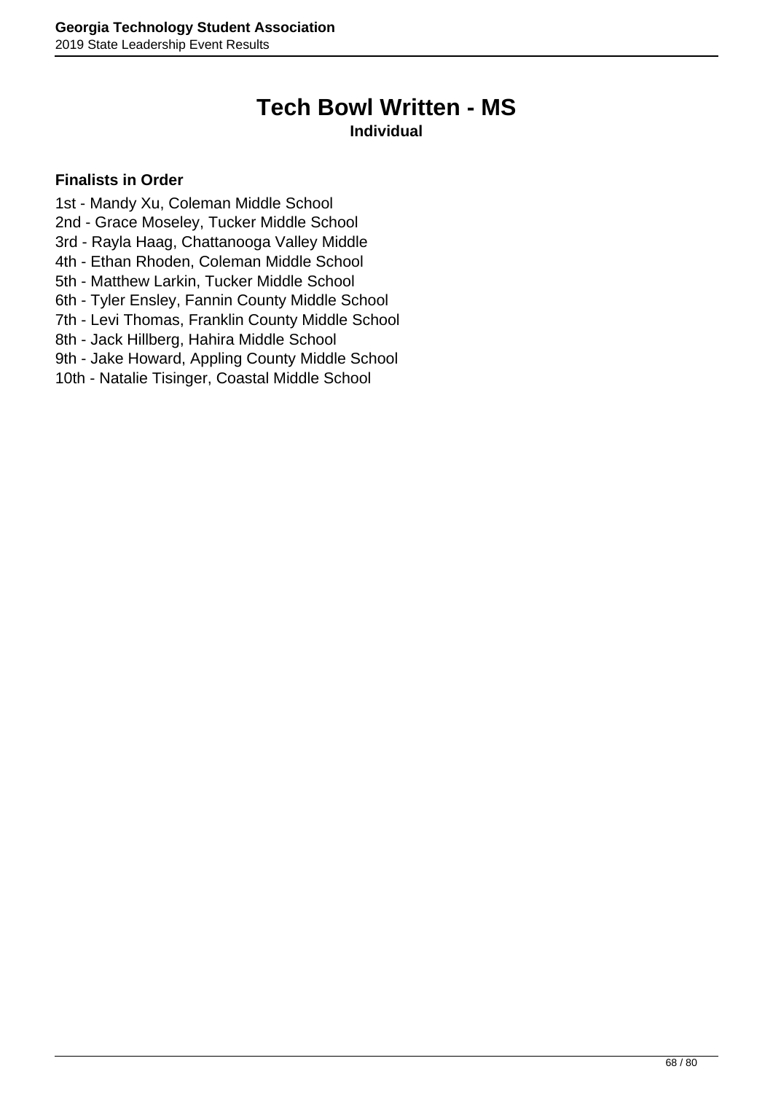# **Tech Bowl Written - MS**

### **Individual**

- 1st Mandy Xu, Coleman Middle School
- 2nd Grace Moseley, Tucker Middle School
- 3rd Rayla Haag, Chattanooga Valley Middle
- 4th Ethan Rhoden, Coleman Middle School
- 5th Matthew Larkin, Tucker Middle School
- 6th Tyler Ensley, Fannin County Middle School
- 7th Levi Thomas, Franklin County Middle School
- 8th Jack Hillberg, Hahira Middle School
- 9th Jake Howard, Appling County Middle School
- 10th Natalie Tisinger, Coastal Middle School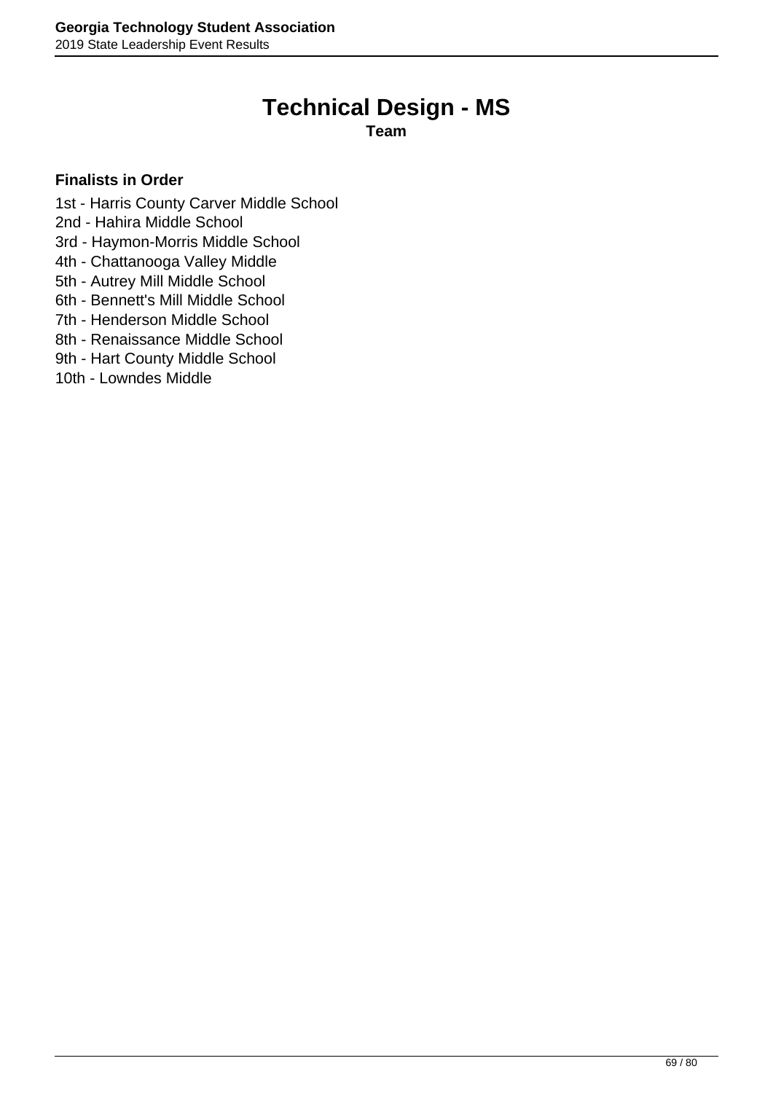# **Technical Design - MS**

**Team**

- 1st Harris County Carver Middle School
- 2nd Hahira Middle School
- 3rd Haymon-Morris Middle School
- 4th Chattanooga Valley Middle
- 5th Autrey Mill Middle School
- 6th Bennett's Mill Middle School
- 7th Henderson Middle School
- 8th Renaissance Middle School
- 9th Hart County Middle School
- 10th Lowndes Middle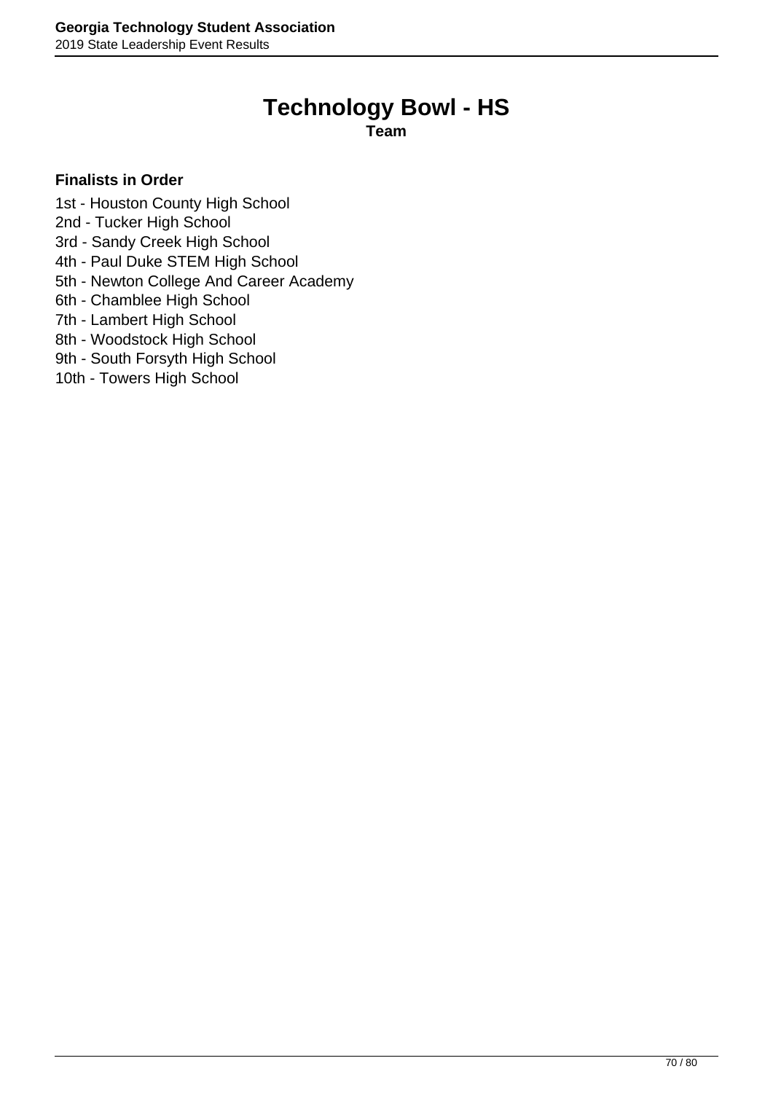# **Technology Bowl - HS**

**Team**

- 1st Houston County High School
- 2nd Tucker High School
- 3rd Sandy Creek High School
- 4th Paul Duke STEM High School
- 5th Newton College And Career Academy
- 6th Chamblee High School
- 7th Lambert High School
- 8th Woodstock High School
- 9th South Forsyth High School
- 10th Towers High School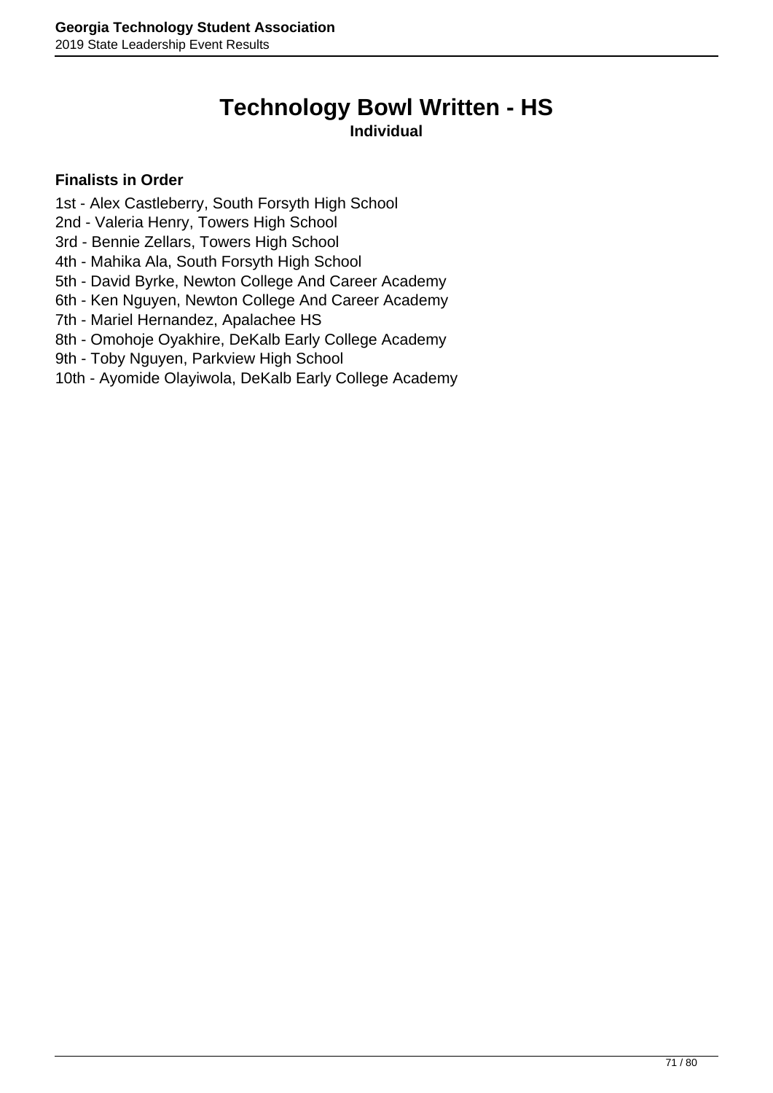# **Technology Bowl Written - HS**

### **Individual**

- 1st Alex Castleberry, South Forsyth High School
- 2nd Valeria Henry, Towers High School
- 3rd Bennie Zellars, Towers High School
- 4th Mahika Ala, South Forsyth High School
- 5th David Byrke, Newton College And Career Academy
- 6th Ken Nguyen, Newton College And Career Academy
- 7th Mariel Hernandez, Apalachee HS
- 8th Omohoje Oyakhire, DeKalb Early College Academy
- 9th Toby Nguyen, Parkview High School
- 10th Ayomide Olayiwola, DeKalb Early College Academy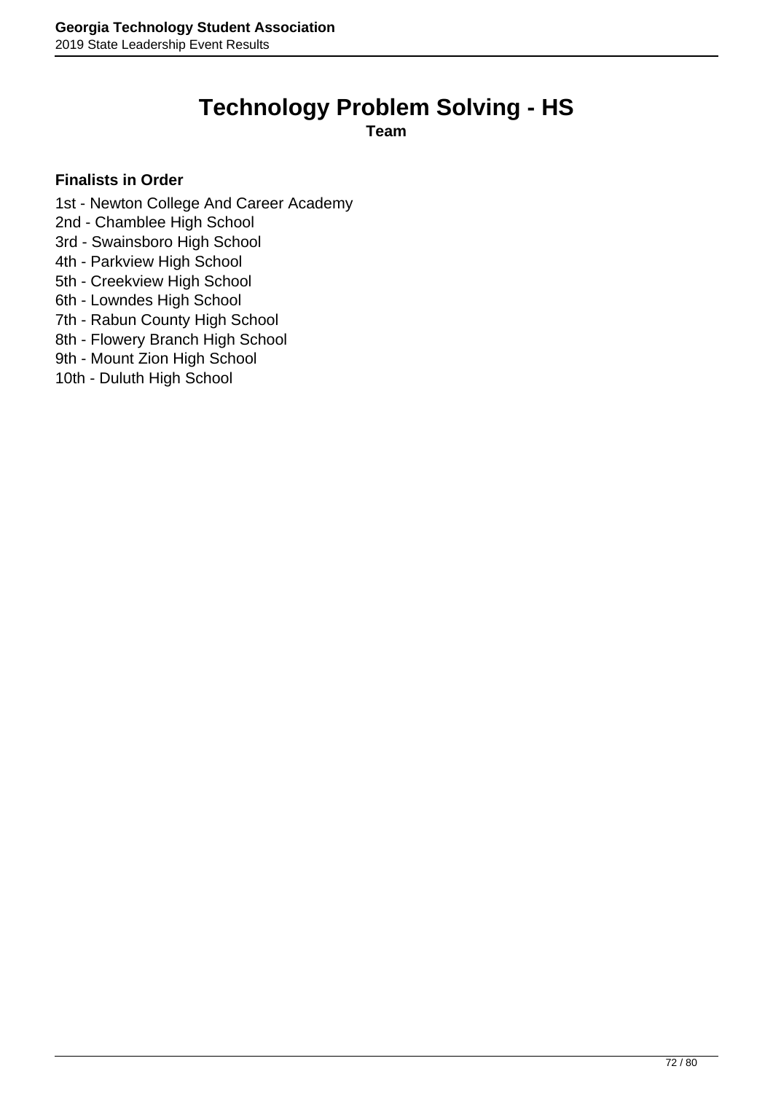# **Technology Problem Solving - HS**

**Team**

- 1st Newton College And Career Academy
- 2nd Chamblee High School
- 3rd Swainsboro High School
- 4th Parkview High School
- 5th Creekview High School
- 6th Lowndes High School
- 7th Rabun County High School
- 8th Flowery Branch High School
- 9th Mount Zion High School
- 10th Duluth High School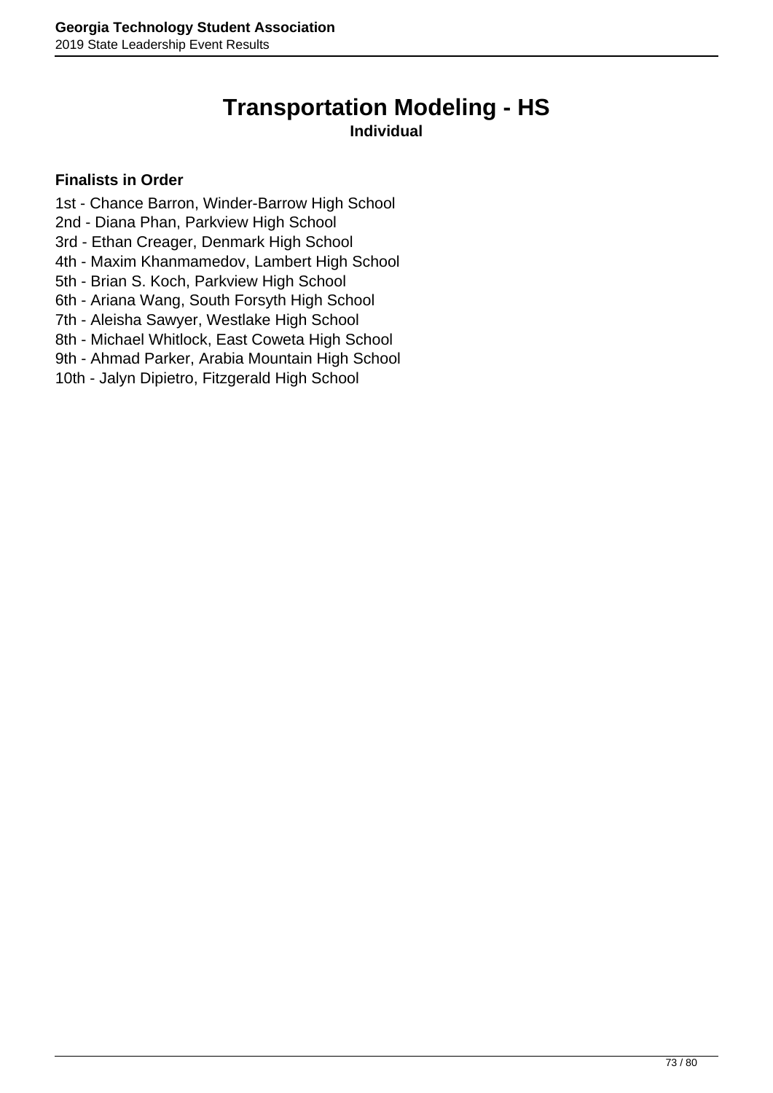## **Transportation Modeling - HS**

#### **Individual**

- 1st Chance Barron, Winder-Barrow High School
- 2nd Diana Phan, Parkview High School
- 3rd Ethan Creager, Denmark High School
- 4th Maxim Khanmamedov, Lambert High School
- 5th Brian S. Koch, Parkview High School
- 6th Ariana Wang, South Forsyth High School
- 7th Aleisha Sawyer, Westlake High School
- 8th Michael Whitlock, East Coweta High School
- 9th Ahmad Parker, Arabia Mountain High School
- 10th Jalyn Dipietro, Fitzgerald High School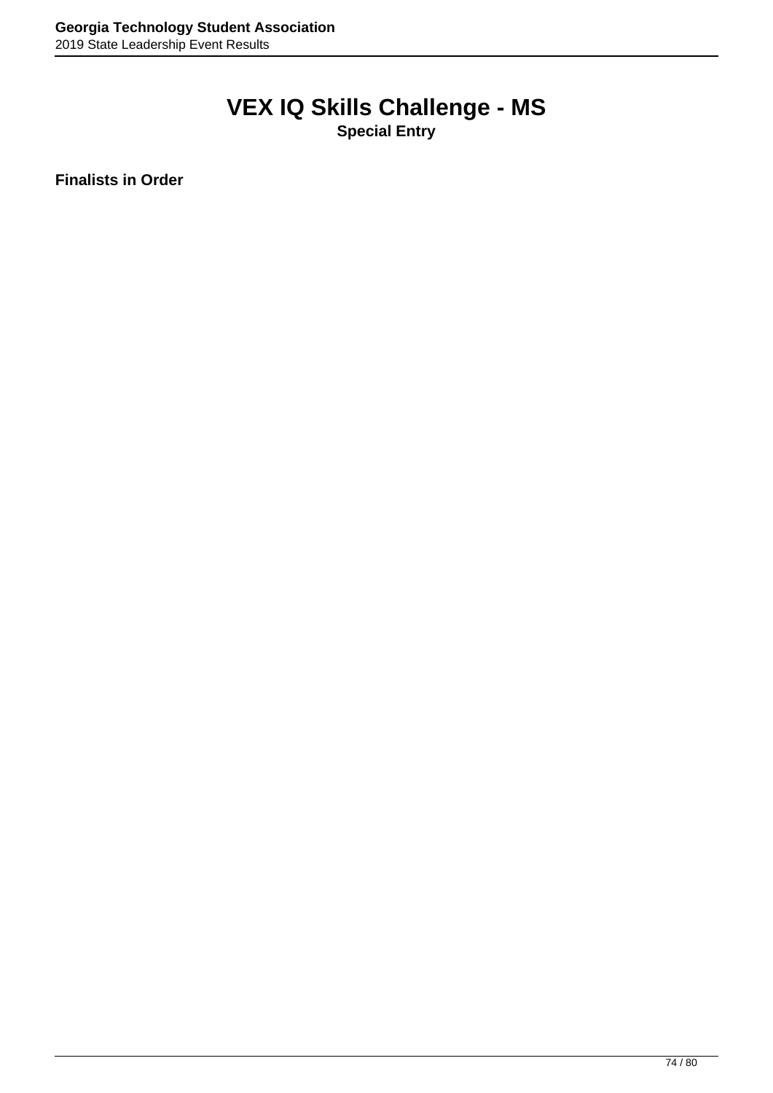# **VEX IQ Skills Challenge - MS**

**Special Entry**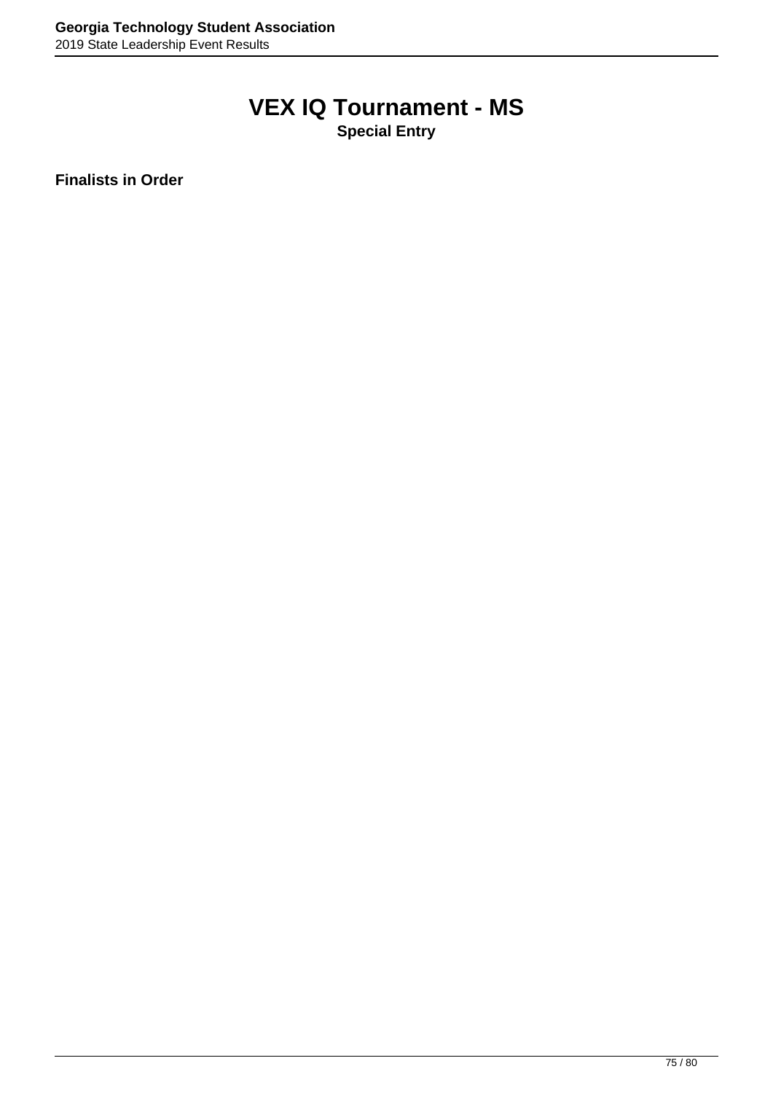## **VEX IQ Tournament - MS**

**Special Entry**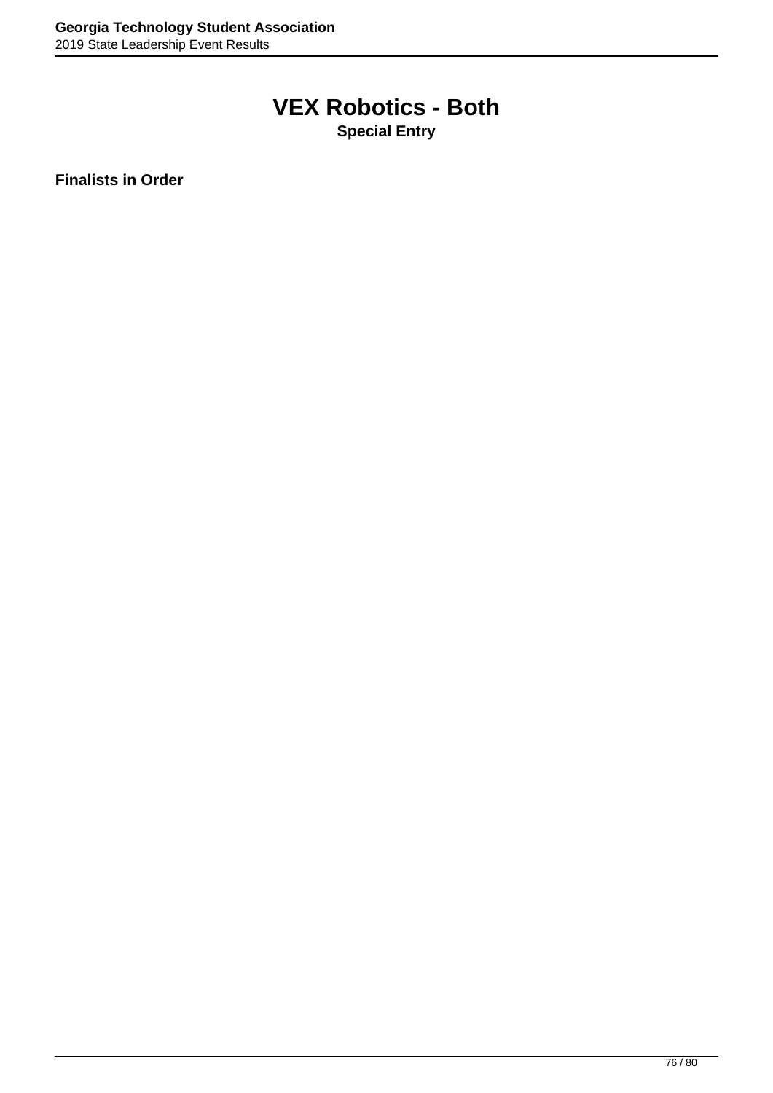## **VEX Robotics - Both**

**Special Entry**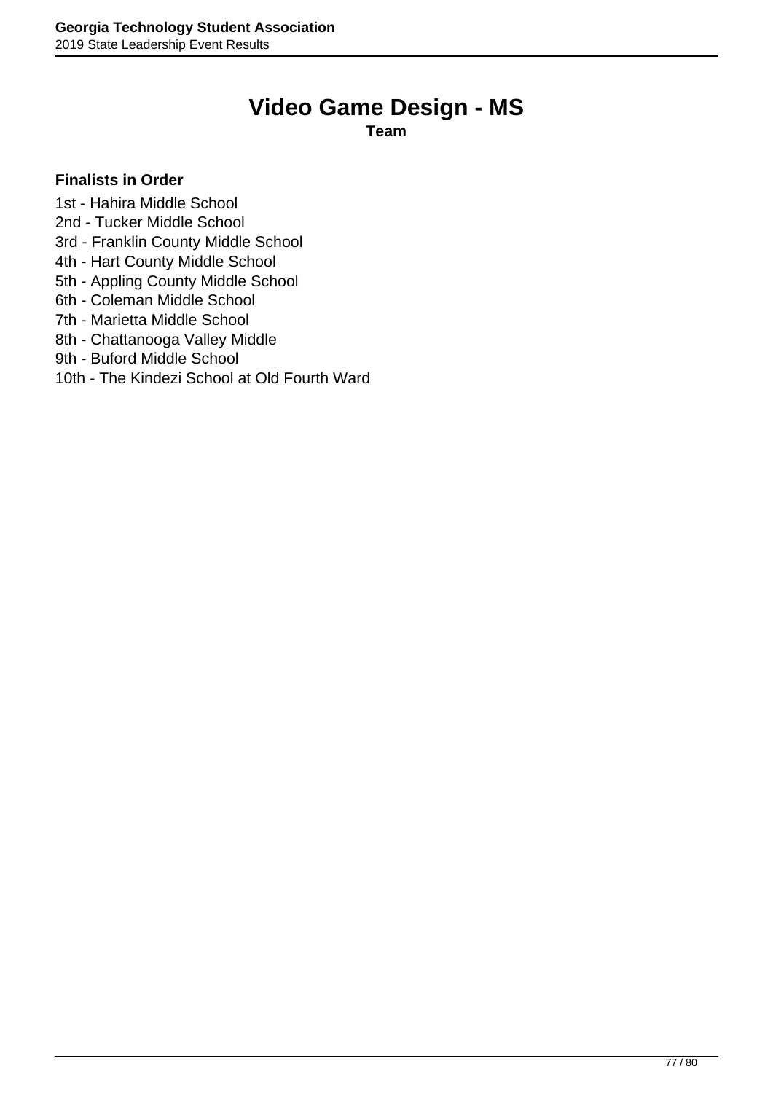### **Video Game Design - MS**

**Team**

#### **Finalists in Order**

1st - Hahira Middle School

- 2nd Tucker Middle School
- 3rd Franklin County Middle School
- 4th Hart County Middle School
- 5th Appling County Middle School
- 6th Coleman Middle School
- 7th Marietta Middle School
- 8th Chattanooga Valley Middle
- 9th Buford Middle School

#### 10th - The Kindezi School at Old Fourth Ward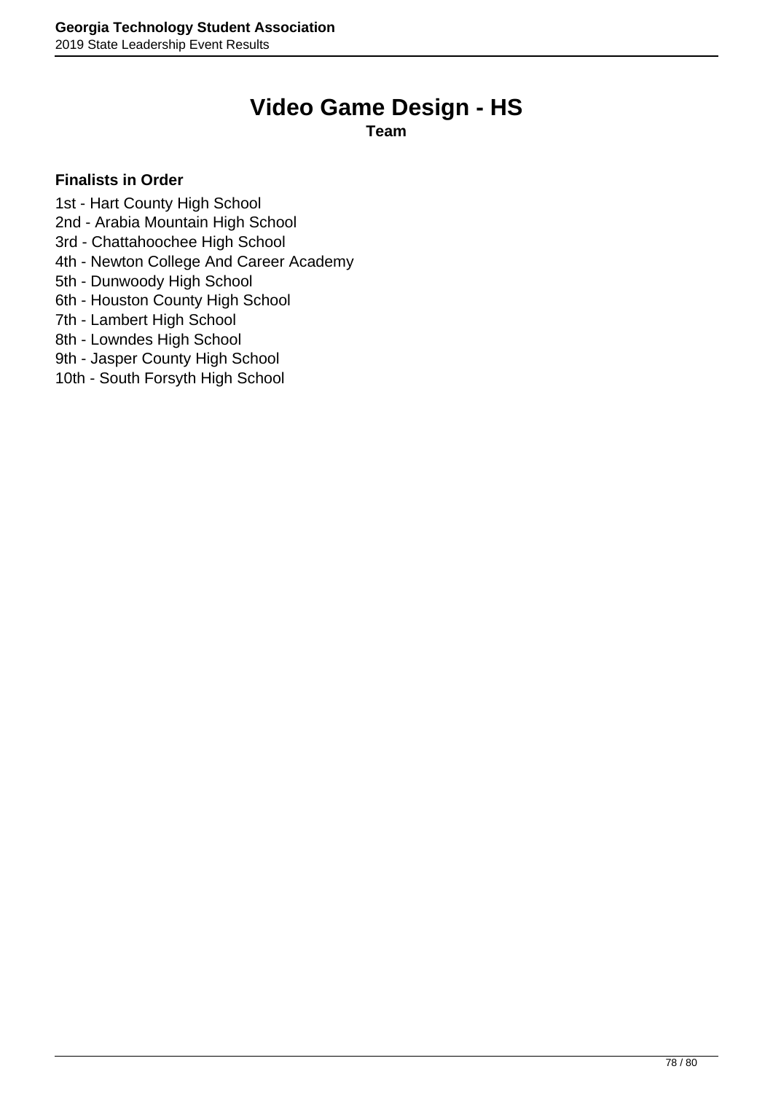## **Video Game Design - HS**

**Team**

#### **Finalists in Order**

1st - Hart County High School

2nd - Arabia Mountain High School

3rd - Chattahoochee High School

4th - Newton College And Career Academy

5th - Dunwoody High School

6th - Houston County High School

7th - Lambert High School

8th - Lowndes High School

9th - Jasper County High School

10th - South Forsyth High School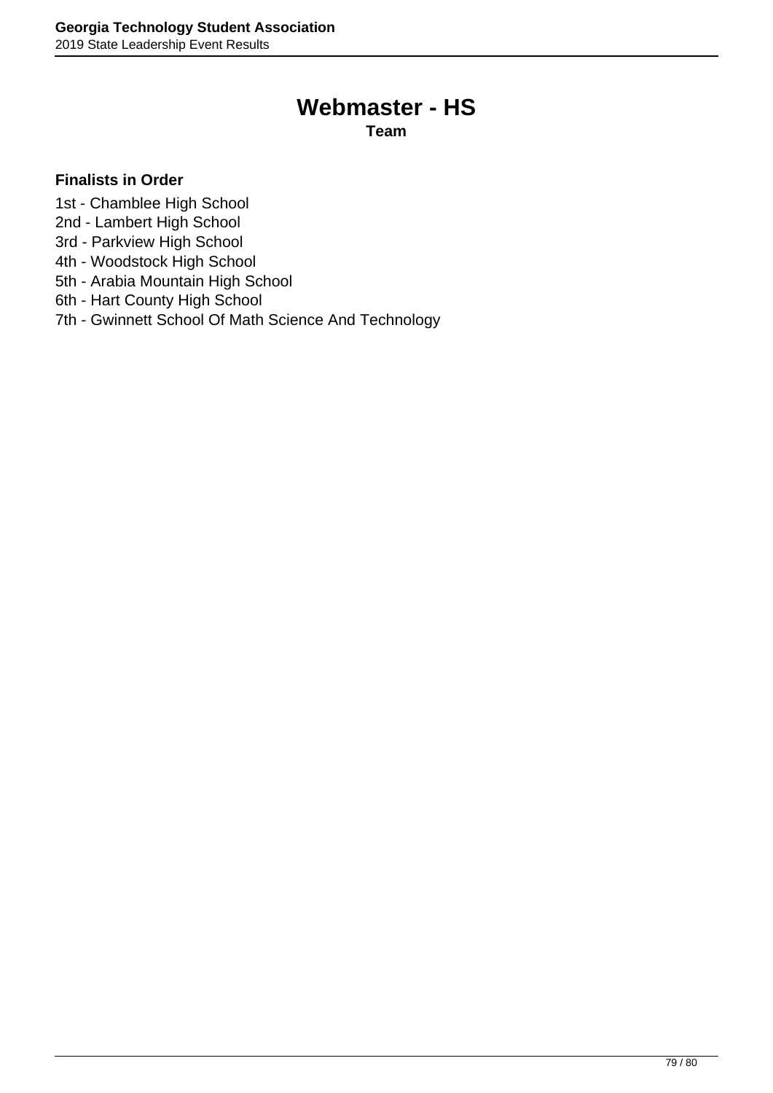### **Webmaster - HS**

**Team**

- 1st Chamblee High School
- 2nd Lambert High School
- 3rd Parkview High School
- 4th Woodstock High School
- 5th Arabia Mountain High School
- 6th Hart County High School
- 7th Gwinnett School Of Math Science And Technology